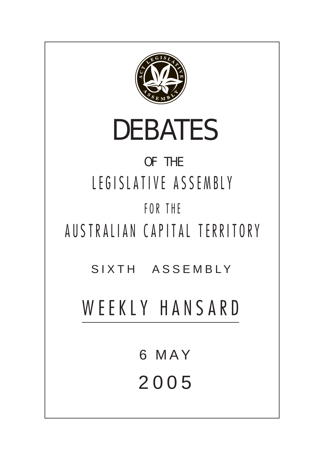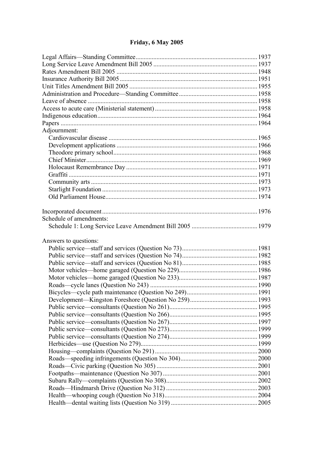# **Friday, 6 May 2005**

| Adjournment:            |  |  |  |
|-------------------------|--|--|--|
|                         |  |  |  |
|                         |  |  |  |
|                         |  |  |  |
|                         |  |  |  |
|                         |  |  |  |
|                         |  |  |  |
|                         |  |  |  |
|                         |  |  |  |
|                         |  |  |  |
| Schedule of amendments: |  |  |  |
|                         |  |  |  |
| Answers to questions:   |  |  |  |
|                         |  |  |  |
|                         |  |  |  |
|                         |  |  |  |
|                         |  |  |  |
|                         |  |  |  |
|                         |  |  |  |
|                         |  |  |  |
|                         |  |  |  |
|                         |  |  |  |
|                         |  |  |  |
|                         |  |  |  |
|                         |  |  |  |
|                         |  |  |  |
|                         |  |  |  |
|                         |  |  |  |
|                         |  |  |  |
|                         |  |  |  |
|                         |  |  |  |
|                         |  |  |  |
|                         |  |  |  |
|                         |  |  |  |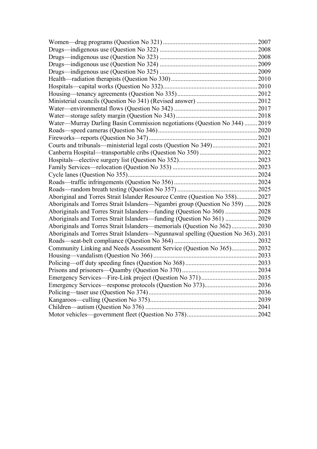|                                                                                    | 2007 |  |
|------------------------------------------------------------------------------------|------|--|
|                                                                                    |      |  |
|                                                                                    |      |  |
|                                                                                    | 2009 |  |
|                                                                                    |      |  |
|                                                                                    |      |  |
|                                                                                    |      |  |
|                                                                                    |      |  |
|                                                                                    |      |  |
|                                                                                    |      |  |
|                                                                                    |      |  |
| Water-Murray Darling Basin Commission negotiations (Question No 344)  2019         |      |  |
|                                                                                    |      |  |
|                                                                                    |      |  |
|                                                                                    |      |  |
|                                                                                    |      |  |
|                                                                                    |      |  |
|                                                                                    |      |  |
|                                                                                    |      |  |
|                                                                                    |      |  |
|                                                                                    |      |  |
| Aboriginal and Torres Strait Islander Resource Centre (Question No 358) 2027       |      |  |
| Aboriginals and Torres Strait Islanders-Ngambri group (Question No 359)  2028      |      |  |
| Aboriginals and Torres Strait Islanders—funding (Question No 360)  2028            |      |  |
| Aboriginals and Torres Strait Islanders—funding (Question No 361)  2029            |      |  |
| Aboriginals and Torres Strait Islanders—memorials (Question No 362)2030            |      |  |
| Aboriginals and Torres Strait Islanders—Ngunnawal spelling (Question No 363). 2031 |      |  |
|                                                                                    |      |  |
| Community Linking and Needs Assessment Service (Question No 365) 2032              |      |  |
|                                                                                    |      |  |
|                                                                                    |      |  |
|                                                                                    |      |  |
|                                                                                    |      |  |
|                                                                                    |      |  |
|                                                                                    |      |  |
|                                                                                    |      |  |
|                                                                                    |      |  |
|                                                                                    |      |  |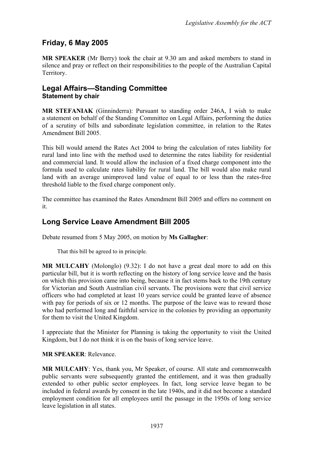# **Friday, 6 May 2005**

**MR SPEAKER** (Mr Berry) took the chair at 9.30 am and asked members to stand in silence and pray or reflect on their responsibilities to the people of the Australian Capital Territory.

### <span id="page-3-0"></span>**Legal Affairs—Standing Committee Statement by chair**

**MR STEFANIAK** (Ginninderra): Pursuant to standing order 246A, I wish to make a statement on behalf of the Standing Committee on Legal Affairs, performing the duties of a scrutiny of bills and subordinate legislation committee, in relation to the Rates Amendment Bill 2005.

This bill would amend the Rates Act 2004 to bring the calculation of rates liability for rural land into line with the method used to determine the rates liability for residential and commercial land. It would allow the inclusion of a fixed charge component into the formula used to calculate rates liability for rural land. The bill would also make rural land with an average unimproved land value of equal to or less than the rates-free threshold liable to the fixed charge component only.

The committee has examined the Rates Amendment Bill 2005 and offers no comment on it.

# <span id="page-3-1"></span>**Long Service Leave Amendment Bill 2005**

Debate resumed from 5 May 2005, on motion by **Ms Gallagher**:

That this bill be agreed to in principle.

**MR MULCAHY** (Molonglo) (9.32): I do not have a great deal more to add on this particular bill, but it is worth reflecting on the history of long service leave and the basis on which this provision came into being, because it in fact stems back to the 19th century for Victorian and South Australian civil servants. The provisions were that civil service officers who had completed at least 10 years service could be granted leave of absence with pay for periods of six or 12 months. The purpose of the leave was to reward those who had performed long and faithful service in the colonies by providing an opportunity for them to visit the United Kingdom.

I appreciate that the Minister for Planning is taking the opportunity to visit the United Kingdom, but I do not think it is on the basis of long service leave.

#### **MR SPEAKER**: Relevance.

**MR MULCAHY**: Yes, thank you, Mr Speaker, of course. All state and commonwealth public servants were subsequently granted the entitlement, and it was then gradually extended to other public sector employees. In fact, long service leave began to be included in federal awards by consent in the late 1940s, and it did not become a standard employment condition for all employees until the passage in the 1950s of long service leave legislation in all states.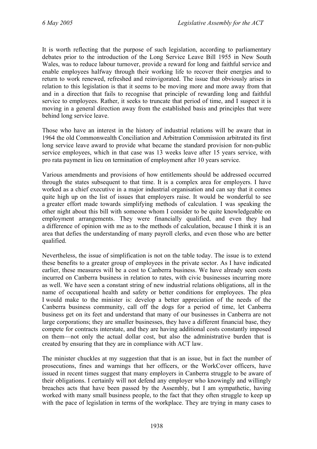It is worth reflecting that the purpose of such legislation, according to parliamentary debates prior to the introduction of the Long Service Leave Bill 1955 in New South Wales, was to reduce labour turnover, provide a reward for long and faithful service and enable employees halfway through their working life to recover their energies and to return to work renewed, refreshed and reinvigorated. The issue that obviously arises in relation to this legislation is that it seems to be moving more and more away from that and in a direction that fails to recognise that principle of rewarding long and faithful service to employees. Rather, it seeks to truncate that period of time, and I suspect it is moving in a general direction away from the established basis and principles that were behind long service leave.

Those who have an interest in the history of industrial relations will be aware that in 1964 the old Commonwealth Conciliation and Arbitration Commission arbitrated its first long service leave award to provide what became the standard provision for non-public service employees, which in that case was 13 weeks leave after 15 years service, with pro rata payment in lieu on termination of employment after 10 years service.

Various amendments and provisions of how entitlements should be addressed occurred through the states subsequent to that time. It is a complex area for employers. I have worked as a chief executive in a major industrial organisation and can say that it comes quite high up on the list of issues that employers raise. It would be wonderful to see a greater effort made towards simplifying methods of calculation. I was speaking the other night about this bill with someone whom I consider to be quite knowledgeable on employment arrangements. They were financially qualified, and even they had a difference of opinion with me as to the methods of calculation, because I think it is an area that defies the understanding of many payroll clerks, and even those who are better qualified.

Nevertheless, the issue of simplification is not on the table today. The issue is to extend these benefits to a greater group of employees in the private sector. As I have indicated earlier, these measures will be a cost to Canberra business. We have already seen costs incurred on Canberra business in relation to rates, with civic businesses incurring more as well. We have seen a constant string of new industrial relations obligations, all in the name of occupational health and safety or better conditions for employees. The plea I would make to the minister is: develop a better appreciation of the needs of the Canberra business community, call off the dogs for a period of time, let Canberra business get on its feet and understand that many of our businesses in Canberra are not large corporations; they are smaller businesses, they have a different financial base, they compete for contracts interstate, and they are having additional costs constantly imposed on them—not only the actual dollar cost, but also the administrative burden that is created by ensuring that they are in compliance with ACT law.

The minister chuckles at my suggestion that that is an issue, but in fact the number of prosecutions, fines and warnings that her officers, or the WorkCover officers, have issued in recent times suggest that many employers in Canberra struggle to be aware of their obligations. I certainly will not defend any employer who knowingly and willingly breaches acts that have been passed by the Assembly, but I am sympathetic, having worked with many small business people, to the fact that they often struggle to keep up with the pace of legislation in terms of the workplace. They are trying in many cases to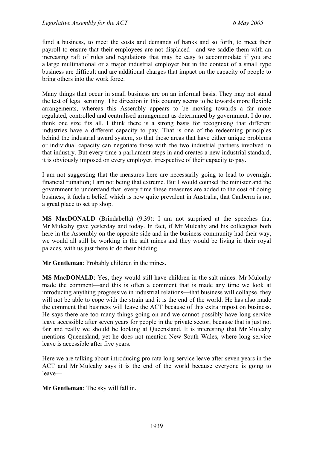fund a business, to meet the costs and demands of banks and so forth, to meet their payroll to ensure that their employees are not displaced—and we saddle them with an increasing raft of rules and regulations that may be easy to accommodate if you are a large multinational or a major industrial employer but in the context of a small type business are difficult and are additional charges that impact on the capacity of people to bring others into the work force.

Many things that occur in small business are on an informal basis. They may not stand the test of legal scrutiny. The direction in this country seems to be towards more flexible arrangements, whereas this Assembly appears to be moving towards a far more regulated, controlled and centralised arrangement as determined by government. I do not think one size fits all. I think there is a strong basis for recognising that different industries have a different capacity to pay. That is one of the redeeming principles behind the industrial award system, so that those areas that have either unique problems or individual capacity can negotiate those with the two industrial partners involved in that industry. But every time a parliament steps in and creates a new industrial standard, it is obviously imposed on every employer, irrespective of their capacity to pay.

I am not suggesting that the measures here are necessarily going to lead to overnight financial ruination; I am not being that extreme. But I would counsel the minister and the government to understand that, every time these measures are added to the cost of doing business, it fuels a belief, which is now quite prevalent in Australia, that Canberra is not a great place to set up shop.

**MS MacDONALD** (Brindabella) (9.39): I am not surprised at the speeches that Mr Mulcahy gave yesterday and today. In fact, if Mr Mulcahy and his colleagues both here in the Assembly on the opposite side and in the business community had their way, we would all still be working in the salt mines and they would be living in their royal palaces, with us just there to do their bidding.

**Mr Gentleman**: Probably children in the mines.

**MS MacDONALD**: Yes, they would still have children in the salt mines. Mr Mulcahy made the comment—and this is often a comment that is made any time we look at introducing anything progressive in industrial relations—that business will collapse, they will not be able to cope with the strain and it is the end of the world. He has also made the comment that business will leave the ACT because of this extra impost on business. He says there are too many things going on and we cannot possibly have long service leave accessible after seven years for people in the private sector, because that is just not fair and really we should be looking at Queensland. It is interesting that Mr Mulcahy mentions Queensland, yet he does not mention New South Wales, where long service leave is accessible after five years.

Here we are talking about introducing pro rata long service leave after seven years in the ACT and Mr Mulcahy says it is the end of the world because everyone is going to leave—

**Mr Gentleman**: The sky will fall in.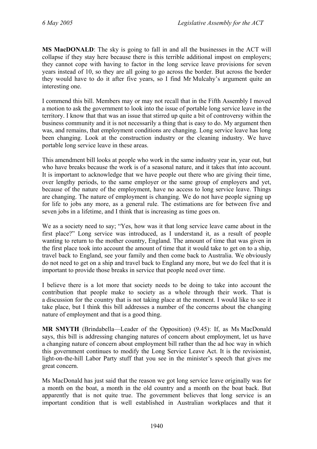**MS MacDONALD**: The sky is going to fall in and all the businesses in the ACT will collapse if they stay here because there is this terrible additional impost on employers; they cannot cope with having to factor in the long service leave provisions for seven years instead of 10, so they are all going to go across the border. But across the border they would have to do it after five years, so I find Mr Mulcahy's argument quite an interesting one.

I commend this bill. Members may or may not recall that in the Fifth Assembly I moved a motion to ask the government to look into the issue of portable long service leave in the territory. I know that that was an issue that stirred up quite a bit of controversy within the business community and it is not necessarily a thing that is easy to do. My argument then was, and remains, that employment conditions are changing. Long service leave has long been changing. Look at the construction industry or the cleaning industry. We have portable long service leave in these areas.

This amendment bill looks at people who work in the same industry year in, year out, but who have breaks because the work is of a seasonal nature, and it takes that into account. It is important to acknowledge that we have people out there who are giving their time, over lengthy periods, to the same employer or the same group of employers and yet, because of the nature of the employment, have no access to long service leave. Things are changing. The nature of employment is changing. We do not have people signing up for life to jobs any more, as a general rule. The estimations are for between five and seven jobs in a lifetime, and I think that is increasing as time goes on.

We as a society need to say; "Yes, how was it that long service leave came about in the first place?" Long service was introduced, as I understand it, as a result of people wanting to return to the mother country, England. The amount of time that was given in the first place took into account the amount of time that it would take to get on to a ship, travel back to England, see your family and then come back to Australia. We obviously do not need to get on a ship and travel back to England any more, but we do feel that it is important to provide those breaks in service that people need over time.

I believe there is a lot more that society needs to be doing to take into account the contribution that people make to society as a whole through their work. That is a discussion for the country that is not taking place at the moment. I would like to see it take place, but I think this bill addresses a number of the concerns about the changing nature of employment and that is a good thing.

**MR SMYTH** (Brindabella—Leader of the Opposition) (9.45): If, as Ms MacDonald says, this bill is addressing changing natures of concern about employment, let us have a changing nature of concern about employment bill rather than the ad hoc way in which this government continues to modify the Long Service Leave Act. It is the revisionist, light-on-the-hill Labor Party stuff that you see in the minister's speech that gives me great concern.

Ms MacDonald has just said that the reason we got long service leave originally was for a month on the boat, a month in the old country and a month on the boat back. But apparently that is not quite true. The government believes that long service is an important condition that is well established in Australian workplaces and that it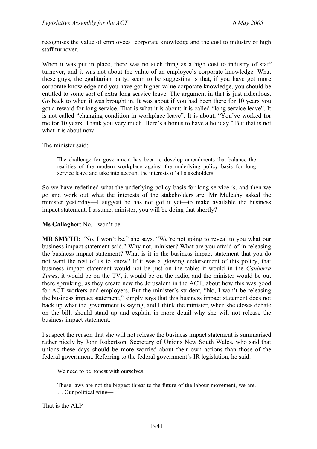recognises the value of employees' corporate knowledge and the cost to industry of high staff turnover.

When it was put in place, there was no such thing as a high cost to industry of staff turnover, and it was not about the value of an employee's corporate knowledge. What these guys, the egalitarian party, seem to be suggesting is that, if you have got more corporate knowledge and you have got higher value corporate knowledge, you should be entitled to some sort of extra long service leave. The argument in that is just ridiculous. Go back to when it was brought in. It was about if you had been there for 10 years you got a reward for long service. That is what it is about: it is called "long service leave". It is not called "changing condition in workplace leave". It is about, "You've worked for me for 10 years. Thank you very much. Here's a bonus to have a holiday." But that is not what it is about now.

The minister said:

The challenge for government has been to develop amendments that balance the realities of the modern workplace against the underlying policy basis for long service leave and take into account the interests of all stakeholders.

So we have redefined what the underlying policy basis for long service is, and then we go and work out what the interests of the stakeholders are. Mr Mulcahy asked the minister yesterday—I suggest he has not got it yet—to make available the business impact statement. I assume, minister, you will be doing that shortly?

**Ms Gallagher**: No, I won't be.

MR SMYTH: "No, I won't be," she says. "We're not going to reveal to you what our business impact statement said." Why not, minister? What are you afraid of in releasing the business impact statement? What is it in the business impact statement that you do not want the rest of us to know? If it was a glowing endorsement of this policy, that business impact statement would not be just on the table; it would in the *Canberra Times*, it would be on the TV, it would be on the radio, and the minister would be out there spruiking, as they create new the Jerusalem in the ACT, about how this was good for ACT workers and employers. But the minister's strident, "No, I won't be releasing the business impact statement," simply says that this business impact statement does not back up what the government is saying, and I think the minister, when she closes debate on the bill, should stand up and explain in more detail why she will not release the business impact statement.

I suspect the reason that she will not release the business impact statement is summarised rather nicely by John Robertson, Secretary of Unions New South Wales, who said that unions these days should be more worried about their own actions than those of the federal government. Referring to the federal government's IR legislation, he said:

We need to be honest with ourselves.

These laws are not the biggest threat to the future of the labour movement, we are. … Our political wing—

That is the ALP—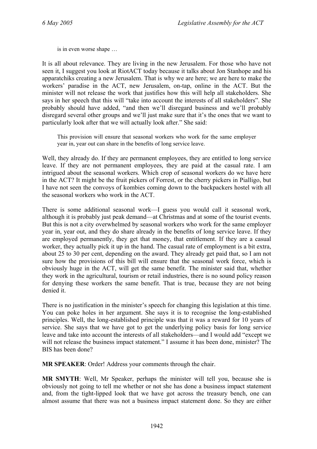is in even worse shape …

It is all about relevance. They are living in the new Jerusalem. For those who have not seen it, I suggest you look at RiotACT today because it talks about Jon Stanhope and his apparatchiks creating a new Jerusalem. That is why we are here; we are here to make the workers' paradise in the ACT, new Jerusalem, on-tap, online in the ACT. But the minister will not release the work that justifies how this will help all stakeholders. She says in her speech that this will "take into account the interests of all stakeholders". She probably should have added, "and then we'll disregard business and we'll probably disregard several other groups and we'll just make sure that it's the ones that we want to particularly look after that we will actually look after." She said:

This provision will ensure that seasonal workers who work for the same employer year in, year out can share in the benefits of long service leave.

Well, they already do. If they are permanent employees, they are entitled to long service leave. If they are not permanent employees, they are paid at the casual rate. I am intrigued about the seasonal workers. Which crop of seasonal workers do we have here in the ACT? It might be the fruit pickers of Forrest, or the cherry pickers in Pialligo, but I have not seen the convoys of kombies coming down to the backpackers hostel with all the seasonal workers who work in the ACT.

There is some additional seasonal work—I guess you would call it seasonal work, although it is probably just peak demand—at Christmas and at some of the tourist events. But this is not a city overwhelmed by seasonal workers who work for the same employer year in, year out, and they do share already in the benefits of long service leave. If they are employed permanently, they get that money, that entitlement. If they are a casual worker, they actually pick it up in the hand. The casual rate of employment is a bit extra, about 25 to 30 per cent, depending on the award. They already get paid that, so I am not sure how the provisions of this bill will ensure that the seasonal work force, which is obviously huge in the ACT, will get the same benefit. The minister said that, whether they work in the agricultural, tourism or retail industries, there is no sound policy reason for denying these workers the same benefit. That is true, because they are not being denied it.

There is no justification in the minister's speech for changing this legislation at this time. You can poke holes in her argument. She says it is to recognise the long-established principles. Well, the long-established principle was that it was a reward for 10 years of service. She says that we have got to get the underlying policy basis for long service leave and take into account the interests of all stakeholders—and I would add "except we will not release the business impact statement." I assume it has been done, minister? The BIS has been done?

**MR SPEAKER**: Order! Address your comments through the chair.

**MR SMYTH**: Well, Mr Speaker, perhaps the minister will tell you, because she is obviously not going to tell me whether or not she has done a business impact statement and, from the tight-lipped look that we have got across the treasury bench, one can almost assume that there was not a business impact statement done. So they are either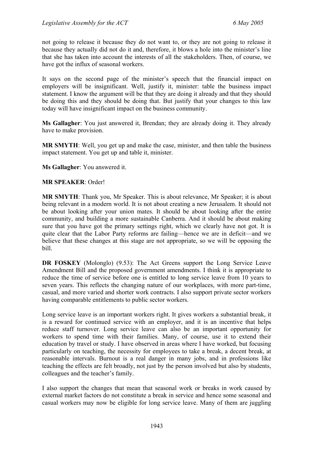not going to release it because they do not want to, or they are not going to release it because they actually did not do it and, therefore, it blows a hole into the minister's line that she has taken into account the interests of all the stakeholders. Then, of course, we have got the influx of seasonal workers.

It says on the second page of the minister's speech that the financial impact on employers will be insignificant. Well, justify it, minister: table the business impact statement. I know the argument will be that they are doing it already and that they should be doing this and they should be doing that. But justify that your changes to this law today will have insignificant impact on the business community.

**Ms Gallagher**: You just answered it, Brendan; they are already doing it. They already have to make provision.

**MR SMYTH**: Well, you get up and make the case, minister, and then table the business impact statement. You get up and table it, minister.

**Ms Gallagher**: You answered it.

#### **MR SPEAKER**: Order!

**MR SMYTH**: Thank you, Mr Speaker. This is about relevance, Mr Speaker; it is about being relevant in a modern world. It is not about creating a new Jerusalem. It should not be about looking after your union mates. It should be about looking after the entire community, and building a more sustainable Canberra. And it should be about making sure that you have got the primary settings right, which we clearly have not got. It is quite clear that the Labor Party reforms are failing—hence we are in deficit—and we believe that these changes at this stage are not appropriate, so we will be opposing the bill.

**DR FOSKEY** (Molonglo) (9.53): The Act Greens support the Long Service Leave Amendment Bill and the proposed government amendments. I think it is appropriate to reduce the time of service before one is entitled to long service leave from 10 years to seven years. This reflects the changing nature of our workplaces, with more part-time, casual, and more varied and shorter work contracts. I also support private sector workers having comparable entitlements to public sector workers.

Long service leave is an important workers right. It gives workers a substantial break, it is a reward for continued service with an employer, and it is an incentive that helps reduce staff turnover. Long service leave can also be an important opportunity for workers to spend time with their families. Many, of course, use it to extend their education by travel or study. I have observed in areas where I have worked, but focusing particularly on teaching, the necessity for employees to take a break, a decent break, at reasonable intervals. Burnout is a real danger in many jobs, and in professions like teaching the effects are felt broadly, not just by the person involved but also by students, colleagues and the teacher's family.

I also support the changes that mean that seasonal work or breaks in work caused by external market factors do not constitute a break in service and hence some seasonal and casual workers may now be eligible for long service leave. Many of them are juggling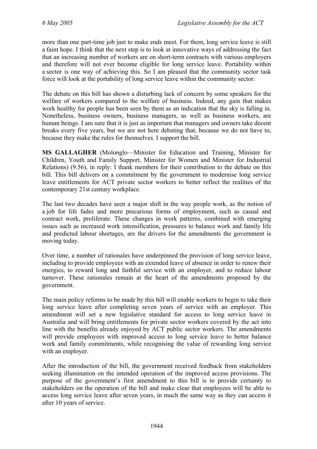more than one part-time job just to make ends meet. For them, long service leave is still a faint hope. I think that the next step is to look at innovative ways of addressing the fact that an increasing number of workers are on short-term contracts with various employers and therefore will not ever become eligible for long service leave. Portability within a sector is one way of achieving this. So I am pleased that the community sector task force will look at the portability of long service leave within the community sector.

The debate on this bill has shown a disturbing lack of concern by some speakers for the welfare of workers compared to the welfare of business. Indeed, any gain that makes work healthy for people has been seen by them as an indication that the sky is falling in. Nonetheless, business owners, business managers, as well as business workers, are human beings. I am sure that it is just as important that managers and owners take decent breaks every five years, but we are not here debating that, because we do not have to, because they make the rules for themselves. I support the bill.

**MS GALLAGHER** (Molonglo—Minister for Education and Training, Minister for Children, Youth and Family Support, Minister for Women and Minister for Industrial Relations) (9.56), in reply: I thank members for their contribution to the debate on this bill. This bill delivers on a commitment by the government to modernise long service leave entitlements for ACT private sector workers to better reflect the realities of the contemporary 21st century workplace.

The last two decades have seen a major shift in the way people work, as the notion of a job for life fades and more precarious forms of employment, such as casual and contract work, proliferate. These changes in work patterns, combined with emerging issues such as increased work intensification, pressures to balance work and family life and predicted labour shortages, are the drivers for the amendments the government is moving today.

Over time, a number of rationales have underpinned the provision of long service leave, including to provide employees with an extended leave of absence in order to renew their energies, to reward long and faithful service with an employer, and to reduce labour turnover. These rationales remain at the heart of the amendments proposed by the government.

The main policy reforms to be made by this bill will enable workers to begin to take their long service leave after completing seven years of service with an employer. This amendment will set a new legislative standard for access to long service leave in Australia and will bring entitlements for private sector workers covered by the act into line with the benefits already enjoyed by ACT public sector workers. The amendments will provide employees with improved access to long service leave to better balance work and family commitments, while recognising the value of rewarding long service with an employer.

After the introduction of the bill, the government received feedback from stakeholders seeking illumination on the intended operation of the improved access provisions. The purpose of the government's first amendment to this bill is to provide certainty to stakeholders on the operation of the bill and make clear that employees will be able to access long service leave after seven years, in much the same way as they can access it after 10 years of service.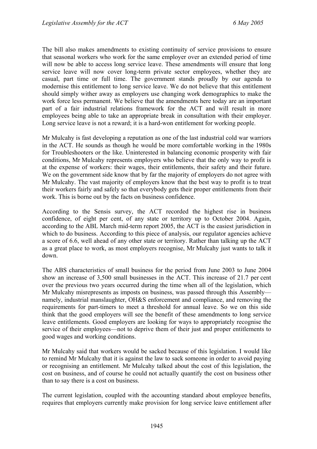The bill also makes amendments to existing continuity of service provisions to ensure that seasonal workers who work for the same employer over an extended period of time will now be able to access long service leave. These amendments will ensure that long service leave will now cover long-term private sector employees, whether they are casual, part time or full time. The government stands proudly by our agenda to modernise this entitlement to long service leave. We do not believe that this entitlement should simply wither away as employers use changing work demographics to make the work force less permanent. We believe that the amendments here today are an important part of a fair industrial relations framework for the ACT and will result in more employees being able to take an appropriate break in consultation with their employer. Long service leave is not a reward; it is a hard-won entitlement for working people.

Mr Mulcahy is fast developing a reputation as one of the last industrial cold war warriors in the ACT. He sounds as though he would be more comfortable working in the 1980s for Troubleshooters or the like. Uninterested in balancing economic prosperity with fair conditions, Mr Mulcahy represents employers who believe that the only way to profit is at the expense of workers: their wages, their entitlements, their safety and their future. We on the government side know that by far the majority of employers do not agree with Mr Mulcahy. The vast majority of employers know that the best way to profit is to treat their workers fairly and safely so that everybody gets their proper entitlements from their work. This is borne out by the facts on business confidence.

According to the Sensis survey, the ACT recorded the highest rise in business confidence, of eight per cent, of any state or territory up to October 2004. Again, according to the ABL March mid-term report 2005, the ACT is the easiest jurisdiction in which to do business. According to this piece of analysis, our regulator agencies achieve a score of 6.6, well ahead of any other state or territory. Rather than talking up the ACT as a great place to work, as most employers recognise, Mr Mulcahy just wants to talk it down.

The ABS characteristics of small business for the period from June 2003 to June 2004 show an increase of 3,500 small businesses in the ACT. This increase of 21.7 per cent over the previous two years occurred during the time when all of the legislation, which Mr Mulcahy misrepresents as imposts on business, was passed through this Assembly namely, industrial manslaughter, OH&S enforcement and compliance, and removing the requirements for part-timers to meet a threshold for annual leave. So we on this side think that the good employers will see the benefit of these amendments to long service leave entitlements. Good employers are looking for ways to appropriately recognise the service of their employees—not to deprive them of their just and proper entitlements to good wages and working conditions.

Mr Mulcahy said that workers would be sacked because of this legislation. I would like to remind Mr Mulcahy that it is against the law to sack someone in order to avoid paying or recognising an entitlement. Mr Mulcahy talked about the cost of this legislation, the cost on business, and of course he could not actually quantify the cost on business other than to say there is a cost on business.

The current legislation, coupled with the accounting standard about employee benefits, requires that employers currently make provision for long service leave entitlement after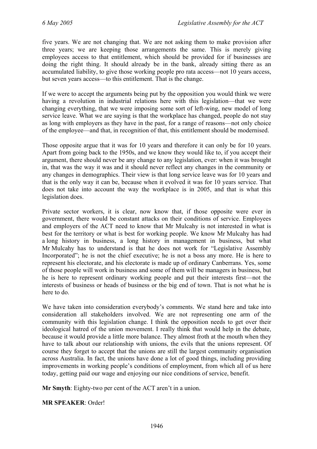five years. We are not changing that. We are not asking them to make provision after three years; we are keeping those arrangements the same. This is merely giving employees access to that entitlement, which should be provided for if businesses are doing the right thing. It should already be in the bank, already sitting there as an accumulated liability, to give those working people pro rata access—not 10 years access, but seven years access—to this entitlement. That is the change.

If we were to accept the arguments being put by the opposition you would think we were having a revolution in industrial relations here with this legislation—that we were changing everything, that we were imposing some sort of left-wing, new model of long service leave. What we are saying is that the workplace has changed, people do not stay as long with employers as they have in the past, for a range of reasons—not only choice of the employee—and that, in recognition of that, this entitlement should be modernised.

Those opposite argue that it was for 10 years and therefore it can only be for 10 years. Apart from going back to the 1950s, and we know they would like to, if you accept their argument, there should never be any change to any legislation, ever: when it was brought in, that was the way it was and it should never reflect any changes in the community or any changes in demographics. Their view is that long service leave was for 10 years and that is the only way it can be, because when it evolved it was for 10 years service. That does not take into account the way the workplace is in 2005, and that is what this legislation does.

Private sector workers, it is clear, now know that, if those opposite were ever in government, there would be constant attacks on their conditions of service. Employees and employers of the ACT need to know that Mr Mulcahy is not interested in what is best for the territory or what is best for working people. We know Mr Mulcahy has had a long history in business, a long history in management in business, but what Mr Mulcahy has to understand is that he does not work for "Legislative Assembly Incorporated"; he is not the chief executive; he is not a boss any more. He is here to represent his electorate, and his electorate is made up of ordinary Canberrans. Yes, some of those people will work in business and some of them will be managers in business, but he is here to represent ordinary working people and put their interests first—not the interests of business or heads of business or the big end of town. That is not what he is here to do.

We have taken into consideration everybody's comments. We stand here and take into consideration all stakeholders involved. We are not representing one arm of the community with this legislation change. I think the opposition needs to get over their ideological hatred of the union movement. I really think that would help in the debate, because it would provide a little more balance. They almost froth at the mouth when they have to talk about our relationship with unions, the evils that the unions represent. Of course they forget to accept that the unions are still the largest community organisation across Australia. In fact, the unions have done a lot of good things, including providing improvements in working people's conditions of employment, from which all of us here today, getting paid our wage and enjoying our nice conditions of service, benefit.

**Mr Smyth**: Eighty-two per cent of the ACT aren't in a union.

**MR SPEAKER**: Order!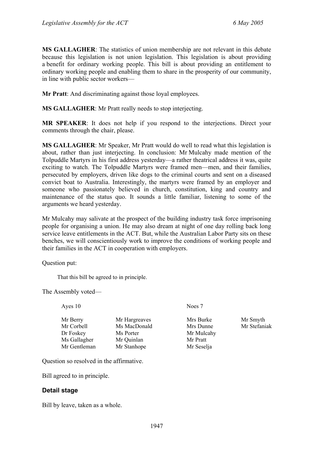**MS GALLAGHER**: The statistics of union membership are not relevant in this debate because this legislation is not union legislation. This legislation is about providing a benefit for ordinary working people. This bill is about providing an entitlement to ordinary working people and enabling them to share in the prosperity of our community, in line with public sector workers—

**Mr Pratt**: And discriminating against those loyal employees.

**MS GALLAGHER**: Mr Pratt really needs to stop interjecting.

**MR SPEAKER**: It does not help if you respond to the interjections. Direct your comments through the chair, please.

**MS GALLAGHER**: Mr Speaker, Mr Pratt would do well to read what this legislation is about, rather than just interjecting. In conclusion: Mr Mulcahy made mention of the Tolpuddle Martyrs in his first address yesterday—a rather theatrical address it was, quite exciting to watch. The Tolpuddle Martyrs were framed men—men, and their families, persecuted by employers, driven like dogs to the criminal courts and sent on a diseased convict boat to Australia. Interestingly, the martyrs were framed by an employer and someone who passionately believed in church, constitution, king and country and maintenance of the status quo. It sounds a little familiar, listening to some of the arguments we heard yesterday.

Mr Mulcahy may salivate at the prospect of the building industry task force imprisoning people for organising a union. He may also dream at night of one day rolling back long service leave entitlements in the ACT. But, while the Australian Labor Party sits on these benches, we will conscientiously work to improve the conditions of working people and their families in the ACT in cooperation with employers.

Question put:

That this bill be agreed to in principle.

The Assembly voted—

| Ayes 10                                                             |                                                                         | Noes 7                                                         |                          |
|---------------------------------------------------------------------|-------------------------------------------------------------------------|----------------------------------------------------------------|--------------------------|
| Mr Berry<br>Mr Corbell<br>Dr Foskey<br>Ms Gallagher<br>Mr Gentleman | Mr Hargreaves<br>Ms MacDonald<br>Ms Porter<br>Mr Quinlan<br>Mr Stanhope | Mrs Burke<br>Mrs Dunne<br>Mr Mulcahy<br>Mr Pratt<br>Mr Seselja | Mr Smyth<br>Mr Stefaniak |
|                                                                     |                                                                         |                                                                |                          |

Question so resolved in the affirmative.

Bill agreed to in principle.

#### **Detail stage**

Bill by leave, taken as a whole.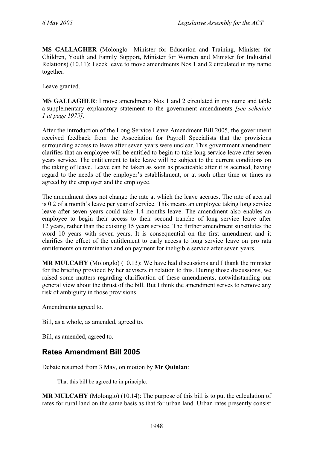**MS GALLAGHER** (Molonglo—Minister for Education and Training, Minister for Children, Youth and Family Support, Minister for Women and Minister for Industrial Relations) (10.11): I seek leave to move amendments Nos 1 and 2 circulated in my name together.

Leave granted.

**MS GALLAGHER**: I move amendments Nos 1 and 2 circulated in my name and table a supplementary explanatory statement to the government amendments *[see schedule 1 at page 1979]*.

After the introduction of the Long Service Leave Amendment Bill 2005, the government received feedback from the Association for Payroll Specialists that the provisions surrounding access to leave after seven years were unclear. This government amendment clarifies that an employee will be entitled to begin to take long service leave after seven years service. The entitlement to take leave will be subject to the current conditions on the taking of leave. Leave can be taken as soon as practicable after it is accrued, having regard to the needs of the employer's establishment, or at such other time or times as agreed by the employer and the employee.

The amendment does not change the rate at which the leave accrues. The rate of accrual is 0.2 of a month's leave per year of service. This means an employee taking long service leave after seven years could take 1.4 months leave. The amendment also enables an employee to begin their access to their second tranche of long service leave after 12 years, rather than the existing 15 years service. The further amendment substitutes the word 10 years with seven years. It is consequential on the first amendment and it clarifies the effect of the entitlement to early access to long service leave on pro rata entitlements on termination and on payment for ineligible service after seven years.

**MR MULCAHY** (Molonglo) (10.13): We have had discussions and I thank the minister for the briefing provided by her advisers in relation to this. During those discussions, we raised some matters regarding clarification of these amendments, notwithstanding our general view about the thrust of the bill. But I think the amendment serves to remove any risk of ambiguity in those provisions.

Amendments agreed to.

Bill, as a whole, as amended, agreed to.

Bill, as amended, agreed to.

## <span id="page-14-0"></span>**Rates Amendment Bill 2005**

Debate resumed from 3 May, on motion by **Mr Quinlan**:

That this bill be agreed to in principle.

**MR MULCAHY** (Molonglo) (10.14): The purpose of this bill is to put the calculation of rates for rural land on the same basis as that for urban land. Urban rates presently consist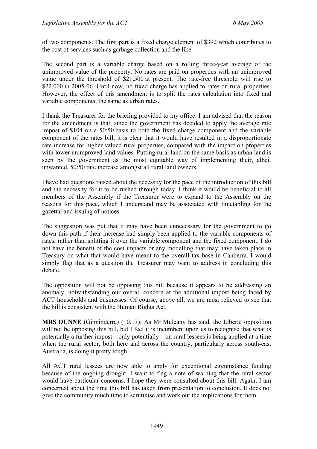of two components. The first part is a fixed charge element of \$392 which contributes to the cost of services such as garbage collection and the like.

The second part is a variable charge based on a rolling three-year average of the unimproved value of the property. No rates are paid on properties with an unimproved value under the threshold of \$21,500 at present. The rate-free threshold will rise to \$22,000 in 2005-06. Until now, no fixed charge has applied to rates on rural properties. However, the effect of this amendment is to split the rates calculation into fixed and variable components, the same as urban rates.

I thank the Treasurer for the briefing provided to my office. I am advised that the reason for the amendment is that, since the government has decided to apply the average rate impost of \$104 on a 50:50 basis to both the fixed charge component and the variable component of the rates bill, it is clear that it would have resulted in a disproportionate rate increase for higher valued rural properties, compared with the impact on properties with lower unimproved land values. Putting rural land on the same basis as urban land is seen by the government as the most equitable way of implementing their, albeit unwanted, 50:50 rate increase amongst all rural land owners.

I have had questions raised about the necessity for the pace of the introduction of this bill and the necessity for it to be rushed through today. I think it would be beneficial to all members of the Assembly if the Treasurer were to expand to the Assembly on the reasons for this pace, which I understand may be associated with timetabling for the gazettal and issuing of notices.

The suggestion was put that it may have been unnecessary for the government to go down this path if their increase had simply been applied to the variable components of rates, rather than splitting it over the variable component and the fixed component. I do not have the benefit of the cost impacts or any modelling that may have taken place in Treasury on what that would have meant to the overall tax base in Canberra. I would simply flag that as a question the Treasurer may want to address in concluding this debate.

The opposition will not be opposing this bill because it appears to be addressing an anomaly, notwithstanding our overall concern at the additional impost being faced by ACT households and businesses. Of course, above all, we are most relieved to see that the bill is consistent with the Human Rights Act.

**MRS DUNNE** (Ginninderra) (10.17): As Mr Mulcahy has said, the Liberal opposition will not be opposing this bill, but I feel it is incumbent upon us to recognise that what is potentially a further impost—only potentially—on rural lessees is being applied at a time when the rural sector, both here and across the country, particularly across south-east Australia, is doing it pretty tough.

All ACT rural lessees are now able to apply for exceptional circumstance funding because of the ongoing drought. I want to flag a note of warning that the rural sector would have particular concerns. I hope they were consulted about this bill. Again, I am concerned about the time this bill has taken from presentation to conclusion. It does not give the community much time to scrutinise and work out the implications for them.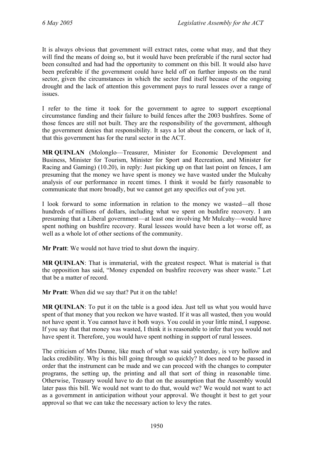It is always obvious that government will extract rates, come what may, and that they will find the means of doing so, but it would have been preferable if the rural sector had been consulted and had had the opportunity to comment on this bill. It would also have been preferable if the government could have held off on further imposts on the rural sector, given the circumstances in which the sector find itself because of the ongoing drought and the lack of attention this government pays to rural lessees over a range of issues.

I refer to the time it took for the government to agree to support exceptional circumstance funding and their failure to build fences after the 2003 bushfires. Some of those fences are still not built. They are the responsibility of the government, although the government denies that responsibility. It says a lot about the concern, or lack of it, that this government has for the rural sector in the ACT.

**MR QUINLAN** (Molonglo—Treasurer, Minister for Economic Development and Business, Minister for Tourism, Minister for Sport and Recreation, and Minister for Racing and Gaming) (10.20), in reply: Just picking up on that last point on fences, I am presuming that the money we have spent is money we have wasted under the Mulcahy analysis of our performance in recent times. I think it would be fairly reasonable to communicate that more broadly, but we cannot get any specifics out of you yet.

I look forward to some information in relation to the money we wasted—all those hundreds of millions of dollars, including what we spent on bushfire recovery. I am presuming that a Liberal government—at least one involving Mr Mulcahy—would have spent nothing on bushfire recovery. Rural lessees would have been a lot worse off, as well as a whole lot of other sections of the community.

**Mr Pratt**: We would not have tried to shut down the inquiry.

**MR QUINLAN**: That is immaterial, with the greatest respect. What is material is that the opposition has said, "Money expended on bushfire recovery was sheer waste." Let that be a matter of record.

**Mr Pratt**: When did we say that? Put it on the table!

**MR QUINLAN**: To put it on the table is a good idea. Just tell us what you would have spent of that money that you reckon we have wasted. If it was all wasted, then you would not have spent it. You cannot have it both ways. You could in your little mind, I suppose. If you say that that money was wasted, I think it is reasonable to infer that you would not have spent it. Therefore, you would have spent nothing in support of rural lessees.

The criticism of Mrs Dunne, like much of what was said yesterday, is very hollow and lacks credibility. Why is this bill going through so quickly? It does need to be passed in order that the instrument can be made and we can proceed with the changes to computer programs, the setting up, the printing and all that sort of thing in reasonable time. Otherwise, Treasury would have to do that on the assumption that the Assembly would later pass this bill. We would not want to do that, would we? We would not want to act as a government in anticipation without your approval. We thought it best to get your approval so that we can take the necessary action to levy the rates.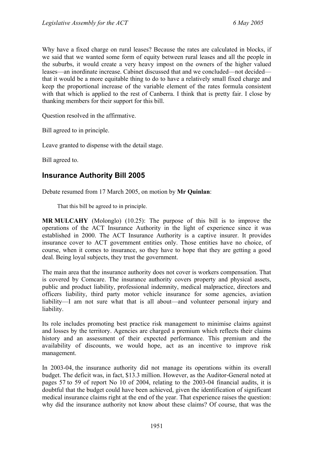Why have a fixed charge on rural leases? Because the rates are calculated in blocks, if we said that we wanted some form of equity between rural leases and all the people in the suburbs, it would create a very heavy impost on the owners of the higher valued leases—an inordinate increase. Cabinet discussed that and we concluded—not decided that it would be a more equitable thing to do to have a relatively small fixed charge and keep the proportional increase of the variable element of the rates formula consistent with that which is applied to the rest of Canberra. I think that is pretty fair. I close by thanking members for their support for this bill.

Question resolved in the affirmative.

Bill agreed to in principle.

Leave granted to dispense with the detail stage.

Bill agreed to.

### <span id="page-17-0"></span>**Insurance Authority Bill 2005**

Debate resumed from 17 March 2005, on motion by **Mr Quinlan**:

That this bill be agreed to in principle.

**MR MULCAHY** (Molonglo) (10.25): The purpose of this bill is to improve the operations of the ACT Insurance Authority in the light of experience since it was established in 2000. The ACT Insurance Authority is a captive insurer. It provides insurance cover to ACT government entities only. Those entities have no choice, of course, when it comes to insurance, so they have to hope that they are getting a good deal. Being loyal subjects, they trust the government.

The main area that the insurance authority does not cover is workers compensation. That is covered by Comcare. The insurance authority covers property and physical assets, public and product liability, professional indemnity, medical malpractice, directors and officers liability, third party motor vehicle insurance for some agencies, aviation liability—I am not sure what that is all about—and volunteer personal injury and liability.

Its role includes promoting best practice risk management to minimise claims against and losses by the territory. Agencies are charged a premium which reflects their claims history and an assessment of their expected performance. This premium and the availability of discounts, we would hope, act as an incentive to improve risk management.

In 2003-04, the insurance authority did not manage its operations within its overall budget. The deficit was, in fact, \$13.3 million. However, as the Auditor-General noted at pages 57 to 59 of report No 10 of 2004, relating to the 2003-04 financial audits, it is doubtful that the budget could have been achieved, given the identification of significant medical insurance claims right at the end of the year. That experience raises the question: why did the insurance authority not know about these claims? Of course, that was the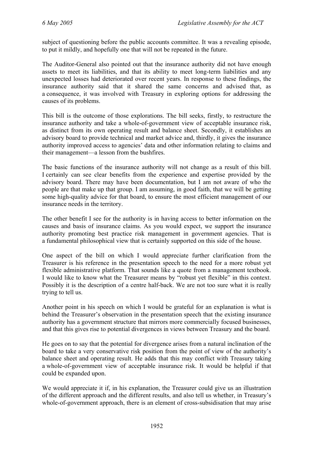subject of questioning before the public accounts committee. It was a revealing episode, to put it mildly, and hopefully one that will not be repeated in the future.

The Auditor-General also pointed out that the insurance authority did not have enough assets to meet its liabilities, and that its ability to meet long-term liabilities and any unexpected losses had deteriorated over recent years. In response to these findings, the insurance authority said that it shared the same concerns and advised that, as a consequence, it was involved with Treasury in exploring options for addressing the causes of its problems.

This bill is the outcome of those explorations. The bill seeks, firstly, to restructure the insurance authority and take a whole-of-government view of acceptable insurance risk, as distinct from its own operating result and balance sheet. Secondly, it establishes an advisory board to provide technical and market advice and, thirdly, it gives the insurance authority improved access to agencies' data and other information relating to claims and their management—a lesson from the bushfires.

The basic functions of the insurance authority will not change as a result of this bill. I certainly can see clear benefits from the experience and expertise provided by the advisory board. There may have been documentation, but I am not aware of who the people are that make up that group. I am assuming, in good faith, that we will be getting some high-quality advice for that board, to ensure the most efficient management of our insurance needs in the territory.

The other benefit I see for the authority is in having access to better information on the causes and basis of insurance claims. As you would expect, we support the insurance authority promoting best practice risk management in government agencies. That is a fundamental philosophical view that is certainly supported on this side of the house.

One aspect of the bill on which I would appreciate further clarification from the Treasurer is his reference in the presentation speech to the need for a more robust yet flexible administrative platform. That sounds like a quote from a management textbook. I would like to know what the Treasurer means by "robust yet flexible" in this context. Possibly it is the description of a centre half-back. We are not too sure what it is really trying to tell us.

Another point in his speech on which I would be grateful for an explanation is what is behind the Treasurer's observation in the presentation speech that the existing insurance authority has a government structure that mirrors more commercially focused businesses, and that this gives rise to potential divergences in views between Treasury and the board.

He goes on to say that the potential for divergence arises from a natural inclination of the board to take a very conservative risk position from the point of view of the authority's balance sheet and operating result. He adds that this may conflict with Treasury taking a whole-of-government view of acceptable insurance risk. It would be helpful if that could be expanded upon.

We would appreciate it if, in his explanation, the Treasurer could give us an illustration of the different approach and the different results, and also tell us whether, in Treasury's whole-of-government approach, there is an element of cross-subsidisation that may arise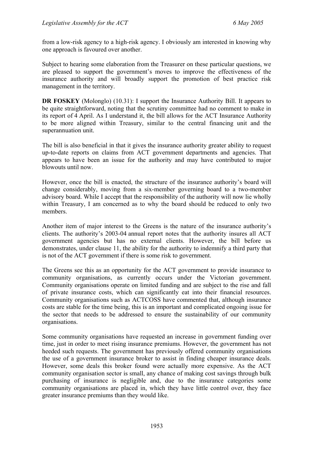from a low-risk agency to a high-risk agency. I obviously am interested in knowing why one approach is favoured over another.

Subject to hearing some elaboration from the Treasurer on these particular questions, we are pleased to support the government's moves to improve the effectiveness of the insurance authority and will broadly support the promotion of best practice risk management in the territory.

**DR FOSKEY** (Molonglo) (10.31): I support the Insurance Authority Bill. It appears to be quite straightforward, noting that the scrutiny committee had no comment to make in its report of 4 April. As I understand it, the bill allows for the ACT Insurance Authority to be more aligned within Treasury, similar to the central financing unit and the superannuation unit.

The bill is also beneficial in that it gives the insurance authority greater ability to request up-to-date reports on claims from ACT government departments and agencies. That appears to have been an issue for the authority and may have contributed to major blowouts until now.

However, once the bill is enacted, the structure of the insurance authority's board will change considerably, moving from a six-member governing board to a two-member advisory board. While I accept that the responsibility of the authority will now lie wholly within Treasury, I am concerned as to why the board should be reduced to only two members.

Another item of major interest to the Greens is the nature of the insurance authority's clients. The authority's 2003-04 annual report notes that the authority insures all ACT government agencies but has no external clients. However, the bill before us demonstrates, under clause 11, the ability for the authority to indemnify a third party that is not of the ACT government if there is some risk to government.

The Greens see this as an opportunity for the ACT government to provide insurance to community organisations, as currently occurs under the Victorian government. Community organisations operate on limited funding and are subject to the rise and fall of private insurance costs, which can significantly eat into their financial resources. Community organisations such as ACTCOSS have commented that, although insurance costs are stable for the time being, this is an important and complicated ongoing issue for the sector that needs to be addressed to ensure the sustainability of our community organisations.

Some community organisations have requested an increase in government funding over time, just in order to meet rising insurance premiums. However, the government has not heeded such requests. The government has previously offered community organisations the use of a government insurance broker to assist in finding cheaper insurance deals. However, some deals this broker found were actually more expensive. As the ACT community organisation sector is small, any chance of making cost savings through bulk purchasing of insurance is negligible and, due to the insurance categories some community organisations are placed in, which they have little control over, they face greater insurance premiums than they would like.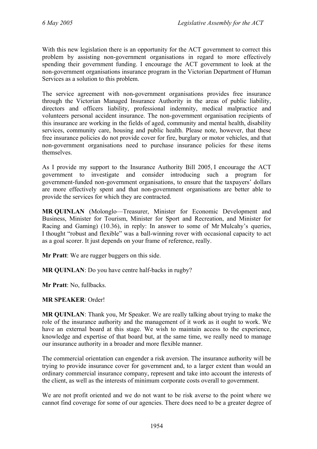With this new legislation there is an opportunity for the ACT government to correct this problem by assisting non-government organisations in regard to more effectively spending their government funding. I encourage the ACT government to look at the non-government organisations insurance program in the Victorian Department of Human Services as a solution to this problem.

The service agreement with non-government organisations provides free insurance through the Victorian Managed Insurance Authority in the areas of public liability, directors and officers liability, professional indemnity, medical malpractice and volunteers personal accident insurance. The non-government organisation recipients of this insurance are working in the fields of aged, community and mental health, disability services, community care, housing and public health. Please note, however, that these free insurance policies do not provide cover for fire, burglary or motor vehicles, and that non-government organisations need to purchase insurance policies for these items themselves.

As I provide my support to the Insurance Authority Bill 2005, I encourage the ACT government to investigate and consider introducing such a program for government-funded non-government organisations, to ensure that the taxpayers' dollars are more effectively spent and that non-government organisations are better able to provide the services for which they are contracted.

**MR QUINLAN** (Molonglo—Treasurer, Minister for Economic Development and Business, Minister for Tourism, Minister for Sport and Recreation, and Minister for Racing and Gaming) (10.36), in reply: In answer to some of Mr Mulcahy's queries, I thought "robust and flexible" was a ball-winning rover with occasional capacity to act as a goal scorer. It just depends on your frame of reference, really.

**Mr Pratt**: We are rugger buggers on this side.

**MR QUINLAN**: Do you have centre half-backs in rugby?

**Mr Pratt**: No, fullbacks.

**MR SPEAKER**: Order!

**MR QUINLAN**: Thank you, Mr Speaker. We are really talking about trying to make the role of the insurance authority and the management of it work as it ought to work. We have an external board at this stage. We wish to maintain access to the experience, knowledge and expertise of that board but, at the same time, we really need to manage our insurance authority in a broader and more flexible manner.

The commercial orientation can engender a risk aversion. The insurance authority will be trying to provide insurance cover for government and, to a larger extent than would an ordinary commercial insurance company, represent and take into account the interests of the client, as well as the interests of minimum corporate costs overall to government.

We are not profit oriented and we do not want to be risk averse to the point where we cannot find coverage for some of our agencies. There does need to be a greater degree of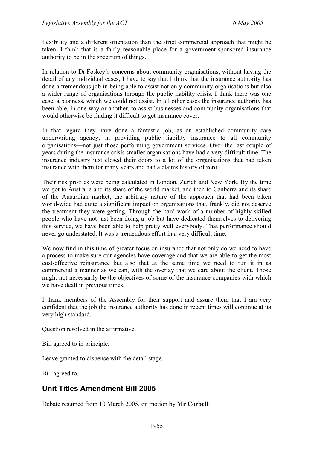flexibility and a different orientation than the strict commercial approach that might be taken. I think that is a fairly reasonable place for a government-sponsored insurance authority to be in the spectrum of things.

In relation to Dr Foskey's concerns about community organisations, without having the detail of any individual cases, I have to say that I think that the insurance authority has done a tremendous job in being able to assist not only community organisations but also a wider range of organisations through the public liability crisis. I think there was one case, a business, which we could not assist. In all other cases the insurance authority has been able, in one way or another, to assist businesses and community organisations that would otherwise be finding it difficult to get insurance cover.

In that regard they have done a fantastic job, as an established community care underwriting agency, in providing public liability insurance to all community organisations—not just those performing government services. Over the last couple of years during the insurance crisis smaller organisations have had a very difficult time. The insurance industry just closed their doors to a lot of the organisations that had taken insurance with them for many years and had a claims history of zero.

Their risk profiles were being calculated in London, Zurich and New York. By the time we got to Australia and its share of the world market, and then to Canberra and its share of the Australian market, the arbitrary nature of the approach that had been taken world-wide had quite a significant impact on organisations that, frankly, did not deserve the treatment they were getting. Through the hard work of a number of highly skilled people who have not just been doing a job but have dedicated themselves to delivering this service, we have been able to help pretty well everybody. That performance should never go understated. It was a tremendous effort in a very difficult time.

We now find in this time of greater focus on insurance that not only do we need to have a process to make sure our agencies have coverage and that we are able to get the most cost-effective reinsurance but also that at the same time we need to run it in as commercial a manner as we can, with the overlay that we care about the client. Those might not necessarily be the objectives of some of the insurance companies with which we have dealt in previous times.

I thank members of the Assembly for their support and assure them that I am very confident that the job the insurance authority has done in recent times will continue at its very high standard.

Question resolved in the affirmative.

Bill agreed to in principle.

Leave granted to dispense with the detail stage.

Bill agreed to.

## <span id="page-21-0"></span>**Unit Titles Amendment Bill 2005**

Debate resumed from 10 March 2005, on motion by **Mr Corbell**: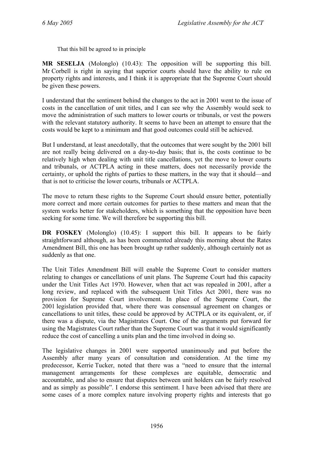That this bill be agreed to in principle

**MR SESELJA** (Molonglo) (10.43): The opposition will be supporting this bill. Mr Corbell is right in saying that superior courts should have the ability to rule on property rights and interests, and I think it is appropriate that the Supreme Court should be given these powers.

I understand that the sentiment behind the changes to the act in 2001 went to the issue of costs in the cancellation of unit titles, and I can see why the Assembly would seek to move the administration of such matters to lower courts or tribunals, or vest the powers with the relevant statutory authority. It seems to have been an attempt to ensure that the costs would be kept to a minimum and that good outcomes could still be achieved.

But I understand, at least anecdotally, that the outcomes that were sought by the 2001 bill are not really being delivered on a day-to-day basis; that is, the costs continue to be relatively high when dealing with unit title cancellations, yet the move to lower courts and tribunals, or ACTPLA acting in these matters, does not necessarily provide the certainty, or uphold the rights of parties to these matters, in the way that it should—and that is not to criticise the lower courts, tribunals or ACTPLA.

The move to return these rights to the Supreme Court should ensure better, potentially more correct and more certain outcomes for parties to these matters and mean that the system works better for stakeholders, which is something that the opposition have been seeking for some time. We will therefore be supporting this bill.

**DR FOSKEY** (Molonglo) (10.45): I support this bill. It appears to be fairly straightforward although, as has been commented already this morning about the Rates Amendment Bill, this one has been brought up rather suddenly, although certainly not as suddenly as that one.

The Unit Titles Amendment Bill will enable the Supreme Court to consider matters relating to changes or cancellations of unit plans. The Supreme Court had this capacity under the Unit Titles Act 1970. However, when that act was repealed in 2001, after a long review, and replaced with the subsequent Unit Titles Act 2001, there was no provision for Supreme Court involvement. In place of the Supreme Court, the 2001 legislation provided that, where there was consensual agreement on changes or cancellations to unit titles, these could be approved by ACTPLA or its equivalent, or, if there was a dispute, via the Magistrates Court. One of the arguments put forward for using the Magistrates Court rather than the Supreme Court was that it would significantly reduce the cost of cancelling a units plan and the time involved in doing so.

The legislative changes in 2001 were supported unanimously and put before the Assembly after many years of consultation and consideration. At the time my predecessor, Kerrie Tucker, noted that there was a "need to ensure that the internal management arrangements for these complexes are equitable, democratic and accountable, and also to ensure that disputes between unit holders can be fairly resolved and as simply as possible". I endorse this sentiment. I have been advised that there are some cases of a more complex nature involving property rights and interests that go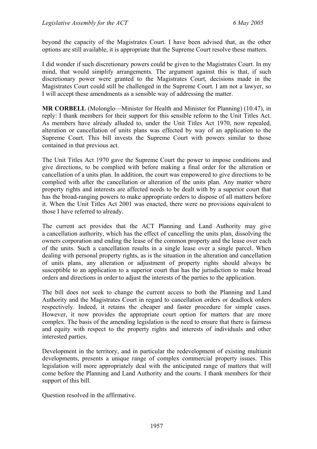beyond the capacity of the Magistrates Court. I have been advised that, as the other options are still available, it is appropriate that the Supreme Court resolve these matters.

I did wonder if such discretionary powers could be given to the Magistrates Court. In my mind, that would simplify arrangements. The argument against this is that, if such discretionary power were granted to the Magistrates Court, decisions made in the Magistrates Court could still be challenged in the Supreme Court. I am not a lawyer, so I will accept these amendments as a sensible way of addressing the matter.

**MR CORBELL** (Molonglo—Minister for Health and Minister for Planning) (10.47), in reply: I thank members for their support for this sensible reform to the Unit Titles Act. As members have already alluded to, under the Unit Titles Act 1970, now repealed, alteration or cancellation of units plans was effected by way of an application to the Supreme Court. This bill invests the Supreme Court with powers similar to those contained in that previous act.

The Unit Titles Act 1970 gave the Supreme Court the power to impose conditions and give directions, to be complied with before making a final order for the alteration or cancellation of a units plan. In addition, the court was empowered to give directions to be complied with after the cancellation or alteration of the units plan. Any matter where property rights and interests are affected needs to be dealt with by a superior court that has the broad-ranging powers to make appropriate orders to dispose of all matters before it. When the Unit Titles Act 2001 was enacted, there were no provisions equivalent to those I have referred to already.

The current act provides that the ACT Planning and Land Authority may give a cancellation authority, which has the effect of cancelling the units plan, dissolving the owners corporation and ending the lease of the common property and the lease over each of the units. Such a cancellation results in a single lease over a single parcel. When dealing with personal property rights, as is the situation in the alteration and cancellation of units plans, any alteration or adjustment of property rights should always be susceptible to an application to a superior court that has the jurisdiction to make broad orders and directions in order to adjust the interests of the parties to the application.

The bill does not seek to change the current access to both the Planning and Land Authority and the Magistrates Court in regard to cancellation orders or deadlock orders respectively. Indeed, it retains the cheaper and faster procedure for simple cases. However, it now provides the appropriate court option for matters that are more complex. The basis of the amending legislation is the need to ensure that there is fairness and equity with respect to the property rights and interests of individuals and other interested parties.

Development in the territory, and in particular the redevelopment of existing multiunit developments, presents a unique range of complex commercial property issues. This legislation will more appropriately deal with the anticipated range of matters that will come before the Planning and Land Authority and the courts. I thank members for their support of this bill.

Question resolved in the affirmative.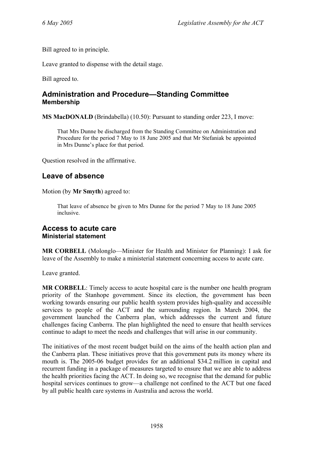Bill agreed to in principle.

Leave granted to dispense with the detail stage.

Bill agreed to.

### <span id="page-24-0"></span>**Administration and Procedure—Standing Committee Membership**

**MS MacDONALD** (Brindabella) (10.50): Pursuant to standing order 223, I move:

That Mrs Dunne be discharged from the Standing Committee on Administration and Procedure for the period 7 May to 18 June 2005 and that Mr Stefaniak be appointed in Mrs Dunne's place for that period.

Question resolved in the affirmative.

## <span id="page-24-1"></span>**Leave of absence**

Motion (by **Mr Smyth**) agreed to:

That leave of absence be given to Mrs Dunne for the period 7 May to 18 June 2005 inclusive.

#### <span id="page-24-2"></span>**Access to acute care Ministerial statement**

**MR CORBELL** (Molonglo—Minister for Health and Minister for Planning): I ask for leave of the Assembly to make a ministerial statement concerning access to acute care.

Leave granted.

**MR CORBELL**: Timely access to acute hospital care is the number one health program priority of the Stanhope government. Since its election, the government has been working towards ensuring our public health system provides high-quality and accessible services to people of the ACT and the surrounding region. In March 2004, the government launched the Canberra plan, which addresses the current and future challenges facing Canberra. The plan highlighted the need to ensure that health services continue to adapt to meet the needs and challenges that will arise in our community.

The initiatives of the most recent budget build on the aims of the health action plan and the Canberra plan. These initiatives prove that this government puts its money where its mouth is. The 2005-06 budget provides for an additional \$34.2 million in capital and recurrent funding in a package of measures targeted to ensure that we are able to address the health priorities facing the ACT. In doing so, we recognise that the demand for public hospital services continues to grow—a challenge not confined to the ACT but one faced by all public health care systems in Australia and across the world.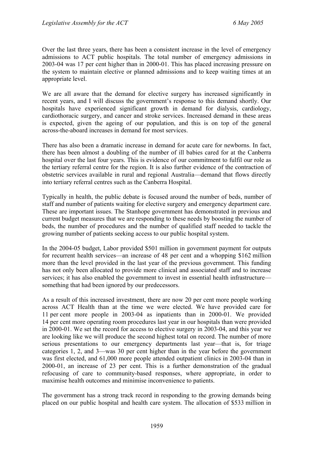Over the last three years, there has been a consistent increase in the level of emergency admissions to ACT public hospitals. The total number of emergency admissions in 2003-04 was 17 per cent higher than in 2000-01. This has placed increasing pressure on the system to maintain elective or planned admissions and to keep waiting times at an appropriate level.

We are all aware that the demand for elective surgery has increased significantly in recent years, and I will discuss the government's response to this demand shortly. Our hospitals have experienced significant growth in demand for dialysis, cardiology, cardiothoracic surgery, and cancer and stroke services. Increased demand in these areas is expected, given the ageing of our population, and this is on top of the general across-the-aboard increases in demand for most services.

There has also been a dramatic increase in demand for acute care for newborns. In fact, there has been almost a doubling of the number of ill babies cared for at the Canberra hospital over the last four years. This is evidence of our commitment to fulfil our role as the tertiary referral centre for the region. It is also further evidence of the contraction of obstetric services available in rural and regional Australia—demand that flows directly into tertiary referral centres such as the Canberra Hospital.

Typically in health, the public debate is focused around the number of beds, number of staff and number of patients waiting for elective surgery and emergency department care. These are important issues. The Stanhope government has demonstrated in previous and current budget measures that we are responding to these needs by boosting the number of beds, the number of procedures and the number of qualified staff needed to tackle the growing number of patients seeking access to our public hospital system.

In the 2004-05 budget, Labor provided \$501 million in government payment for outputs for recurrent health services—an increase of 48 per cent and a whopping \$162 million more than the level provided in the last year of the previous government. This funding has not only been allocated to provide more clinical and associated staff and to increase services; it has also enabled the government to invest in essential health infrastructure something that had been ignored by our predecessors.

As a result of this increased investment, there are now 20 per cent more people working across ACT Health than at the time we were elected. We have provided care for 11 per cent more people in 2003-04 as inpatients than in 2000-01. We provided 14 per cent more operating room procedures last year in our hospitals than were provided in 2000-01. We set the record for access to elective surgery in 2003-04, and this year we are looking like we will produce the second highest total on record. The number of more serious presentations to our emergency departments last year—that is, for triage categories 1, 2, and 3—was 30 per cent higher than in the year before the government was first elected, and 61,000 more people attended outpatient clinics in 2003-04 than in 2000-01, an increase of 23 per cent. This is a further demonstration of the gradual refocusing of care to community-based responses, where appropriate, in order to maximise health outcomes and minimise inconvenience to patients.

The government has a strong track record in responding to the growing demands being placed on our public hospital and health care system. The allocation of \$533 million in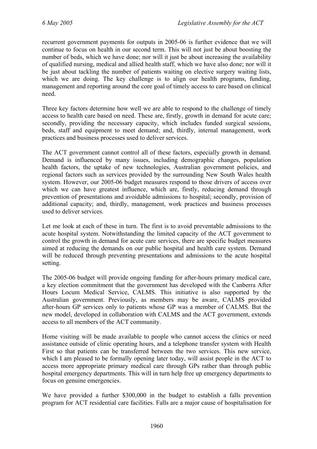recurrent government payments for outputs in 2005-06 is further evidence that we will continue to focus on health in our second term. This will not just be about boosting the number of beds, which we have done; nor will it just be about increasing the availability of qualified nursing, medical and allied health staff, which we have also done; nor will it be just about tackling the number of patients waiting on elective surgery waiting lists, which we are doing. The key challenge is to align our health programs, funding, management and reporting around the core goal of timely access to care based on clinical need.

Three key factors determine how well we are able to respond to the challenge of timely access to health care based on need. These are, firstly, growth in demand for acute care; secondly, providing the necessary capacity, which includes funded surgical sessions, beds, staff and equipment to meet demand; and, thirdly, internal management, work practices and business processes used to deliver services.

The ACT government cannot control all of these factors, especially growth in demand. Demand is influenced by many issues, including demographic changes, population health factors, the uptake of new technologies, Australian government policies, and regional factors such as services provided by the surrounding New South Wales health system. However, our 2005-06 budget measures respond to those drivers of access over which we can have greatest influence, which are, firstly, reducing demand through prevention of presentations and avoidable admissions to hospital; secondly, provision of additional capacity; and, thirdly, management, work practices and business processes used to deliver services.

Let me look at each of these in turn. The first is to avoid preventable admissions to the acute hospital system. Notwithstanding the limited capacity of the ACT government to control the growth in demand for acute care services, there are specific budget measures aimed at reducing the demands on our public hospital and health care system. Demand will be reduced through preventing presentations and admissions to the acute hospital setting.

The 2005-06 budget will provide ongoing funding for after-hours primary medical care, a key election commitment that the government has developed with the Canberra After Hours Locum Medical Service, CALMS. This initiative is also supported by the Australian government. Previously, as members may be aware, CALMS provided after-hours GP services only to patients whose GP was a member of CALMS. But the new model, developed in collaboration with CALMS and the ACT government, extends access to all members of the ACT community.

Home visiting will be made available to people who cannot access the clinics or need assistance outside of clinic operating hours, and a telephone transfer system with Health First so that patients can be transferred between the two services. This new service, which I am pleased to be formally opening later today, will assist people in the ACT to access more appropriate primary medical care through GPs rather than through public hospital emergency departments. This will in turn help free up emergency departments to focus on genuine emergencies.

We have provided a further \$300,000 in the budget to establish a falls prevention program for ACT residential care facilities. Falls are a major cause of hospitalisation for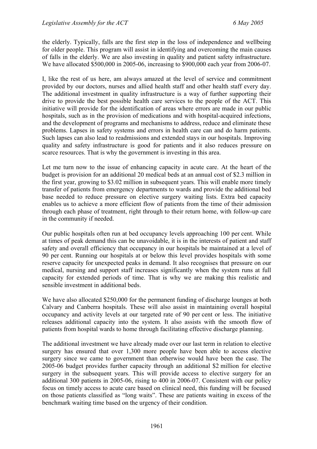the elderly. Typically, falls are the first step in the loss of independence and wellbeing for older people. This program will assist in identifying and overcoming the main causes of falls in the elderly. We are also investing in quality and patient safety infrastructure. We have allocated \$500,000 in 2005-06, increasing to \$900,000 each year from 2006-07.

I, like the rest of us here, am always amazed at the level of service and commitment provided by our doctors, nurses and allied health staff and other health staff every day. The additional investment in quality infrastructure is a way of further supporting their drive to provide the best possible health care services to the people of the ACT. This initiative will provide for the identification of areas where errors are made in our public hospitals, such as in the provision of medications and with hospital-acquired infections, and the development of programs and mechanisms to address, reduce and eliminate these problems. Lapses in safety systems and errors in health care can and do harm patients. Such lapses can also lead to readmissions and extended stays in our hospitals. Improving quality and safety infrastructure is good for patients and it also reduces pressure on scarce resources. That is why the government is investing in this area.

Let me turn now to the issue of enhancing capacity in acute care. At the heart of the budget is provision for an additional 20 medical beds at an annual cost of \$2.3 million in the first year, growing to \$3.02 million in subsequent years. This will enable more timely transfer of patients from emergency departments to wards and provide the additional bed base needed to reduce pressure on elective surgery waiting lists. Extra bed capacity enables us to achieve a more efficient flow of patients from the time of their admission through each phase of treatment, right through to their return home, with follow-up care in the community if needed.

Our public hospitals often run at bed occupancy levels approaching 100 per cent. While at times of peak demand this can be unavoidable, it is in the interests of patient and staff safety and overall efficiency that occupancy in our hospitals be maintained at a level of 90 per cent. Running our hospitals at or below this level provides hospitals with some reserve capacity for unexpected peaks in demand. It also recognises that pressure on our medical, nursing and support staff increases significantly when the system runs at full capacity for extended periods of time. That is why we are making this realistic and sensible investment in additional beds.

We have also allocated \$250,000 for the permanent funding of discharge lounges at both Calvary and Canberra hospitals. These will also assist in maintaining overall hospital occupancy and activity levels at our targeted rate of 90 per cent or less. The initiative releases additional capacity into the system. It also assists with the smooth flow of patients from hospital wards to home through facilitating effective discharge planning.

The additional investment we have already made over our last term in relation to elective surgery has ensured that over 1,300 more people have been able to access elective surgery since we came to government than otherwise would have been the case. The 2005-06 budget provides further capacity through an additional \$2 million for elective surgery in the subsequent years. This will provide access to elective surgery for an additional 300 patients in 2005-06, rising to 400 in 2006-07. Consistent with our policy focus on timely access to acute care based on clinical need, this funding will be focused on those patients classified as "long waits". These are patients waiting in excess of the benchmark waiting time based on the urgency of their condition.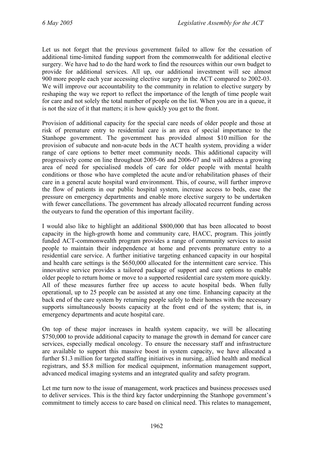Let us not forget that the previous government failed to allow for the cessation of additional time-limited funding support from the commonwealth for additional elective surgery. We have had to do the hard work to find the resources within our own budget to provide for additional services. All up, our additional investment will see almost 900 more people each year accessing elective surgery in the ACT compared to 2002-03. We will improve our accountability to the community in relation to elective surgery by reshaping the way we report to reflect the importance of the length of time people wait for care and not solely the total number of people on the list. When you are in a queue, it is not the size of it that matters; it is how quickly you get to the front.

Provision of additional capacity for the special care needs of older people and those at risk of premature entry to residential care is an area of special importance to the Stanhope government. The government has provided almost \$10 million for the provision of subacute and non-acute beds in the ACT health system, providing a wider range of care options to better meet community needs. This additional capacity will progressively come on line throughout 2005-06 and 2006-07 and will address a growing area of need for specialised models of care for older people with mental health conditions or those who have completed the acute and/or rehabilitation phases of their care in a general acute hospital ward environment. This, of course, will further improve the flow of patients in our public hospital system, increase access to beds, ease the pressure on emergency departments and enable more elective surgery to be undertaken with fewer cancellations. The government has already allocated recurrent funding across the outyears to fund the operation of this important facility.

I would also like to highlight an additional \$800,000 that has been allocated to boost capacity in the high-growth home and community care, HACC, program. This jointly funded ACT-commonwealth program provides a range of community services to assist people to maintain their independence at home and prevents premature entry to a residential care service. A further initiative targeting enhanced capacity in our hospital and health care settings is the \$650,000 allocated for the intermittent care service. This innovative service provides a tailored package of support and care options to enable older people to return home or move to a supported residential care system more quickly. All of these measures further free up access to acute hospital beds. When fully operational, up to 25 people can be assisted at any one time. Enhancing capacity at the back end of the care system by returning people safely to their homes with the necessary supports simultaneously boosts capacity at the front end of the system; that is, in emergency departments and acute hospital care.

On top of these major increases in health system capacity, we will be allocating \$750,000 to provide additional capacity to manage the growth in demand for cancer care services, especially medical oncology. To ensure the necessary staff and infrastructure are available to support this massive boost in system capacity, we have allocated a further \$1.3 million for targeted staffing initiatives in nursing, allied health and medical registrars, and \$5.8 million for medical equipment, information management support, advanced medical imaging systems and an integrated quality and safety program.

Let me turn now to the issue of management, work practices and business processes used to deliver services. This is the third key factor underpinning the Stanhope government's commitment to timely access to care based on clinical need. This relates to management,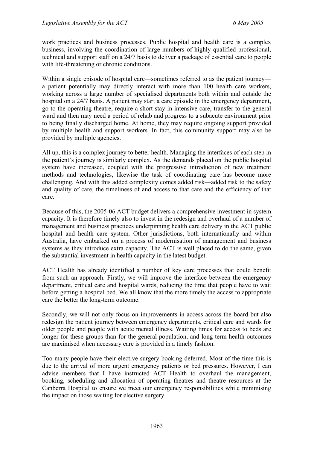work practices and business processes. Public hospital and health care is a complex business, involving the coordination of large numbers of highly qualified professional, technical and support staff on a 24/7 basis to deliver a package of essential care to people with life-threatening or chronic conditions.

Within a single episode of hospital care—sometimes referred to as the patient journey a patient potentially may directly interact with more than 100 health care workers, working across a large number of specialised departments both within and outside the hospital on a 24/7 basis. A patient may start a care episode in the emergency department, go to the operating theatre, require a short stay in intensive care, transfer to the general ward and then may need a period of rehab and progress to a subacute environment prior to being finally discharged home. At home, they may require ongoing support provided by multiple health and support workers. In fact, this community support may also be provided by multiple agencies.

All up, this is a complex journey to better health. Managing the interfaces of each step in the patient's journey is similarly complex. As the demands placed on the public hospital system have increased, coupled with the progressive introduction of new treatment methods and technologies, likewise the task of coordinating care has become more challenging. And with this added complexity comes added risk—added risk to the safety and quality of care, the timeliness of and access to that care and the efficiency of that care.

Because of this, the 2005-06 ACT budget delivers a comprehensive investment in system capacity. It is therefore timely also to invest in the redesign and overhaul of a number of management and business practices underpinning health care delivery in the ACT public hospital and health care system. Other jurisdictions, both internationally and within Australia, have embarked on a process of modernisation of management and business systems as they introduce extra capacity. The ACT is well placed to do the same, given the substantial investment in health capacity in the latest budget.

ACT Health has already identified a number of key care processes that could benefit from such an approach. Firstly, we will improve the interface between the emergency department, critical care and hospital wards, reducing the time that people have to wait before getting a hospital bed. We all know that the more timely the access to appropriate care the better the long-term outcome.

Secondly, we will not only focus on improvements in access across the board but also redesign the patient journey between emergency departments, critical care and wards for older people and people with acute mental illness. Waiting times for access to beds are longer for these groups than for the general population, and long-term health outcomes are maximised when necessary care is provided in a timely fashion.

Too many people have their elective surgery booking deferred. Most of the time this is due to the arrival of more urgent emergency patients or bed pressures. However, I can advise members that I have instructed ACT Health to overhaul the management, booking, scheduling and allocation of operating theatres and theatre resources at the Canberra Hospital to ensure we meet our emergency responsibilities while minimising the impact on those waiting for elective surgery.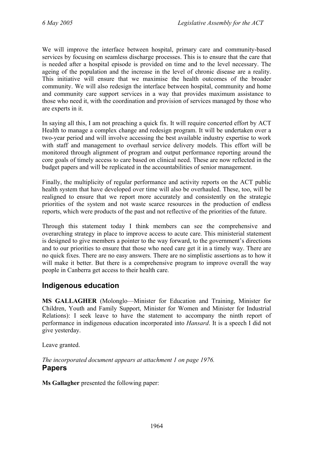We will improve the interface between hospital, primary care and community-based services by focusing on seamless discharge processes. This is to ensure that the care that is needed after a hospital episode is provided on time and to the level necessary. The ageing of the population and the increase in the level of chronic disease are a reality. This initiative will ensure that we maximise the health outcomes of the broader community. We will also redesign the interface between hospital, community and home and community care support services in a way that provides maximum assistance to those who need it, with the coordination and provision of services managed by those who are experts in it.

In saying all this, I am not preaching a quick fix. It will require concerted effort by ACT Health to manage a complex change and redesign program. It will be undertaken over a two-year period and will involve accessing the best available industry expertise to work with staff and management to overhaul service delivery models. This effort will be monitored through alignment of program and output performance reporting around the core goals of timely access to care based on clinical need. These are now reflected in the budget papers and will be replicated in the accountabilities of senior management.

Finally, the multiplicity of regular performance and activity reports on the ACT public health system that have developed over time will also be overhauled. These, too, will be realigned to ensure that we report more accurately and consistently on the strategic priorities of the system and not waste scarce resources in the production of endless reports, which were products of the past and not reflective of the priorities of the future.

Through this statement today I think members can see the comprehensive and overarching strategy in place to improve access to acute care. This ministerial statement is designed to give members a pointer to the way forward, to the government's directions and to our priorities to ensure that those who need care get it in a timely way. There are no quick fixes. There are no easy answers. There are no simplistic assertions as to how it will make it better. But there is a comprehensive program to improve overall the way people in Canberra get access to their health care.

# <span id="page-30-0"></span>**Indigenous education**

**MS GALLAGHER** (Molonglo—Minister for Education and Training, Minister for Children, Youth and Family Support, Minister for Women and Minister for Industrial Relations): I seek leave to have the statement to accompany the ninth report of performance in indigenous education incorporated into *Hansard*. It is a speech I did not give yesterday.

Leave granted.

#### <span id="page-30-1"></span>*The incorporated document appears at attachment 1 on page 1976.* **Papers**

**Ms Gallagher** presented the following paper: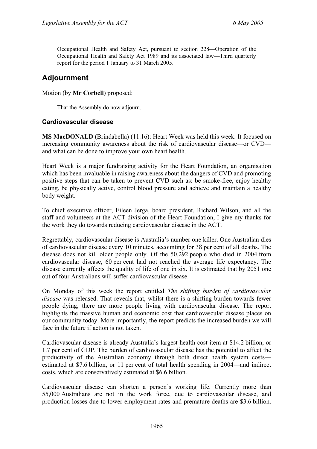Occupational Health and Safety Act, pursuant to section 228—Operation of the Occupational Health and Safety Act 1989 and its associated law—Third quarterly report for the period 1 January to 31 March 2005.

### **Adjournment**

#### Motion (by **Mr Corbell**) proposed:

That the Assembly do now adjourn.

#### <span id="page-31-0"></span>**Cardiovascular disease**

**MS MacDONALD** (Brindabella) (11.16): Heart Week was held this week. It focused on increasing community awareness about the risk of cardiovascular disease—or CVD and what can be done to improve your own heart health.

Heart Week is a major fundraising activity for the Heart Foundation, an organisation which has been invaluable in raising awareness about the dangers of CVD and promoting positive steps that can be taken to prevent CVD such as: be smoke-free, enjoy healthy eating, be physically active, control blood pressure and achieve and maintain a healthy body weight.

To chief executive officer, Eileen Jerga, board president, Richard Wilson, and all the staff and volunteers at the ACT division of the Heart Foundation, I give my thanks for the work they do towards reducing cardiovascular disease in the ACT.

Regrettably, cardiovascular disease is Australia's number one killer. One Australian dies of cardiovascular disease every 10 minutes, accounting for 38 per cent of all deaths. The disease does not kill older people only. Of the 50,292 people who died in 2004 from cardiovascular disease, 60 per cent had not reached the average life expectancy. The disease currently affects the quality of life of one in six. It is estimated that by 2051 one out of four Australians will suffer cardiovascular disease.

On Monday of this week the report entitled *The shifting burden of cardiovascular disease* was released. That reveals that, whilst there is a shifting burden towards fewer people dying, there are more people living with cardiovascular disease. The report highlights the massive human and economic cost that cardiovascular disease places on our community today. More importantly, the report predicts the increased burden we will face in the future if action is not taken.

Cardiovascular disease is already Australia's largest health cost item at \$14.2 billion, or 1.7 per cent of GDP. The burden of cardiovascular disease has the potential to affect the productivity of the Australian economy through both direct health system costs estimated at \$7.6 billion, or 11 per cent of total health spending in 2004—and indirect costs, which are conservatively estimated at \$6.6 billion.

Cardiovascular disease can shorten a person's working life. Currently more than 55,000 Australians are not in the work force, due to cardiovascular disease, and production losses due to lower employment rates and premature deaths are \$3.6 billion.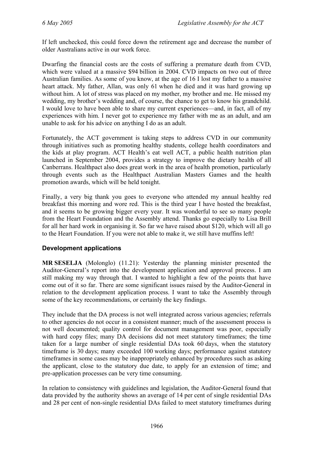If left unchecked, this could force down the retirement age and decrease the number of older Australians active in our work force.

Dwarfing the financial costs are the costs of suffering a premature death from CVD, which were valued at a massive \$94 billion in 2004. CVD impacts on two out of three Australian families. As some of you know, at the age of 16 I lost my father to a massive heart attack. My father, Allan, was only 61 when he died and it was hard growing up without him. A lot of stress was placed on my mother, my brother and me. He missed my wedding, my brother's wedding and, of course, the chance to get to know his grandchild. I would love to have been able to share my current experiences—and, in fact, all of my experiences with him. I never got to experience my father with me as an adult, and am unable to ask for his advice on anything I do as an adult.

Fortunately, the ACT government is taking steps to address CVD in our community through initiatives such as promoting healthy students, college health coordinators and the kids at play program. ACT Health's eat well ACT, a public health nutrition plan launched in September 2004, provides a strategy to improve the dietary health of all Canberrans. Healthpact also does great work in the area of health promotion, particularly through events such as the Healthpact Australian Masters Games and the health promotion awards, which will be held tonight.

Finally, a very big thank you goes to everyone who attended my annual healthy red breakfast this morning and wore red. This is the third year I have hosted the breakfast, and it seems to be growing bigger every year. It was wonderful to see so many people from the Heart Foundation and the Assembly attend. Thanks go especially to Lisa Brill for all her hard work in organising it. So far we have raised about \$120, which will all go to the Heart Foundation. If you were not able to make it, we still have muffins left!

#### <span id="page-32-0"></span>**Development applications**

**MR SESELJA** (Molonglo) (11.21): Yesterday the planning minister presented the Auditor-General's report into the development application and approval process. I am still making my way through that. I wanted to highlight a few of the points that have come out of it so far. There are some significant issues raised by the Auditor-General in relation to the development application process. I want to take the Assembly through some of the key recommendations, or certainly the key findings.

They include that the DA process is not well integrated across various agencies; referrals to other agencies do not occur in a consistent manner; much of the assessment process is not well documented; quality control for document management was poor, especially with hard copy files; many DA decisions did not meet statutory timeframes; the time taken for a large number of single residential DAs took 60 days, when the statutory timeframe is 30 days; many exceeded 100 working days; performance against statutory timeframes in some cases may be inappropriately enhanced by procedures such as asking the applicant, close to the statutory due date, to apply for an extension of time; and pre-application processes can be very time consuming.

In relation to consistency with guidelines and legislation, the Auditor-General found that data provided by the authority shows an average of 14 per cent of single residential DAs and 28 per cent of non-single residential DAs failed to meet statutory timeframes during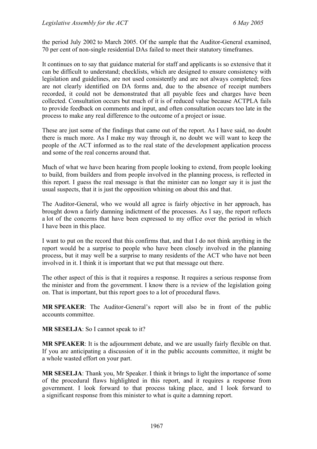the period July 2002 to March 2005. Of the sample that the Auditor-General examined, 70 per cent of non-single residential DAs failed to meet their statutory timeframes.

It continues on to say that guidance material for staff and applicants is so extensive that it can be difficult to understand; checklists, which are designed to ensure consistency with legislation and guidelines, are not used consistently and are not always completed; fees are not clearly identified on DA forms and, due to the absence of receipt numbers recorded, it could not be demonstrated that all payable fees and charges have been collected. Consultation occurs but much of it is of reduced value because ACTPLA fails to provide feedback on comments and input, and often consultation occurs too late in the process to make any real difference to the outcome of a project or issue.

These are just some of the findings that came out of the report. As I have said, no doubt there is much more. As I make my way through it, no doubt we will want to keep the people of the ACT informed as to the real state of the development application process and some of the real concerns around that.

Much of what we have been hearing from people looking to extend, from people looking to build, from builders and from people involved in the planning process, is reflected in this report. I guess the real message is that the minister can no longer say it is just the usual suspects, that it is just the opposition whining on about this and that.

The Auditor-General, who we would all agree is fairly objective in her approach, has brought down a fairly damning indictment of the processes. As I say, the report reflects a lot of the concerns that have been expressed to my office over the period in which I have been in this place.

I want to put on the record that this confirms that, and that I do not think anything in the report would be a surprise to people who have been closely involved in the planning process, but it may well be a surprise to many residents of the ACT who have not been involved in it. I think it is important that we put that message out there.

The other aspect of this is that it requires a response. It requires a serious response from the minister and from the government. I know there is a review of the legislation going on. That is important, but this report goes to a lot of procedural flaws.

**MR SPEAKER**: The Auditor-General's report will also be in front of the public accounts committee.

**MR SESELJA**: So I cannot speak to it?

**MR SPEAKER**: It is the adjournment debate, and we are usually fairly flexible on that. If you are anticipating a discussion of it in the public accounts committee, it might be a whole wasted effort on your part.

**MR SESELJA**: Thank you, Mr Speaker. I think it brings to light the importance of some of the procedural flaws highlighted in this report, and it requires a response from government. I look forward to that process taking place, and I look forward to a significant response from this minister to what is quite a damning report.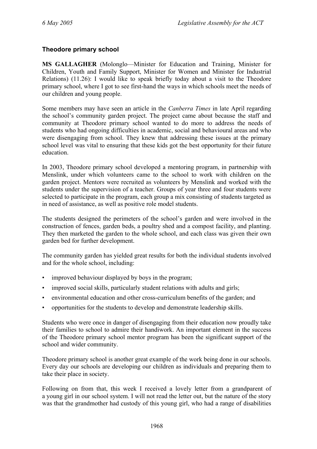#### <span id="page-34-0"></span>**Theodore primary school**

**MS GALLAGHER** (Molonglo—Minister for Education and Training, Minister for Children, Youth and Family Support, Minister for Women and Minister for Industrial Relations) (11.26): I would like to speak briefly today about a visit to the Theodore primary school, where I got to see first-hand the ways in which schools meet the needs of our children and young people.

Some members may have seen an article in the *Canberra Times* in late April regarding the school's community garden project. The project came about because the staff and community at Theodore primary school wanted to do more to address the needs of students who had ongoing difficulties in academic, social and behavioural areas and who were disengaging from school. They knew that addressing these issues at the primary school level was vital to ensuring that these kids got the best opportunity for their future education.

In 2003, Theodore primary school developed a mentoring program, in partnership with Menslink, under which volunteers came to the school to work with children on the garden project. Mentors were recruited as volunteers by Menslink and worked with the students under the supervision of a teacher. Groups of year three and four students were selected to participate in the program, each group a mix consisting of students targeted as in need of assistance, as well as positive role model students.

The students designed the perimeters of the school's garden and were involved in the construction of fences, garden beds, a poultry shed and a compost facility, and planting. They then marketed the garden to the whole school, and each class was given their own garden bed for further development.

The community garden has yielded great results for both the individual students involved and for the whole school, including:

- improved behaviour displayed by boys in the program;
- improved social skills, particularly student relations with adults and girls;
- environmental education and other cross-curriculum benefits of the garden; and
- opportunities for the students to develop and demonstrate leadership skills.

Students who were once in danger of disengaging from their education now proudly take their families to school to admire their handiwork. An important element in the success of the Theodore primary school mentor program has been the significant support of the school and wider community.

Theodore primary school is another great example of the work being done in our schools. Every day our schools are developing our children as individuals and preparing them to take their place in society.

Following on from that, this week I received a lovely letter from a grandparent of a young girl in our school system. I will not read the letter out, but the nature of the story was that the grandmother had custody of this young girl, who had a range of disabilities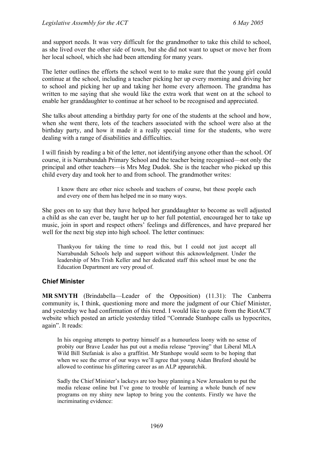and support needs. It was very difficult for the grandmother to take this child to school, as she lived over the other side of town, but she did not want to upset or move her from her local school, which she had been attending for many years.

The letter outlines the efforts the school went to to make sure that the young girl could continue at the school, including a teacher picking her up every morning and driving her to school and picking her up and taking her home every afternoon. The grandma has written to me saying that she would like the extra work that went on at the school to enable her granddaughter to continue at her school to be recognised and appreciated.

She talks about attending a birthday party for one of the students at the school and how, when she went there, lots of the teachers associated with the school were also at the birthday party, and how it made it a really special time for the students, who were dealing with a range of disabilities and difficulties.

I will finish by reading a bit of the letter, not identifying anyone other than the school. Of course, it is Narrabundah Primary School and the teacher being recognised—not only the principal and other teachers—is Mrs Meg Dudok. She is the teacher who picked up this child every day and took her to and from school. The grandmother writes:

I know there are other nice schools and teachers of course, but these people each and every one of them has helped me in so many ways.

She goes on to say that they have helped her granddaughter to become as well adjusted a child as she can ever be, taught her up to her full potential, encouraged her to take up music, join in sport and respect others' feelings and differences, and have prepared her well for the next big step into high school. The letter continues:

Thankyou for taking the time to read this, but I could not just accept all Narrabundah Schools help and support without this acknowledgment. Under the leadership of Mrs Trish Keller and her dedicated staff this school must be one the Education Department are very proud of.

#### <span id="page-35-0"></span>**Chief Minister**

**MR SMYTH** (Brindabella—Leader of the Opposition) (11.31): The Canberra community is, I think, questioning more and more the judgment of our Chief Minister, and yesterday we had confirmation of this trend. I would like to quote from the RiotACT website which posted an article yesterday titled "Comrade Stanhope calls us hypocrites, again". It reads:

In his ongoing attempts to portray himself as a humourless loony with no sense of probity our Brave Leader has put out a media release "proving" that Liberal MLA Wild Bill Stefaniak is also a graffitist. Mr Stanhope would seem to be hoping that when we see the error of our ways we'll agree that young Aidan Bruford should be allowed to continue his glittering career as an ALP apparatchik.

Sadly the Chief Minister's lackeys are too busy planning a New Jerusalem to put the media release online but I've gone to trouble of learning a whole bunch of new programs on my shiny new laptop to bring you the contents. Firstly we have the incriminating evidence: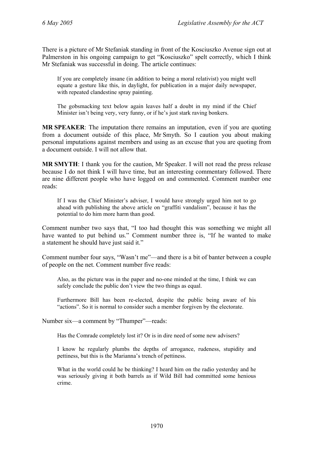There is a picture of Mr Stefaniak standing in front of the Kosciuszko Avenue sign out at Palmerston in his ongoing campaign to get "Kosciuszko" spelt correctly, which I think Mr Stefaniak was successful in doing. The article continues:

If you are completely insane (in addition to being a moral relativist) you might well equate a gesture like this, in daylight, for publication in a major daily newspaper, with repeated clandestine spray painting.

The gobsmacking text below again leaves half a doubt in my mind if the Chief Minister isn't being very, very funny, or if he's just stark raving bonkers.

**MR SPEAKER**: The imputation there remains an imputation, even if you are quoting from a document outside of this place, Mr Smyth. So I caution you about making personal imputations against members and using as an excuse that you are quoting from a document outside. I will not allow that.

**MR SMYTH**: I thank you for the caution, Mr Speaker. I will not read the press release because I do not think I will have time, but an interesting commentary followed. There are nine different people who have logged on and commented. Comment number one reads:

If I was the Chief Minister's adviser, I would have strongly urged him not to go ahead with publishing the above article on "graffiti vandalism", because it has the potential to do him more harm than good.

Comment number two says that, "I too had thought this was something we might all have wanted to put behind us." Comment number three is, "If he wanted to make a statement he should have just said it."

Comment number four says, "Wasn't me"—and there is a bit of banter between a couple of people on the net. Comment number five reads:

Also, as the picture was in the paper and no-one minded at the time, I think we can safely conclude the public don't view the two things as equal.

Furthermore Bill has been re-elected, despite the public being aware of his "actions". So it is normal to consider such a member forgiven by the electorate.

Number six—a comment by "Thumper"—reads:

Has the Comrade completely lost it? Or is in dire need of some new advisers?

I know he regularly plumbs the depths of arrogance, rudeness, stupidity and pettiness, but this is the Marianna's trench of pettiness.

What in the world could he be thinking? I heard him on the radio yesterday and he was seriously giving it both barrels as if Wild Bill had committed some henious crime.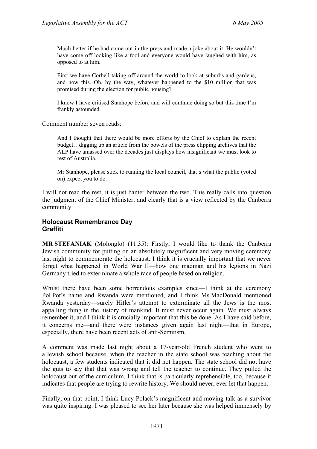Much better if he had come out in the press and made a joke about it. He wouldn't have come off looking like a fool and everyone would have laughed with him, as opposed to at him.

First we have Corbell taking off around the world to look at suburbs and gardens, and now this. Oh, by the way, whatever happened to the \$10 million that was promised during the election for public housing?

I know I have critised Stanhope before and will continue doing so but this time I'm frankly astounded.

Comment number seven reads:

And I thought that there would be more efforts by the Chief to explain the recent budget…digging up an article from the bowels of the press clipping archives that the ALP have amassed over the decades just displays how insignificant we must look to rest of Australia.

Mr Stanhope, please stick to running the local council, that's what the public (voted on) expect you to do.

I will not read the rest, it is just banter between the two. This really calls into question the judgment of the Chief Minister, and clearly that is a view reflected by the Canberra community.

# **Holocaust Remembrance Day Graffiti**

**MR STEFANIAK** (Molonglo) (11.35): Firstly, I would like to thank the Canberra Jewish community for putting on an absolutely magnificent and very moving ceremony last night to commemorate the holocaust. I think it is crucially important that we never forget what happened in World War II—how one madman and his legions in Nazi Germany tried to exterminate a whole race of people based on religion.

Whilst there have been some horrendous examples since—I think at the ceremony Pol Pot's name and Rwanda were mentioned, and I think Ms MacDonald mentioned Rwanda yesterday—surely Hitler's attempt to exterminate all the Jews is the most appalling thing in the history of mankind. It must never occur again. We must always remember it, and I think it is crucially important that this be done. As I have said before, it concerns me—and there were instances given again last night—that in Europe, especially, there have been recent acts of anti-Semitism.

A comment was made last night about a 17-year-old French student who went to a Jewish school because, when the teacher in the state school was teaching about the holocaust, a few students indicated that it did not happen. The state school did not have the guts to say that that was wrong and tell the teacher to continue. They pulled the holocaust out of the curriculum. I think that is particularly reprehensible, too, because it indicates that people are trying to rewrite history. We should never, ever let that happen.

Finally, on that point, I think Lucy Polack's magnificent and moving talk as a survivor was quite inspiring. I was pleased to see her later because she was helped immensely by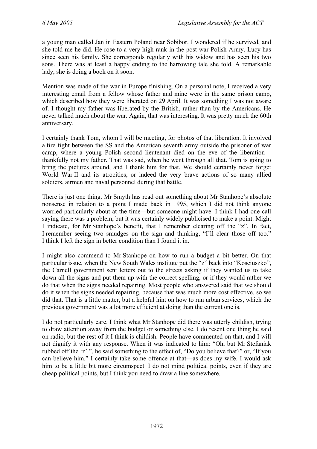a young man called Jan in Eastern Poland near Sobibor. I wondered if he survived, and she told me he did. He rose to a very high rank in the post-war Polish Army. Lucy has since seen his family. She corresponds regularly with his widow and has seen his two sons. There was at least a happy ending to the harrowing tale she told. A remarkable lady, she is doing a book on it soon.

Mention was made of the war in Europe finishing. On a personal note, I received a very interesting email from a fellow whose father and mine were in the same prison camp, which described how they were liberated on 29 April. It was something I was not aware of. I thought my father was liberated by the British, rather than by the Americans. He never talked much about the war. Again, that was interesting. It was pretty much the 60th anniversary.

I certainly thank Tom, whom I will be meeting, for photos of that liberation. It involved a fire fight between the SS and the American seventh army outside the prisoner of war camp, where a young Polish second lieutenant died on the eve of the liberation thankfully not my father. That was sad, when he went through all that. Tom is going to bring the pictures around, and I thank him for that. We should certainly never forget World War II and its atrocities, or indeed the very brave actions of so many allied soldiers, airmen and naval personnel during that battle.

There is just one thing. Mr Smyth has read out something about Mr Stanhope's absolute nonsense in relation to a point I made back in 1995, which I did not think anyone worried particularly about at the time—but someone might have. I think I had one call saying there was a problem, but it was certainly widely publicised to make a point. Might I indicate, for Mr Stanhope's benefit, that I remember clearing off the "z". In fact, I remember seeing two smudges on the sign and thinking, "I'll clear those off too." I think I left the sign in better condition than I found it in.

I might also commend to Mr Stanhope on how to run a budget a bit better. On that particular issue, when the New South Wales institute put the "z" back into "Kosciuszko", the Carnell government sent letters out to the streets asking if they wanted us to take down all the signs and put them up with the correct spelling, or if they would rather we do that when the signs needed repairing. Most people who answered said that we should do it when the signs needed repairing, because that was much more cost effective, so we did that. That is a little matter, but a helpful hint on how to run urban services, which the previous government was a lot more efficient at doing than the current one is.

I do not particularly care. I think what Mr Stanhope did there was utterly childish, trying to draw attention away from the budget or something else. I do resent one thing he said on radio, but the rest of it I think is childish. People have commented on that, and I will not dignify it with any response. When it was indicated to him: "Oh, but Mr Stefaniak rubbed off the 'z' ", he said something to the effect of, "Do you believe that?" or, "If you can believe him." I certainly take some offence at that—as does my wife. I would ask him to be a little bit more circumspect. I do not mind political points, even if they are cheap political points, but I think you need to draw a line somewhere.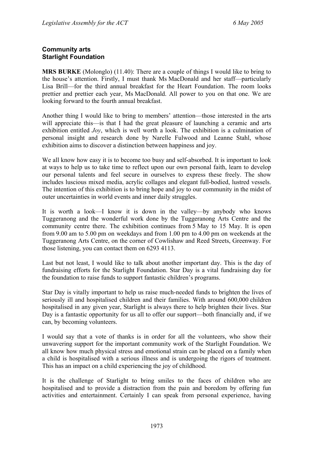# **Community arts Starlight Foundation**

**MRS BURKE** (Molonglo) (11.40): There are a couple of things I would like to bring to the house's attention. Firstly, I must thank Ms MacDonald and her staff—particularly Lisa Brill—for the third annual breakfast for the Heart Foundation. The room looks prettier and prettier each year, Ms MacDonald. All power to you on that one. We are looking forward to the fourth annual breakfast.

Another thing I would like to bring to members' attention—those interested in the arts will appreciate this—is that I had the great pleasure of launching a ceramic and arts exhibition entitled *Joy*, which is well worth a look. The exhibition is a culmination of personal insight and research done by Narelle Fulwood and Leanne Stahl, whose exhibition aims to discover a distinction between happiness and joy.

We all know how easy it is to become too busy and self-absorbed. It is important to look at ways to help us to take time to reflect upon our own personal faith, learn to develop our personal talents and feel secure in ourselves to express these freely. The show includes luscious mixed media, acrylic collages and elegant full-bodied, lustred vessels. The intention of this exhibition is to bring hope and joy to our community in the midst of outer uncertainties in world events and inner daily struggles.

It is worth a look—I know it is down in the valley—by anybody who knows Tuggeranong and the wonderful work done by the Tuggeranong Arts Centre and the community centre there. The exhibition continues from 5 May to 15 May. It is open from 9.00 am to 5.00 pm on weekdays and from 1.00 pm to 4.00 pm on weekends at the Tuggeranong Arts Centre, on the corner of Cowlishaw and Reed Streets, Greenway. For those listening, you can contact them on 6293 4113.

Last but not least, I would like to talk about another important day. This is the day of fundraising efforts for the Starlight Foundation. Star Day is a vital fundraising day for the foundation to raise funds to support fantastic children's programs.

Star Day is vitally important to help us raise much-needed funds to brighten the lives of seriously ill and hospitalised children and their families. With around 600,000 children hospitalised in any given year, Starlight is always there to help brighten their lives. Star Day is a fantastic opportunity for us all to offer our support—both financially and, if we can, by becoming volunteers.

I would say that a vote of thanks is in order for all the volunteers, who show their unwavering support for the important community work of the Starlight Foundation. We all know how much physical stress and emotional strain can be placed on a family when a child is hospitalised with a serious illness and is undergoing the rigors of treatment. This has an impact on a child experiencing the joy of childhood.

It is the challenge of Starlight to bring smiles to the faces of children who are hospitalised and to provide a distraction from the pain and boredom by offering fun activities and entertainment. Certainly I can speak from personal experience, having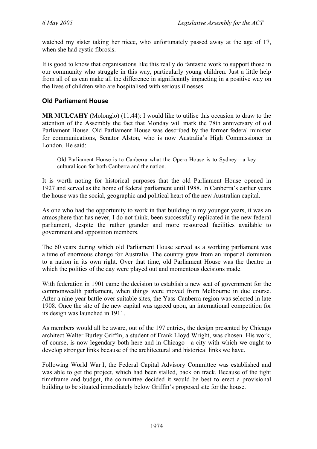watched my sister taking her niece, who unfortunately passed away at the age of 17, when she had cystic fibrosis.

It is good to know that organisations like this really do fantastic work to support those in our community who struggle in this way, particularly young children. Just a little help from all of us can make all the difference in significantly impacting in a positive way on the lives of children who are hospitalised with serious illnesses.

# **Old Parliament House**

**MR MULCAHY** (Molonglo) (11.44): I would like to utilise this occasion to draw to the attention of the Assembly the fact that Monday will mark the 78th anniversary of old Parliament House. Old Parliament House was described by the former federal minister for communications, Senator Alston, who is now Australia's High Commissioner in London. He said:

Old Parliament House is to Canberra what the Opera House is to Sydney—a key cultural icon for both Canberra and the nation.

It is worth noting for historical purposes that the old Parliament House opened in 1927 and served as the home of federal parliament until 1988. In Canberra's earlier years the house was the social, geographic and political heart of the new Australian capital.

As one who had the opportunity to work in that building in my younger years, it was an atmosphere that has never, I do not think, been successfully replicated in the new federal parliament, despite the rather grander and more resourced facilities available to government and opposition members.

The 60 years during which old Parliament House served as a working parliament was a time of enormous change for Australia. The country grew from an imperial dominion to a nation in its own right. Over that time, old Parliament House was the theatre in which the politics of the day were played out and momentous decisions made.

With federation in 1901 came the decision to establish a new seat of government for the commonwealth parliament, when things were moved from Melbourne in due course. After a nine-year battle over suitable sites, the Yass-Canberra region was selected in late 1908. Once the site of the new capital was agreed upon, an international competition for its design was launched in 1911.

As members would all be aware, out of the 197 entries, the design presented by Chicago architect Walter Burley Griffin, a student of Frank Lloyd Wright, was chosen. His work, of course, is now legendary both here and in Chicago—a city with which we ought to develop stronger links because of the architectural and historical links we have.

Following World War I, the Federal Capital Advisory Committee was established and was able to get the project, which had been stalled, back on track. Because of the tight timeframe and budget, the committee decided it would be best to erect a provisional building to be situated immediately below Griffin's proposed site for the house.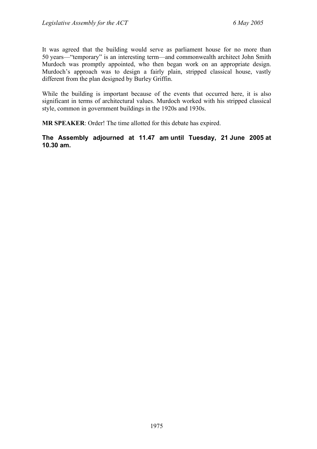It was agreed that the building would serve as parliament house for no more than 50 years—"temporary" is an interesting term—and commonwealth architect John Smith Murdoch was promptly appointed, who then began work on an appropriate design. Murdoch's approach was to design a fairly plain, stripped classical house, vastly different from the plan designed by Burley Griffin.

While the building is important because of the events that occurred here, it is also significant in terms of architectural values. Murdoch worked with his stripped classical style, common in government buildings in the 1920s and 1930s.

**MR SPEAKER**: Order! The time allotted for this debate has expired.

**The Assembly adjourned at 11.47 am until Tuesday, 21 June 2005 at 10.30 am.**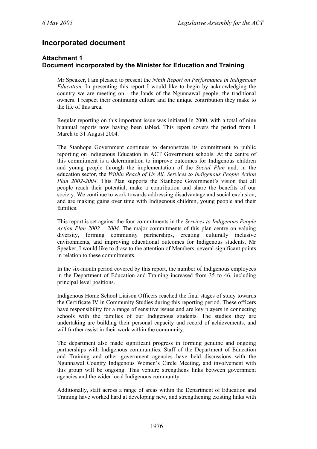# **Incorporated document**

# **Attachment 1 Document incorporated by the Minister for Education and Training**

Mr Speaker, I am pleased to present the *Ninth Report on Performance in Indigenous Education*. In presenting this report I would like to begin by acknowledging the country we are meeting on - the lands of the Ngunnawal people, the traditional owners. I respect their continuing culture and the unique contribution they make to the life of this area.

Regular reporting on this important issue was initiated in 2000, with a total of nine biannual reports now having been tabled. This report covers the period from 1 March to 31 August 2004.

The Stanhope Government continues to demonstrate its commitment to public reporting on Indigenous Education in ACT Government schools. At the centre of this commitment is a determination to improve outcomes for Indigenous children and young people through the implementation of the *Social Plan* and, in the education sector, the *Within Reach of Us All, Services to Indigenous People Action Plan 2002-2004.* This Plan supports the Stanhope Government's vision that all people reach their potential, make a contribution and share the benefits of our society. We continue to work towards addressing disadvantage and social exclusion, and are making gains over time with Indigenous children, young people and their families.

This report is set against the four commitments in the *Services to Indigenous People Action Plan 2002 – 2004.* The major commitments of this plan centre on valuing diversity, forming community partnerships, creating culturally inclusive environments, and improving educational outcomes for Indigenous students. Mr Speaker, I would like to draw to the attention of Members, several significant points in relation to these commitments.

In the six-month period covered by this report, the number of Indigenous employees in the Department of Education and Training increased from 35 to 46, including principal level positions.

Indigenous Home School Liaison Officers reached the final stages of study towards the Certificate IV in Community Studies during this reporting period. These officers have responsibility for a range of sensitive issues and are key players in connecting schools with the families of our Indigenous students. The studies they are undertaking are building their personal capacity and record of achievements, and will further assist in their work within the community.

The department also made significant progress in forming genuine and ongoing partnerships with Indigenous communities. Staff of the Department of Education and Training and other government agencies have held discussions with the Ngunnawal Country Indigenous Women's Circle Meeting, and involvement with this group will be ongoing. This venture strengthens links between government agencies and the wider local Indigenous community.

Additionally, staff across a range of areas within the Department of Education and Training have worked hard at developing new, and strengthening existing links with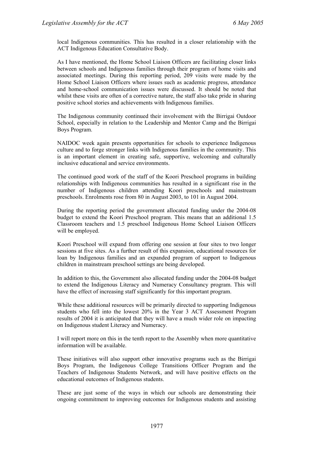local Indigenous communities. This has resulted in a closer relationship with the ACT Indigenous Education Consultative Body.

As I have mentioned, the Home School Liaison Officers are facilitating closer links between schools and Indigenous families through their program of home visits and associated meetings. During this reporting period, 209 visits were made by the Home School Liaison Officers where issues such as academic progress, attendance and home-school communication issues were discussed. It should be noted that whilst these visits are often of a corrective nature, the staff also take pride in sharing positive school stories and achievements with Indigenous families.

The Indigenous community continued their involvement with the Birrigai Outdoor School, especially in relation to the Leadership and Mentor Camp and the Birrigai Boys Program.

NAIDOC week again presents opportunities for schools to experience Indigenous culture and to forge stronger links with Indigenous families in the community. This is an important element in creating safe, supportive, welcoming and culturally inclusive educational and service environments.

The continued good work of the staff of the Koori Preschool programs in building relationships with Indigenous communities has resulted in a significant rise in the number of Indigenous children attending Koori preschools and mainstream preschools. Enrolments rose from 80 in August 2003, to 101 in August 2004.

During the reporting period the government allocated funding under the 2004-08 budget to extend the Koori Preschool program. This means that an additional 1.5 Classroom teachers and 1.5 preschool Indigenous Home School Liaison Officers will be employed.

Koori Preschool will expand from offering one session at four sites to two longer sessions at five sites. As a further result of this expansion, educational resources for loan by Indigenous families and an expanded program of support to Indigenous children in mainstream preschool settings are being developed.

In addition to this, the Government also allocated funding under the 2004-08 budget to extend the Indigenous Literacy and Numeracy Consultancy program. This will have the effect of increasing staff significantly for this important program.

While these additional resources will be primarily directed to supporting Indigenous students who fell into the lowest 20% in the Year 3 ACT Assessment Program results of 2004 it is anticipated that they will have a much wider role on impacting on Indigenous student Literacy and Numeracy.

I will report more on this in the tenth report to the Assembly when more quantitative information will be available.

These initiatives will also support other innovative programs such as the Birrigai Boys Program, the Indigenous College Transitions Officer Program and the Teachers of Indigenous Students Network, and will have positive effects on the educational outcomes of Indigenous students.

These are just some of the ways in which our schools are demonstrating their ongoing commitment to improving outcomes for Indigenous students and assisting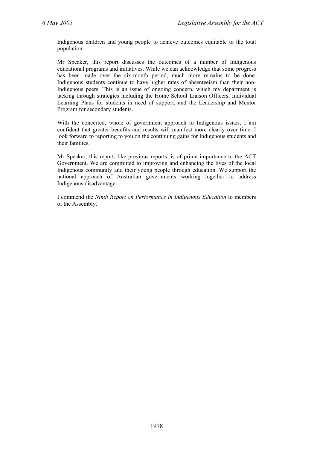Indigenous children and young people to achieve outcomes equitable to the total population.

Mr Speaker, this report discusses the outcomes of a number of Indigenous educational programs and initiatives. While we can acknowledge that some progress has been made over the six-month period, much more remains to be done. Indigenous students continue to have higher rates of absenteeism than their non-Indigenous peers. This is an issue of ongoing concern, which my department is tacking through strategies including the Home School Liaison Officers, Individual Learning Plans for students in need of support, and the Leadership and Mentor Program for secondary students.

With the concerted, whole of government approach to Indigenous issues, I am confident that greater benefits and results will manifest more clearly over time. I look forward to reporting to you on the continuing gains for Indigenous students and their families.

Mr Speaker, this report, like previous reports, is of prime importance to the ACT Government. We are committed to improving and enhancing the lives of the local Indigenous community and their young people through education. We support the national approach of Australian governments working together to address Indigenous disadvantage.

I commend the *Ninth Report on Performance in Indigenous Education* to members of the Assembly.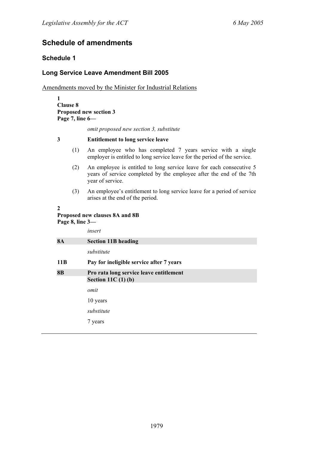# **Schedule of amendments**

# **Schedule 1**

# **Long Service Leave Amendment Bill 2005**

Amendments moved by the Minister for Industrial Relations

**1 Clause 8 Proposed new section 3 Page 7, line 6—** 

*omit proposed new section 3, substitute* 

#### **3 Entitlement to long service leave**

- (1) An employee who has completed 7 years service with a single employer is entitled to long service leave for the period of the service.
- (2) An employee is entitled to long service leave for each consecutive 5 years of service completed by the employee after the end of the 7th year of service.
- (3) An employee's entitlement to long service leave for a period of service arises at the end of the period.

#### **2**

# **Proposed new clauses 8A and 8B Page 8, line 3—**

|           | insert                                                             |
|-----------|--------------------------------------------------------------------|
| <b>8A</b> | <b>Section 11B heading</b>                                         |
|           | substitute                                                         |
| 11B       | Pay for ineligible service after 7 years                           |
| <b>8B</b> | Pro rata long service leave entitlement<br>Section 11C $(1)$ $(b)$ |
|           | omit                                                               |
|           | 10 years                                                           |
|           | substitute                                                         |
|           | 7 years                                                            |
|           |                                                                    |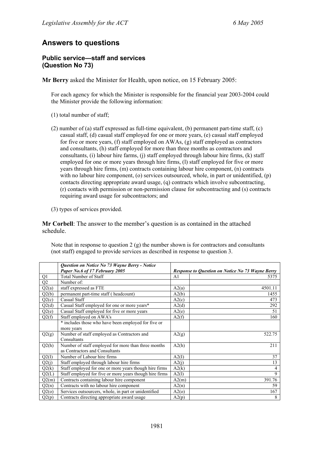# **Answers to questions**

### **Public service—staff and services (Question No 73)**

**Mr Berry** asked the Minister for Health, upon notice, on 15 February 2005:

For each agency for which the Minister is responsible for the financial year 2003-2004 could the Minister provide the following information:

- (1) total number of staff;
- (2) number of (a) staff expressed as full-time equivalent, (b) permanent part-time staff, (c) casual staff, (d) casual staff employed for one or more years, (e) casual staff employed for five or more years, (f) staff employed on AWAs, (g) staff employed as contractors and consultants, (h) staff employed for more than three months as contractors and consultants, (i) labour hire farms, (j) staff employed through labour hire firms, (k) staff employed for one or more years through hire firms, (l) staff employed for five or more years through hire firms, (m) contracts containing labour hire component, (n) contracts with no labour hire component, (o) services outsourced, whole, in part or unidentified, (p) contacts directing appropriate award usage, (q) contracts which involve subcontracting, (r) contacts with permission or non-permission clause for subcontracting and (s) contracts requiring award usage for subcontractors; and
- (3) types of services provided.

**Mr Corbell**: The answer to the member's question is as contained in the attached schedule.

Note that in response to question  $2(g)$  the number shown is for contractors and consultants (not staff) engaged to provide services as described in response to question 3.

|                 | Question on Notice No 73 Wayne Berry - Notice           |                |                                                         |
|-----------------|---------------------------------------------------------|----------------|---------------------------------------------------------|
|                 | Paper No.6 of 17 February 2005                          |                | <b>Response to Question on Notice No 73 Wayne Berry</b> |
| Q1              | <b>Total Number of Staff</b>                            | A <sub>1</sub> | 5375                                                    |
| $\overline{Q2}$ | Number of:                                              |                |                                                         |
| Q2(a)           | staff expressed as FTE                                  | A2(a)          | 4501.11                                                 |
| Q2(b)           | permanent part-time staff (headcount)                   | A2(b)          | 1455                                                    |
| Q2(c)           | Casual Staff                                            | A2(c)          | 473                                                     |
| Q2(d)           | Casual Staff employed for one or more years*            | A2(d)          | 292                                                     |
| Q2(e)           | Casual Staff employed for five or more years            | A2(e)          | 51                                                      |
| Q2(f)           | Staff employed on AWA's                                 | A2(f)          | 160                                                     |
|                 | * includes those who have been employed for five or     |                |                                                         |
|                 | more years                                              |                |                                                         |
| Q2(g)           | Number of staff employed as Contractors and             | A2(g)          | 522.75                                                  |
|                 | Consultants                                             |                |                                                         |
| Q2(h)           | Number of staff employed for more than three months     | A2(h)          | 211                                                     |
|                 | as Contractors and Consultants                          |                |                                                         |
| Q2(I)           | Number of Labour hire firms                             | A2(I)          | 37                                                      |
| Q2(j)           | Staff employed through labour hire firms                | A2(j)          | 13                                                      |
| Q2(k)           | Staff employed for one or more years though hire firms  | A2(k)          | 4                                                       |
| Q2(L)           | Staff employed for five or more years though hire firms | A2(1)          | 9                                                       |
| Q2(m)           | Contracts containing labour hire component              | A2(m)          | 391.76                                                  |
| Q2(n)           | Contracts with no labour hire component                 | A2(n)          | 59                                                      |
| Q2(0)           | Services outsourcers, whole, in part or unidentified    | A2(0)          | 167                                                     |
| Q2(p)           | Contracts directing appropriate award usage             | A2(p)          | 8                                                       |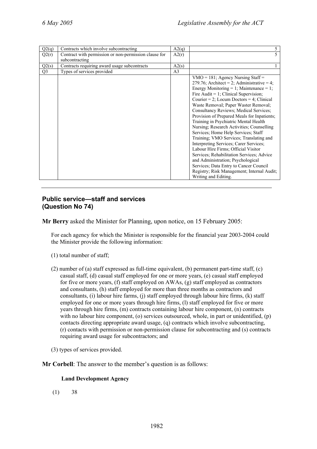| Q2(q)          | Contracts which involve subcontracting                | A2(q)          | 5                                           |
|----------------|-------------------------------------------------------|----------------|---------------------------------------------|
| Q2(r)          | Contract with permission or non-permission clause for | A2(r)          | 5                                           |
|                | subcontracting                                        |                |                                             |
| Q2(s)          | Contracts requiring award usage subcontracts          | A2(s)          |                                             |
| Q <sub>3</sub> | Types of services provided                            | A <sub>3</sub> |                                             |
|                |                                                       |                | $VMO = 181$ ; Agency Nursing Staff =        |
|                |                                                       |                | 279.76; Architect = 2; Administrative = 4;  |
|                |                                                       |                | Energy Monitoring = 1; Maintenance = 1;     |
|                |                                                       |                | Fire Audit = $1$ ; Clinical Supervision;    |
|                |                                                       |                | Courier = 2; Locum Doctors = 4; Clinical    |
|                |                                                       |                | Waste Removal; Paper Waster Removal;        |
|                |                                                       |                | Consultancy Reviews; Medical Services;      |
|                |                                                       |                | Provision of Prepared Meals for Inpatients; |
|                |                                                       |                | Training in Psychiatric Mental Health       |
|                |                                                       |                | Nursing; Research Activities; Counselling   |
|                |                                                       |                | Services; Home Help Services; Staff         |
|                |                                                       |                | Training; VMO Services; Translating and     |
|                |                                                       |                | Interpreting Services; Carer Services;      |
|                |                                                       |                | Labour Hire Firms; Official Visitor         |
|                |                                                       |                | Services; Rehabilitation Services; Advice   |
|                |                                                       |                | and Administration; Psychological           |
|                |                                                       |                | Services; Data Entry to Cancer Council      |
|                |                                                       |                | Registry; Risk Management; Internal Audit;  |
|                |                                                       |                | Writing and Editing.                        |

#### **Public service—staff and services (Question No 74)**

**Mr Berry** asked the Minister for Planning, upon notice, on 15 February 2005:

For each agency for which the Minister is responsible for the financial year 2003-2004 could the Minister provide the following information:

- (1) total number of staff;
- (2) number of (a) staff expressed as full-time equivalent, (b) permanent part-time staff, (c) casual staff, (d) casual staff employed for one or more years, (e) casual staff employed for five or more years, (f) staff employed on AWAs, (g) staff employed as contractors and consultants, (h) staff employed for more than three months as contractors and consultants, (i) labour hire farms, (j) staff employed through labour hire firms,  $(k)$  staff employed for one or more years through hire firms, (l) staff employed for five or more years through hire firms, (m) contracts containing labour hire component, (n) contracts with no labour hire component, (o) services outsourced, whole, in part or unidentified, (p) contacts directing appropriate award usage, (q) contracts which involve subcontracting, (r) contacts with permission or non-permission clause for subcontracting and (s) contracts requiring award usage for subcontractors; and
- (3) types of services provided.
- **Mr Corbell**: The answer to the member's question is as follows:

#### **Land Development Agency**

(1) 38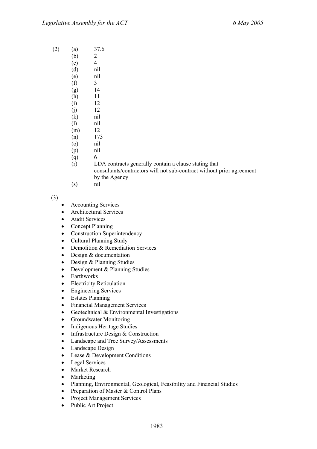- (2) (a) 37.6
	- $(b)$  2
	- $(c)$  4
		- (d) nil
		- (e) nil  $(f)$  3
		- (g) 14
		- (h) 11
		- (i) 12
		- $(i)$  12
		- (k) nil
		- (l) nil
		- (m) 12
		- (n) 173
		- (o) nil
		- (p) nil
		- $(q)$  6
		- (r) LDA contracts generally contain a clause stating that consultants/contractors will not sub-contract without prior agreement by the Agency
		- (s) nil

(3)

- Accounting Services
- Architectural Services
- Audit Services
- Concept Planning
- Construction Superintendency
- Cultural Planning Study
- Demolition & Remediation Services
- Design & documentation
- Design & Planning Studies
- Development & Planning Studies
- Earthworks
- Electricity Reticulation
- Engineering Services
- **Estates Planning**
- Financial Management Services
- Geotechnical & Environmental Investigations
- Groundwater Monitoring
- Indigenous Heritage Studies
- Infrastructure Design & Construction
- Landscape and Tree Survey/Assessments
- Landscape Design
- Lease & Development Conditions
- Legal Services
- Market Research
- **Marketing**
- Planning, Environmental, Geological, Feasibility and Financial Studies
- Preparation of Master & Control Plans
- Project Management Services
- Public Art Project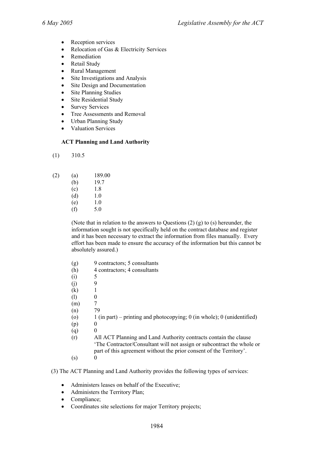- Reception services
- Relocation of Gas & Electricity Services
- Remediation
- Retail Study
- Rural Management
- Site Investigations and Analysis
- Site Design and Documentation
- **Site Planning Studies**
- Site Residential Study
- **Survey Services**
- Tree Assessments and Removal
- Urban Planning Study
- Valuation Services

#### **ACT Planning and Land Authority**

(1) 310.5

| (2) | (a) | 189.00 |
|-----|-----|--------|
|     |     |        |

| (b) | 19.7 |
|-----|------|
| (c) | 1.8  |

- $(d)$  1.0
- $(e)$  1.0
- $(f)$  5.0

 (Note that in relation to the answers to Questions (2) (g) to (s) hereunder, the information sought is not specifically held on the contract database and register and it has been necessary to extract the information from files manually. Every effort has been made to ensure the accuracy of the information but this cannot be absolutely assured.)

- (g) 9 contractors; 5 consultants
- (h) 4 contractors; 4 consultants
- $(i)$  5
- $(i)$  9
- $(k)$  1
- (1)  $0$
- $(m)$  7
- (n) 79
- (o) 1 (in part) printing and photocopying; 0 (in whole); 0 (unidentified)
- $(p)$  0
- $(q)$  0
- (r) All ACT Planning and Land Authority contracts contain the clause 'The Contractor/Consultant will not assign or subcontract the whole or part of this agreement without the prior consent of the Territory'.
- $(s)$  0
- (3) The ACT Planning and Land Authority provides the following types of services:
	- Administers leases on behalf of the Executive;
	- Administers the Territory Plan;
	- Compliance;
	- Coordinates site selections for major Territory projects;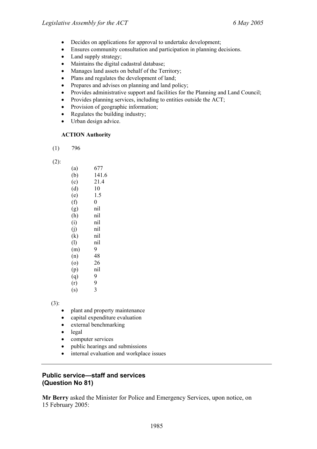- Decides on applications for approval to undertake development;
- Ensures community consultation and participation in planning decisions.
- Land supply strategy;
- Maintains the digital cadastral database;
- Manages land assets on behalf of the Territory;
- Plans and regulates the development of land;
- Prepares and advises on planning and land policy;
- Provides administrative support and facilities for the Planning and Land Council;
- Provides planning services, including to entities outside the ACT;
- Provision of geographic information;
- Regulates the building industry;
- Urban design advice.

#### **ACTION Authority**

 $(1)$  796

(2):

| (a)            | 677            |
|----------------|----------------|
| (b)            | 141.6          |
| (c)            | 21.4           |
| (d)            | 10             |
| (e)            | 1.5            |
| (f)            | $\overline{0}$ |
| (g)            | nil            |
| (h)            | nil            |
| (i)            | nil            |
| $\overline{0}$ | nil            |
| (k)            | nil            |
| (1)            | nil            |
| (m)            | 9              |
| (n)            | 48             |
| (0)            | 26             |
| (p)            | nil            |
| (q)            | 9              |
| (r)            | 9              |
| (s)            | 3              |
|                |                |

(3):

- plant and property maintenance
- capital expenditure evaluation
- external benchmarking
- legal
- computer services
- public hearings and submissions
- internal evaluation and workplace issues

# **Public service—staff and services (Question No 81)**

**Mr Berry** asked the Minister for Police and Emergency Services, upon notice, on 15 February 2005: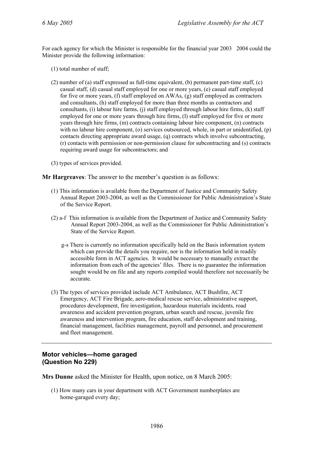For each agency for which the Minister is responsible for the financial year 2003 2004 could the Minister provide the following information:

- (1) total number of staff;
- (2) number of (a) staff expressed as full-time equivalent, (b) permanent part-time staff, (c) casual staff, (d) casual staff employed for one or more years, (e) casual staff employed for five or more years, (f) staff employed on AWAs, (g) staff employed as contractors and consultants, (h) staff employed for more than three months as contractors and consultants, (i) labour hire farms, (j) staff employed through labour hire firms, (k) staff employed for one or more years through hire firms, (l) staff employed for five or more years through hire firms, (m) contracts containing labour hire component, (n) contracts with no labour hire component, (o) services outsourced, whole, in part or unidentified, (p) contacts directing appropriate award usage, (q) contracts which involve subcontracting, (r) contacts with permission or non-permission clause for subcontracting and (s) contracts requiring award usage for subcontractors; and
- (3) types of services provided.

**Mr Hargreaves**: The answer to the member's question is as follows:

- (1) This information is available from the Department of Justice and Community Safety Annual Report 2003-2004, as well as the Commissioner for Public Administration's State of the Service Report.
- (2) a-f This information is available from the Department of Justice and Community Safety Annual Report 2003-2004, as well as the Commissioner for Public Administration's State of the Service Report.
	- g-s There is currently no information specifically held on the Basis information system which can provide the details you require, nor is the information held in readily accessible form in ACT agencies. It would be necessary to manually extract the information from each of the agencies' files. There is no guarantee the information sought would be on file and any reports compiled would therefore not necessarily be accurate.
- (3) The types of services provided include ACT Ambulance, ACT Bushfire, ACT Emergency, ACT Fire Brigade, aero-medical rescue service, administrative support, procedures development, fire investigation, hazardous materials incidents, road awareness and accident prevention program, urban search and rescue, juvenile fire awareness and intervention program, fire education, staff development and training, financial management, facilities management, payroll and personnel, and procurement and fleet management.

# **Motor vehicles—home garaged (Question No 229)**

**Mrs Dunne** asked the Minister for Health, upon notice, on 8 March 2005:

(1) How many cars in your department with ACT Government numberplates are home-garaged every day;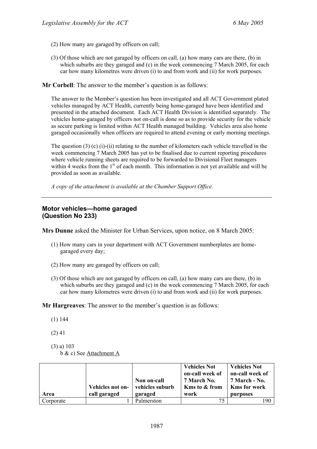- (2) How many are garaged by officers on call;
- (3) Of those which are not garaged by officers on call, (a) how many cars are there, (b) in which suburbs are they garaged and (c) in the week commencing 7 March 2005, for each car how many kilometres were driven (i) to and from work and (ii) for work purposes.

**Mr Corbell**: The answer to the member's question is as follows:

The answer to the Member's question has been investigated and all ACT Government plated vehicles managed by ACT Health, currently being home-garaged have been identified and presented in the attached document. Each ACT Health Division is identified separately. The vehicles home-garaged by officers not on-call is done so as to provide security for the vehicle as secure parking is limited within ACT Health managed building. Vehicles area also home garaged occasionally when officers are required to attend evening or early morning meetings.

The question (3) (c) (i)-(ii) relating to the number of kilometers each vehicle travelled in the week commencing 7 March 2005 has yet to be finalised due to current reporting procedures where vehicle running sheets are required to be forwarded to Divisional Fleet managers within 4 weeks from the  $1<sup>st</sup>$  of each month. This information is not yet available and will be provided as soon as available.

*A copy of the attachment is available at the Chamber Support Office.* 

### **Motor vehicles—home garaged (Question No 233)**

**Mrs Dunne** asked the Minister for Urban Services, upon notice, on 8 March 2005:

- (1) How many cars in your department with ACT Government numberplates are homegaraged every day;
- (2) How many are garaged by officers on call;
- (3) Of those which are not garaged by officers on call, (a) how many cars are there, (b) in which suburbs are they garaged and (c) in the week commencing 7 March 2005, for each car how many kilometres were driven (i) to and from work and (ii) for work purposes.

**Mr Hargreaves**: The answer to the member's question is as follows:

- (1) 144
- (2) 41
- (3) a) 103

b & c) See Attachment A

| Area      | Vehicles not on-<br>call garaged | Non on-call<br>vehicles suburb<br>garaged | <b>Vehicles Not</b><br>on-call week of<br>7 March No.<br><b>Kms to &amp; from</b><br>work | <b>Vehicles Not</b><br>on-call week of<br>7 March - No.<br><b>Kms for work</b><br>purposes |
|-----------|----------------------------------|-------------------------------------------|-------------------------------------------------------------------------------------------|--------------------------------------------------------------------------------------------|
| Corporate |                                  | Palmerston                                | 75                                                                                        | 190                                                                                        |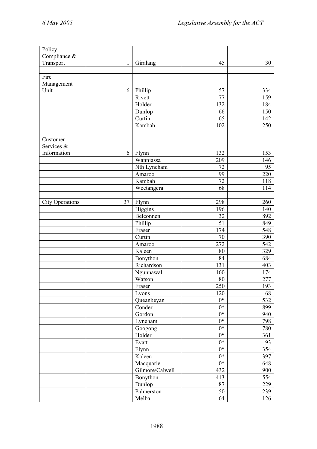| Transport<br>45<br>30<br>1<br>Giralang<br>Fire<br>Management<br>Unit<br>Phillip<br>57<br>6<br>334<br>77<br>159<br>Rivett<br>Holder<br>132<br>184<br>150<br>Dunlop<br>66<br>65<br>Curtin<br>142<br>Kambah<br>102<br>250<br>Customer<br>Services &<br>Information<br>132<br>Flynn<br>153<br>6<br>Wanniassa<br>209<br>146<br>72<br>Nth Lyneham<br>95<br>220<br>99<br>Amaroo<br>Kambah<br>72<br>118<br>Weetangera<br>68<br>114<br>298<br><b>City Operations</b><br>37<br>Flynn<br>260<br>Higgins<br>196<br>140<br>Belconnen<br>32<br>892<br>$\overline{51}$<br>Phillip<br>849<br>548<br>174<br>Fraser<br>Curtin<br>70<br>390<br>272<br>542<br>Amaroo<br>Kaleen<br>80<br>329<br>84<br>684<br>Bonython<br>Richardson<br>131<br>403<br>174<br>Ngunnawal<br>160<br>Watson<br>80<br>277<br>Fraser<br>250<br>193<br>120<br>68<br>Lyons<br>532<br>$0*$<br>Queanbeyan<br>$0*$<br>Conder<br>899<br>$0^*$<br>Gordon<br>940<br>Lyneham<br>$0*$<br>798<br>$0*$<br>Googong<br>780<br>Holder<br>$0*$<br>361<br>$\overline{0^*}$<br>Evatt<br>93<br>$0*$<br>354<br>Flynn<br>Kaleen<br>$0*$<br>397<br>$0*$<br>Macquarie<br>648<br>Gilmore/Calwell<br>900<br>432<br>554<br>Bonython<br>413<br>Dunlop<br>87<br>229<br>Palmerston<br>50<br>239<br>Melba<br>64<br>126 | Policy       |  |  |
|----------------------------------------------------------------------------------------------------------------------------------------------------------------------------------------------------------------------------------------------------------------------------------------------------------------------------------------------------------------------------------------------------------------------------------------------------------------------------------------------------------------------------------------------------------------------------------------------------------------------------------------------------------------------------------------------------------------------------------------------------------------------------------------------------------------------------------------------------------------------------------------------------------------------------------------------------------------------------------------------------------------------------------------------------------------------------------------------------------------------------------------------------------------------------------------------------------------------------------------------|--------------|--|--|
|                                                                                                                                                                                                                                                                                                                                                                                                                                                                                                                                                                                                                                                                                                                                                                                                                                                                                                                                                                                                                                                                                                                                                                                                                                              | Compliance & |  |  |
|                                                                                                                                                                                                                                                                                                                                                                                                                                                                                                                                                                                                                                                                                                                                                                                                                                                                                                                                                                                                                                                                                                                                                                                                                                              |              |  |  |
|                                                                                                                                                                                                                                                                                                                                                                                                                                                                                                                                                                                                                                                                                                                                                                                                                                                                                                                                                                                                                                                                                                                                                                                                                                              |              |  |  |
|                                                                                                                                                                                                                                                                                                                                                                                                                                                                                                                                                                                                                                                                                                                                                                                                                                                                                                                                                                                                                                                                                                                                                                                                                                              |              |  |  |
|                                                                                                                                                                                                                                                                                                                                                                                                                                                                                                                                                                                                                                                                                                                                                                                                                                                                                                                                                                                                                                                                                                                                                                                                                                              |              |  |  |
|                                                                                                                                                                                                                                                                                                                                                                                                                                                                                                                                                                                                                                                                                                                                                                                                                                                                                                                                                                                                                                                                                                                                                                                                                                              |              |  |  |
|                                                                                                                                                                                                                                                                                                                                                                                                                                                                                                                                                                                                                                                                                                                                                                                                                                                                                                                                                                                                                                                                                                                                                                                                                                              |              |  |  |
|                                                                                                                                                                                                                                                                                                                                                                                                                                                                                                                                                                                                                                                                                                                                                                                                                                                                                                                                                                                                                                                                                                                                                                                                                                              |              |  |  |
|                                                                                                                                                                                                                                                                                                                                                                                                                                                                                                                                                                                                                                                                                                                                                                                                                                                                                                                                                                                                                                                                                                                                                                                                                                              |              |  |  |
|                                                                                                                                                                                                                                                                                                                                                                                                                                                                                                                                                                                                                                                                                                                                                                                                                                                                                                                                                                                                                                                                                                                                                                                                                                              |              |  |  |
|                                                                                                                                                                                                                                                                                                                                                                                                                                                                                                                                                                                                                                                                                                                                                                                                                                                                                                                                                                                                                                                                                                                                                                                                                                              |              |  |  |
|                                                                                                                                                                                                                                                                                                                                                                                                                                                                                                                                                                                                                                                                                                                                                                                                                                                                                                                                                                                                                                                                                                                                                                                                                                              |              |  |  |
|                                                                                                                                                                                                                                                                                                                                                                                                                                                                                                                                                                                                                                                                                                                                                                                                                                                                                                                                                                                                                                                                                                                                                                                                                                              |              |  |  |
|                                                                                                                                                                                                                                                                                                                                                                                                                                                                                                                                                                                                                                                                                                                                                                                                                                                                                                                                                                                                                                                                                                                                                                                                                                              |              |  |  |
|                                                                                                                                                                                                                                                                                                                                                                                                                                                                                                                                                                                                                                                                                                                                                                                                                                                                                                                                                                                                                                                                                                                                                                                                                                              |              |  |  |
|                                                                                                                                                                                                                                                                                                                                                                                                                                                                                                                                                                                                                                                                                                                                                                                                                                                                                                                                                                                                                                                                                                                                                                                                                                              |              |  |  |
|                                                                                                                                                                                                                                                                                                                                                                                                                                                                                                                                                                                                                                                                                                                                                                                                                                                                                                                                                                                                                                                                                                                                                                                                                                              |              |  |  |
|                                                                                                                                                                                                                                                                                                                                                                                                                                                                                                                                                                                                                                                                                                                                                                                                                                                                                                                                                                                                                                                                                                                                                                                                                                              |              |  |  |
|                                                                                                                                                                                                                                                                                                                                                                                                                                                                                                                                                                                                                                                                                                                                                                                                                                                                                                                                                                                                                                                                                                                                                                                                                                              |              |  |  |
|                                                                                                                                                                                                                                                                                                                                                                                                                                                                                                                                                                                                                                                                                                                                                                                                                                                                                                                                                                                                                                                                                                                                                                                                                                              |              |  |  |
|                                                                                                                                                                                                                                                                                                                                                                                                                                                                                                                                                                                                                                                                                                                                                                                                                                                                                                                                                                                                                                                                                                                                                                                                                                              |              |  |  |
|                                                                                                                                                                                                                                                                                                                                                                                                                                                                                                                                                                                                                                                                                                                                                                                                                                                                                                                                                                                                                                                                                                                                                                                                                                              |              |  |  |
|                                                                                                                                                                                                                                                                                                                                                                                                                                                                                                                                                                                                                                                                                                                                                                                                                                                                                                                                                                                                                                                                                                                                                                                                                                              |              |  |  |
|                                                                                                                                                                                                                                                                                                                                                                                                                                                                                                                                                                                                                                                                                                                                                                                                                                                                                                                                                                                                                                                                                                                                                                                                                                              |              |  |  |
|                                                                                                                                                                                                                                                                                                                                                                                                                                                                                                                                                                                                                                                                                                                                                                                                                                                                                                                                                                                                                                                                                                                                                                                                                                              |              |  |  |
|                                                                                                                                                                                                                                                                                                                                                                                                                                                                                                                                                                                                                                                                                                                                                                                                                                                                                                                                                                                                                                                                                                                                                                                                                                              |              |  |  |
|                                                                                                                                                                                                                                                                                                                                                                                                                                                                                                                                                                                                                                                                                                                                                                                                                                                                                                                                                                                                                                                                                                                                                                                                                                              |              |  |  |
|                                                                                                                                                                                                                                                                                                                                                                                                                                                                                                                                                                                                                                                                                                                                                                                                                                                                                                                                                                                                                                                                                                                                                                                                                                              |              |  |  |
|                                                                                                                                                                                                                                                                                                                                                                                                                                                                                                                                                                                                                                                                                                                                                                                                                                                                                                                                                                                                                                                                                                                                                                                                                                              |              |  |  |
|                                                                                                                                                                                                                                                                                                                                                                                                                                                                                                                                                                                                                                                                                                                                                                                                                                                                                                                                                                                                                                                                                                                                                                                                                                              |              |  |  |
|                                                                                                                                                                                                                                                                                                                                                                                                                                                                                                                                                                                                                                                                                                                                                                                                                                                                                                                                                                                                                                                                                                                                                                                                                                              |              |  |  |
|                                                                                                                                                                                                                                                                                                                                                                                                                                                                                                                                                                                                                                                                                                                                                                                                                                                                                                                                                                                                                                                                                                                                                                                                                                              |              |  |  |
|                                                                                                                                                                                                                                                                                                                                                                                                                                                                                                                                                                                                                                                                                                                                                                                                                                                                                                                                                                                                                                                                                                                                                                                                                                              |              |  |  |
|                                                                                                                                                                                                                                                                                                                                                                                                                                                                                                                                                                                                                                                                                                                                                                                                                                                                                                                                                                                                                                                                                                                                                                                                                                              |              |  |  |
|                                                                                                                                                                                                                                                                                                                                                                                                                                                                                                                                                                                                                                                                                                                                                                                                                                                                                                                                                                                                                                                                                                                                                                                                                                              |              |  |  |
|                                                                                                                                                                                                                                                                                                                                                                                                                                                                                                                                                                                                                                                                                                                                                                                                                                                                                                                                                                                                                                                                                                                                                                                                                                              |              |  |  |
|                                                                                                                                                                                                                                                                                                                                                                                                                                                                                                                                                                                                                                                                                                                                                                                                                                                                                                                                                                                                                                                                                                                                                                                                                                              |              |  |  |
|                                                                                                                                                                                                                                                                                                                                                                                                                                                                                                                                                                                                                                                                                                                                                                                                                                                                                                                                                                                                                                                                                                                                                                                                                                              |              |  |  |
|                                                                                                                                                                                                                                                                                                                                                                                                                                                                                                                                                                                                                                                                                                                                                                                                                                                                                                                                                                                                                                                                                                                                                                                                                                              |              |  |  |
|                                                                                                                                                                                                                                                                                                                                                                                                                                                                                                                                                                                                                                                                                                                                                                                                                                                                                                                                                                                                                                                                                                                                                                                                                                              |              |  |  |
|                                                                                                                                                                                                                                                                                                                                                                                                                                                                                                                                                                                                                                                                                                                                                                                                                                                                                                                                                                                                                                                                                                                                                                                                                                              |              |  |  |
|                                                                                                                                                                                                                                                                                                                                                                                                                                                                                                                                                                                                                                                                                                                                                                                                                                                                                                                                                                                                                                                                                                                                                                                                                                              |              |  |  |
|                                                                                                                                                                                                                                                                                                                                                                                                                                                                                                                                                                                                                                                                                                                                                                                                                                                                                                                                                                                                                                                                                                                                                                                                                                              |              |  |  |
|                                                                                                                                                                                                                                                                                                                                                                                                                                                                                                                                                                                                                                                                                                                                                                                                                                                                                                                                                                                                                                                                                                                                                                                                                                              |              |  |  |
|                                                                                                                                                                                                                                                                                                                                                                                                                                                                                                                                                                                                                                                                                                                                                                                                                                                                                                                                                                                                                                                                                                                                                                                                                                              |              |  |  |
|                                                                                                                                                                                                                                                                                                                                                                                                                                                                                                                                                                                                                                                                                                                                                                                                                                                                                                                                                                                                                                                                                                                                                                                                                                              |              |  |  |
|                                                                                                                                                                                                                                                                                                                                                                                                                                                                                                                                                                                                                                                                                                                                                                                                                                                                                                                                                                                                                                                                                                                                                                                                                                              |              |  |  |
|                                                                                                                                                                                                                                                                                                                                                                                                                                                                                                                                                                                                                                                                                                                                                                                                                                                                                                                                                                                                                                                                                                                                                                                                                                              |              |  |  |
|                                                                                                                                                                                                                                                                                                                                                                                                                                                                                                                                                                                                                                                                                                                                                                                                                                                                                                                                                                                                                                                                                                                                                                                                                                              |              |  |  |
|                                                                                                                                                                                                                                                                                                                                                                                                                                                                                                                                                                                                                                                                                                                                                                                                                                                                                                                                                                                                                                                                                                                                                                                                                                              |              |  |  |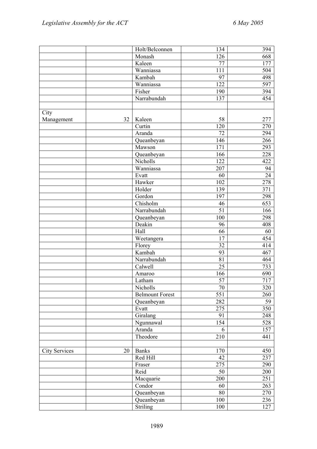|                            | Holt/Belconnen         | 134              | 394 |
|----------------------------|------------------------|------------------|-----|
|                            | Monash                 | 126              | 668 |
|                            | Kaleen                 | 77               | 177 |
|                            | Wanniassa              | 111              | 504 |
|                            | Kambah                 | 97               | 498 |
|                            | Wanniassa              | 122              | 597 |
|                            | Fisher                 | 190              | 394 |
|                            | Narrabundah            | 137              | 454 |
|                            |                        |                  |     |
| City                       |                        |                  |     |
| 32<br>Management           | Kaleen                 | 58               | 277 |
|                            | Curtin                 | 120              | 270 |
|                            | Aranda                 | 72               | 294 |
|                            | Queanbeyan             | 146              | 266 |
|                            | Mawson                 | 171              | 293 |
|                            | Queanbeyan             | 166              | 228 |
|                            | Nicholls               | 122              | 422 |
|                            | Wanniassa              | 207              | 94  |
|                            | Evatt                  | 60               | 24  |
|                            | Hawker                 | 102              | 278 |
|                            | Holder                 | 139              | 371 |
|                            | Gordon                 | 197              | 298 |
|                            | Chisholm               | 46               | 653 |
|                            | Narrabundah            | 51               | 166 |
|                            | Queanbeyan             | 100              | 298 |
|                            | Deakin                 | 96               | 408 |
|                            | Hall                   | 66               | 60  |
|                            | Weetangera             | 17               | 454 |
|                            | Florey                 | 32               | 414 |
|                            | $\overline{K}$ ambah   | 93               | 467 |
|                            | Narrabundah            | 81               | 464 |
|                            | Calwell                | 25               | 733 |
|                            | Amaroo                 | 166              | 690 |
|                            | Latham                 | 57               | 717 |
|                            | Nicholls               | 70               | 320 |
|                            | <b>Belmount Forest</b> | $\overline{551}$ | 260 |
|                            | Queanbeyan             | 282              | 59  |
|                            | Evatt                  | 275              | 350 |
|                            | Giralang               | 91               | 248 |
|                            | Ngunnawal              | 154              | 528 |
|                            | Aranda                 | 6                | 157 |
|                            | Theodore               | 210              | 441 |
|                            |                        |                  |     |
| <b>City Services</b><br>20 | <b>Banks</b>           | 170              | 450 |
|                            | Red Hill               | 42               | 237 |
|                            | Fraser                 | 275              | 290 |
|                            | Reid                   | 50               | 200 |
|                            | Macquarie              | 200              | 251 |
|                            | Condor                 | 60               | 263 |
|                            | Queanbeyan             | 80               | 270 |
|                            | Queanbeyan             | 100              | 236 |
|                            | <b>Striling</b>        | 100              | 127 |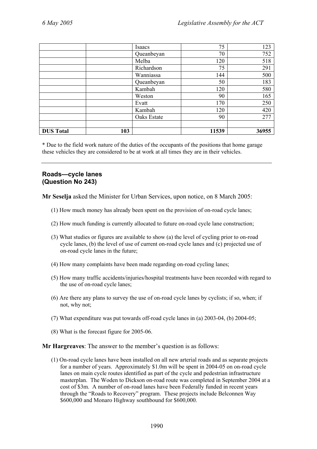|                  |     | Isaacs      | 75    | 123   |
|------------------|-----|-------------|-------|-------|
|                  |     | Queanbeyan  | 70    | 752   |
|                  |     | Melba       | 120   | 518   |
|                  |     | Richardson  | 75    | 291   |
|                  |     | Wanniassa   | 144   | 500   |
|                  |     | Queanbeyan  | 50    | 183   |
|                  |     | Kambah      | 120   | 580   |
|                  |     | Weston      | 90    | 165   |
|                  |     | Evatt       | 170   | 250   |
|                  |     | Kambah      | 120   | 420   |
|                  |     | Oaks Estate | 90    | 277   |
|                  |     |             |       |       |
| <b>DUS Total</b> | 103 |             | 11539 | 36955 |

\* Due to the field work nature of the duties of the occupants of the positions that home garage these vehicles they are considered to be at work at all times they are in their vehicles.

## **Roads—cycle lanes (Question No 243)**

**Mr Seselja** asked the Minister for Urban Services, upon notice, on 8 March 2005:

- (1) How much money has already been spent on the provision of on-road cycle lanes;
- (2) How much funding is currently allocated to future on-road cycle lane construction;
- (3) What studies or figures are available to show (a) the level of cycling prior to on-road cycle lanes, (b) the level of use of current on-road cycle lanes and (c) projected use of on-road cycle lanes in the future;
- (4) How many complaints have been made regarding on-road cycling lanes;
- (5) How many traffic accidents/injuries/hospital treatments have been recorded with regard to the use of on-road cycle lanes;
- (6) Are there any plans to survey the use of on-road cycle lanes by cyclists; if so, when; if not, why not;
- (7) What expenditure was put towards off-road cycle lanes in (a) 2003-04, (b) 2004-05;
- (8) What is the forecast figure for 2005-06.

**Mr Hargreaves**: The answer to the member's question is as follows:

(1) On-road cycle lanes have been installed on all new arterial roads and as separate projects for a number of years. Approximately \$1.0m will be spent in 2004-05 on on-road cycle lanes on main cycle routes identified as part of the cycle and pedestrian infrastructure masterplan. The Woden to Dickson on-road route was completed in September 2004 at a cost of \$3m. A number of on-road lanes have been Federally funded in recent years through the "Roads to Recovery" program. These projects include Belconnen Way \$600,000 and Monaro Highway southbound for \$600,000.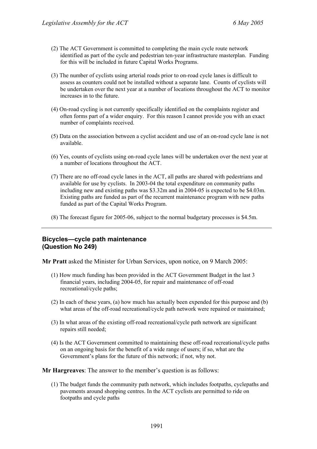- (2) The ACT Government is committed to completing the main cycle route network identified as part of the cycle and pedestrian ten-year infrastructure masterplan. Funding for this will be included in future Capital Works Programs.
- (3) The number of cyclists using arterial roads prior to on-road cycle lanes is difficult to assess as counters could not be installed without a separate lane. Counts of cyclists will be undertaken over the next year at a number of locations throughout the ACT to monitor increases in to the future.
- (4) On-road cycling is not currently specifically identified on the complaints register and often forms part of a wider enquiry. For this reason I cannot provide you with an exact number of complaints received.
- (5) Data on the association between a cyclist accident and use of an on-road cycle lane is not available.
- (6) Yes, counts of cyclists using on-road cycle lanes will be undertaken over the next year at a number of locations throughout the ACT.
- (7) There are no off-road cycle lanes in the ACT, all paths are shared with pedestrians and available for use by cyclists. In 2003-04 the total expenditure on community paths including new and existing paths was \$3.32m and in 2004-05 is expected to be \$4.03m. Existing paths are funded as part of the recurrent maintenance program with new paths funded as part of the Capital Works Program.
- (8) The forecast figure for 2005-06, subject to the normal budgetary processes is \$4.5m.

### **Bicycles—cycle path maintenance (Question No 249)**

**Mr Pratt** asked the Minister for Urban Services, upon notice, on 9 March 2005:

- (1) How much funding has been provided in the ACT Government Budget in the last 3 financial years, including 2004-05, for repair and maintenance of off-road recreational/cycle paths;
- (2) In each of these years, (a) how much has actually been expended for this purpose and (b) what areas of the off-road recreational/cycle path network were repaired or maintained;
- (3) In what areas of the existing off-road recreational/cycle path network are significant repairs still needed;
- (4) Is the ACT Government committed to maintaining these off-road recreational/cycle paths on an ongoing basis for the benefit of a wide range of users; if so, what are the Government's plans for the future of this network; if not, why not.

**Mr Hargreaves**: The answer to the member's question is as follows:

(1) The budget funds the community path network, which includes footpaths, cyclepaths and pavements around shopping centres. In the ACT cyclists are permitted to ride on footpaths and cycle paths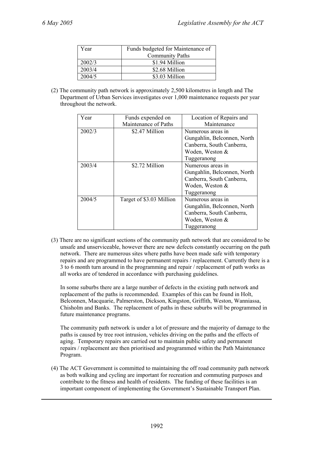| Year   | Funds budgeted for Maintenance of |  |
|--------|-----------------------------------|--|
|        | <b>Community Paths</b>            |  |
| 2002/3 | \$1.94 Million                    |  |
| 2003/4 | \$2.68 Million                    |  |
| 2004/5 | \$3.03 Million                    |  |

(2) The community path network is approximately 2,500 kilometres in length and The Department of Urban Services investigates over 1,000 maintenance requests per year throughout the network.

| Year   | Funds expended on        | Location of Repairs and     |
|--------|--------------------------|-----------------------------|
|        | Maintenance of Paths     | Maintenance                 |
| 2002/3 | \$2.47 Million           | Numerous areas in           |
|        |                          | Gungahlin, Belconnen, North |
|        |                          | Canberra, South Canberra,   |
|        |                          | Woden, Weston &             |
|        |                          | Tuggeranong                 |
| 2003/4 | \$2.72 Million           | Numerous areas in           |
|        |                          | Gungahlin, Belconnen, North |
|        |                          | Canberra, South Canberra,   |
|        |                          | Woden, Weston &             |
|        |                          | Tuggeranong                 |
| 2004/5 | Target of \$3.03 Million | Numerous areas in           |
|        |                          | Gungahlin, Belconnen, North |
|        |                          | Canberra, South Canberra,   |
|        |                          | Woden, Weston &             |
|        |                          | Tuggeranong                 |

(3) There are no significant sections of the community path network that are considered to be unsafe and unserviceable, however there are new defects constantly occurring on the path network. There are numerous sites where paths have been made safe with temporary repairs and are programmed to have permanent repairs / replacement. Currently there is a 3 to 6 month turn around in the programming and repair / replacement of path works as all works are of tendered in accordance with purchasing guidelines.

In some suburbs there are a large number of defects in the existing path network and replacement of the paths is recommended. Examples of this can be found in Holt, Belconnen, Macquarie, Palmerston, Dickson, Kingston, Griffith, Weston, Wanniassa, Chisholm and Banks. The replacement of paths in these suburbs will be programmed in future maintenance programs.

The community path network is under a lot of pressure and the majority of damage to the paths is caused by tree root intrusion, vehicles driving on the paths and the effects of aging. Temporary repairs are carried out to maintain public safety and permanent repairs / replacement are then prioritised and programmed within the Path Maintenance Program.

(4) The ACT Government is committed to maintaining the off road community path network as both walking and cycling are important for recreation and commuting purposes and contribute to the fitness and health of residents. The funding of these facilities is an important component of implementing the Government's Sustainable Transport Plan.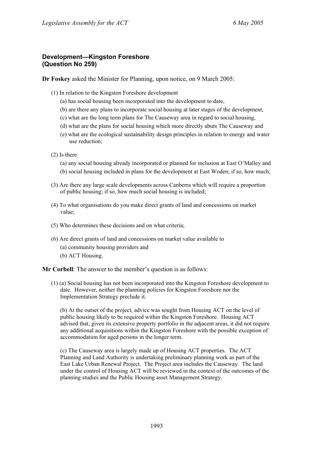## **Development—Kingston Foreshore (Question No 259)**

**Dr Foskey** asked the Minister for Planning, upon notice, on 9 March 2005:

- (1) In relation to the Kingston Foreshore development
	- (a) has social housing been incorporated into the development to date,
	- (b) are there any plans to incorporate social housing at later stages of the development,
	- (c) what are the long term plans for The Causeway area in regard to social housing,
	- (d) what are the plans for social housing which more directly abuts The Causeway and
	- (e) what are the ecological sustainability design principles in relation to energy and water use reduction;
- (2) Is there

(a) any social housing already incorporated or planned for inclusion at East O'Malley and (b) social housing included in plans for the development at East Woden; if so, how much;

- (3) Are there any large scale developments across Canberra which will require a proportion of public housing; if so, how much social housing is included;
- (4) To what organisations do you make direct grants of land and concessions on market value;
- (5) Who determines these decisions and on what criteria;
- (6) Are direct grants of land and concessions on market value available to
	- (a) community housing providers and
	- (b) ACT Housing.

**Mr Corbell**: The answer to the member's question is as follows:

(1) (a) Social housing has not been incorporated into the Kingston Foreshore development to date. However, neither the planning policies for Kingston Foreshore nor the Implementation Strategy preclude it.

(b) At the outset of the project, advice was sought from Housing ACT on the level of public housing likely to be required within the Kingston Foreshore. Housing ACT advised that, given its extensive property portfolio in the adjacent areas, it did not require any additional acquisitions within the Kingston Foreshore with the possible exception of accommodation for aged persons in the longer term.

(c) The Causeway area is largely made up of Housing ACT properties. The ACT Planning and Land Authority is undertaking preliminary planning work as part of the East Lake Urban Renewal Project. The Project area includes the Causeway. The land under the control of Housing ACT will be reviewed in the context of the outcomes of the planning studies and the Public Housing asset Management Strategy.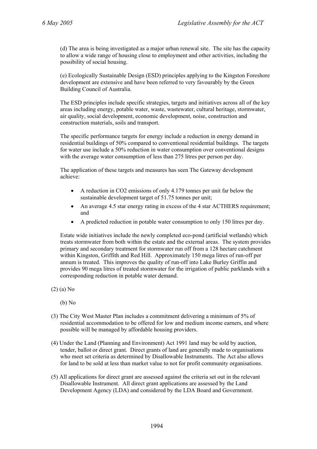(d) The area is being investigated as a major urban renewal site. The site has the capacity to allow a wide range of housing close to employment and other activities, including the possibility of social housing.

(e) Ecologically Sustainable Design (ESD) principles applying to the Kingston Foreshore development are extensive and have been referred to very favourably by the Green Building Council of Australia.

The ESD principles include specific strategies, targets and initiatives across all of the key areas including energy, potable water, waste, wastewater, cultural heritage, stormwater, air quality, social development, economic development, noise, construction and construction materials, soils and transport.

The specific performance targets for energy include a reduction in energy demand in residential buildings of 50% compared to conventional residential buildings. The targets for water use include a 50% reduction in water consumption over conventional designs with the average water consumption of less than 275 litres per person per day.

The application of these targets and measures has seen The Gateway development achieve:

- A reduction in CO2 emissions of only 4.179 tonnes per unit far below the sustainable development target of 51.75 tonnes per unit;
- An average 4.5 star energy rating in excess of the 4 star ACTHERS requirement; and
- A predicted reduction in potable water consumption to only 150 litres per day.

Estate wide initiatives include the newly completed eco-pond (artificial wetlands) which treats stormwater from both within the estate and the external areas. The system provides primary and secondary treatment for stormwater run off from a 128 hectare catchment within Kingston, Griffith and Red Hill. Approximately 150 mega litres of run-off per annum is treated. This improves the quality of run-off into Lake Burley Griffin and provides 90 mega litres of treated stormwater for the irrigation of public parklands with a corresponding reduction in potable water demand.

(2) (a) No

(b) No

- (3) The City West Master Plan includes a commitment delivering a minimum of 5% of residential accommodation to be offered for low and medium income earners, and where possible will be managed by affordable housing providers.
- (4) Under the Land (Planning and Environment) Act 1991 land may be sold by auction, tender, ballot or direct grant. Direct grants of land are generally made to organisations who meet set criteria as determined by Disallowable Instruments. The Act also allows for land to be sold at less than market value to not for profit community organisations.
- (5) All applications for direct grant are assessed against the criteria set out in the relevant Disallowable Instrument. All direct grant applications are assessed by the Land Development Agency (LDA) and considered by the LDA Board and Government.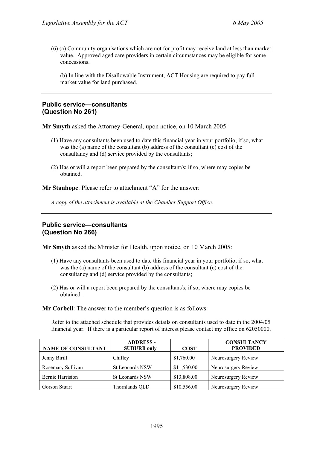(6) (a) Community organisations which are not for profit may receive land at less than market value. Approved aged care providers in certain circumstances may be eligible for some concessions.

(b) In line with the Disallowable Instrument, ACT Housing are required to pay full market value for land purchased.

### **Public service—consultants (Question No 261)**

**Mr Smyth** asked the Attorney-General, upon notice, on 10 March 2005:

- (1) Have any consultants been used to date this financial year in your portfolio; if so, what was the (a) name of the consultant (b) address of the consultant (c) cost of the consultancy and (d) service provided by the consultants;
- (2) Has or will a report been prepared by the consultant/s; if so, where may copies be obtained.

**Mr Stanhope**: Please refer to attachment "A" for the answer:

*A copy of the attachment is available at the Chamber Support Office.* 

## **Public service—consultants (Question No 266)**

**Mr Smyth** asked the Minister for Health, upon notice, on 10 March 2005:

- (1) Have any consultants been used to date this financial year in your portfolio; if so, what was the (a) name of the consultant (b) address of the consultant (c) cost of the consultancy and (d) service provided by the consultants;
- (2) Has or will a report been prepared by the consultant/s; if so, where may copies be obtained.

**Mr Corbell**: The answer to the member's question is as follows:

Refer to the attached schedule that provides details on consultants used to date in the 2004/05 financial year. If there is a particular report of interest please contact my office on 62050000.

| <b>NAME OF CONSULTANT</b> | <b>ADDRESS -</b><br><b>SUBURB only</b> | <b>COST</b> | <b>CONSULTANCY</b><br><b>PROVIDED</b> |
|---------------------------|----------------------------------------|-------------|---------------------------------------|
| Jenny Birill              | Chifley                                | \$1,760.00  | Neurosurgery Review                   |
| Rosemary Sullivan         | St Leonards NSW                        | \$11,530.00 | Neurosurgery Review                   |
| Bernie Harrision          | St Leonards NSW                        | \$13,808.00 | Neurosurgery Review                   |
| Gorson Stuart             | Thornlands QLD                         | \$10,556.00 | Neurosurgery Review                   |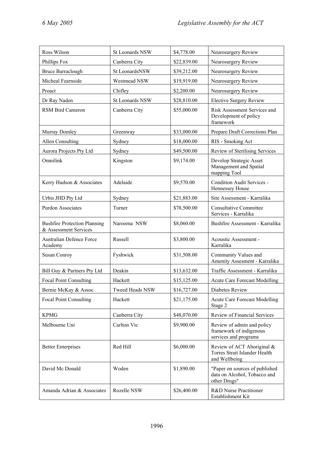| Ross Wilson                                                  | St Leonards NSW | \$4,778.00  | Neurosurgery Review                                                            |
|--------------------------------------------------------------|-----------------|-------------|--------------------------------------------------------------------------------|
| Phillips Fox                                                 | Canberra City   | \$22,839.00 | Neurosurgery Review                                                            |
| <b>Bruce Barraclough</b>                                     | St LeonardsNSW  | \$39,212.00 | Neurosurgery Review                                                            |
| Micheal Fearnside                                            | Westmead NSW    | \$19,919.00 | Neurosurgery Review                                                            |
| Proact                                                       | Chifley         | \$2,200.00  | Neurosurgery Review                                                            |
| Dr Ray Naden                                                 | St Leonards NSW | \$28,810.00 | <b>Elective Surgery Review</b>                                                 |
| <b>RSM Bird Cameron</b>                                      | Canberra City   | \$55,000.00 | Risk Assessment Services and<br>Development of policy<br>framework             |
| Murray Domley                                                | Greenway        | \$33,000.00 | Prepare Draft Corrections Plan                                                 |
| <b>Allen Consulting</b>                                      | Sydney          | \$18,000.00 | RIS - Smoking Act                                                              |
| Aurora Projects Pty Ltd                                      | Sydney          | \$49,500.00 | Review of Sterilising Services                                                 |
| Omnilink                                                     | Kingston        | \$9,174.00  | Develop Strategic Asset<br>Management and Spatial<br>mapping Tool              |
| Kerry Hudson & Associates                                    | Adelaide        | \$9,570.00  | Condition Audit Services -<br>Hennessey House                                  |
| Urbis JHD Pty Ltd                                            | Sydney          | \$21,883.00 | Site Assessment - Karralika                                                    |
| <b>Purdon Associates</b>                                     | Turner          | \$78,500.00 | <b>Consultative Committee</b><br>Services - Karralika                          |
| <b>Bushfire Protection Planning</b><br>& Assessment Services | Narooma NSW     | \$8,060.00  | Bushfire Assessment - Karralika                                                |
| <b>Australian Defence Force</b><br>Academy                   | Russell         | \$3,800.00  | Acoustic Assessment -<br>Karralika                                             |
| <b>Susan Conroy</b>                                          | Fyshwick        | \$31,508.00 | Community Values and<br>Amenity Assesment - Karralika                          |
| Bill Guy & Partners Pty Ltd                                  | Deakin          | \$13,632.00 | Traffic Assessment - Karralika                                                 |
| <b>Focal Point Consulting</b>                                | Hackett         | \$15,125.00 | <b>Acute Care Forecast Modelling</b>                                           |
| Bernie McKay & Assoc                                         | Tweed Heads NSW | \$16,727.00 | Diabetes Review                                                                |
| <b>Focal Point Consulting</b>                                | Hackett         | \$21,175.00 | <b>Acute Care Forecast Modelling</b><br>Stage 2                                |
| <b>KPMG</b>                                                  | Canberra City   | \$48,070.00 | Review of Financial Services                                                   |
| Melbourne Uni                                                | Carlton Vic     | \$9,900.00  | Review of admin and policy<br>framework of indigenous<br>services and programs |
| <b>Better Enterprises</b>                                    | Red Hill        | \$6,000.00  | Review of ACT Aboriginal &<br>Torres Strait Islander Health<br>and Wellbeing   |
| David Mc Donald                                              | Woden           | \$1,890.00  | "Paper on sources of published<br>data on Alcohol, Tobacco and<br>other Drugs" |
| Amanda Adrian & Associates                                   | Rozelle NSW     | \$26,400.00 | R&D Nurse Practitioner<br>Establishment Kit                                    |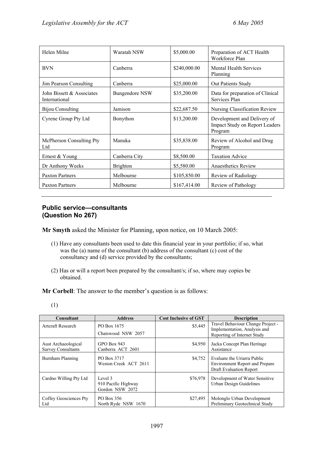| Helen Milne                                | Waratah NSW           | \$5,000.00   | Preparation of ACT Health<br>Workforce Plan                                     |
|--------------------------------------------|-----------------------|--------------|---------------------------------------------------------------------------------|
| <b>BVN</b>                                 | Canberra              | \$240,000.00 | <b>Mental Health Services</b><br>Planning                                       |
| Jim Pearson Consulting                     | Canberra              | \$25,000.00  | <b>Out Patients Study</b>                                                       |
| John Bissett & Associates<br>International | <b>Bungendore NSW</b> | \$35,200.00  | Data for preparation of Clinical<br>Services Plan                               |
| <b>Bijou Consulting</b>                    | Jamison               | \$22,687.50  | Nursing Classification Review                                                   |
| Cyrene Group Pty Ltd                       | Bonython              | \$13,200.00  | Development and Delivery of<br><b>Impact Study on Report Leaders</b><br>Program |
| McPherson Consulting Pty<br>Ltd            | Manuka                | \$35,838.00  | Review of Alcohol and Drug<br>Program                                           |
| Ernest & Young                             | Canberra City         | \$8,500.00   | <b>Taxation Advice</b>                                                          |
| Dr Anthony Weeks                           | <b>Brighton</b>       | \$5,580.00   | Anaesthetics Review                                                             |
| <b>Paxton Partners</b>                     | Melbourne             | \$105,850.00 | Review of Radiology                                                             |
| <b>Paxton Partners</b>                     | Melbourne             | \$167,414.00 | Review of Pathology                                                             |

# **Public service—consultants (Question No 267)**

**Mr Smyth** asked the Minister for Planning, upon notice, on 10 March 2005:

- (1) Have any consultants been used to date this financial year in your portfolio; if so, what was the (a) name of the consultant (b) address of the consultant (c) cost of the consultancy and (d) service provided by the consultants;
- (2) Has or will a report been prepared by the consultant/s; if so, where may copies be obtained.

**Mr Corbell**: The answer to the member's question is as follows:

| <b>Consultant</b>                                | <b>Address</b>                                    | <b>Cost Inclusive of GST</b> | <b>Description</b>                                                                       |
|--------------------------------------------------|---------------------------------------------------|------------------------------|------------------------------------------------------------------------------------------|
| <b>Artcraft Research</b>                         | PO Box 1675                                       | \$5,445                      | Travel Behaviour Change Project -<br>Implementation, Analysis and                        |
|                                                  | Chatswood NSW 2057                                |                              | Reporting of Internet Study                                                              |
| Aust Archaeological<br><b>Survey Consultants</b> | GPO Box 943<br>Canberra ACT 2601                  | \$4,950                      | Jacka Concept Plan Heritage<br>Assistance                                                |
| Burnham Planning                                 | PO Box 3717<br>Weston Creek ACT 2611              | \$4,752                      | Evaluate the Uriarra Public<br>Environment Report and Prepare<br>Draft Evaluation Report |
| Cardno Willing Pty Ltd                           | Level 3<br>910 Pacific Highway<br>Gordon NSW 2072 | \$76,978                     | Development of Water Sensitive<br>Urban Design Guidelines                                |
| Coffey Geosciences Pty<br>Ltd                    | PO Box 356<br>North Ryde NSW 1670                 | \$27,495                     | Molonglo Urban Development<br>Preliminary Geotechnical Study                             |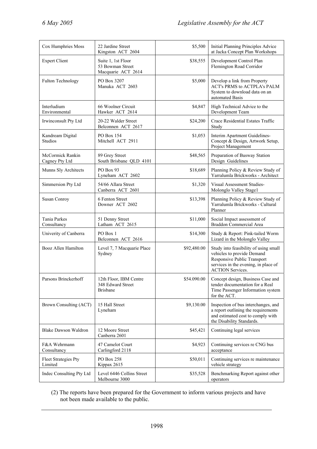| Cox Humphries Moss                     | 22 Jardine Street<br>Kingston ACT 2604                         | \$5,500     | Initial Planning Principles Advice<br>at Jacka Concept Plan Workshops                                                                                                 |
|----------------------------------------|----------------------------------------------------------------|-------------|-----------------------------------------------------------------------------------------------------------------------------------------------------------------------|
| <b>Expert Client</b>                   | Suite 1, 1st Floor<br>53 Bowman Street<br>Macquarie ACT 2614   | \$38,555    | Development Control Plan<br>Flemington Road Corridor                                                                                                                  |
| <b>Fulton Technology</b>               | PO Box 3207<br>Manuka ACT 2603                                 | \$5,000     | Develop a link from Property<br>ACT's PRMS to ACTPLA's PALM<br>System to download data on an<br>automated Basis                                                       |
| Interludium<br>Environmental           | 66 Woolner Circuit<br>Hawker ACT 2614                          | \$4,847     | High Technical Advice to the<br>Development Team                                                                                                                      |
| Irwinconsult Pty Ltd                   | 20-22 Walder Street<br>Belconnen ACT 2617                      | \$24,200    | Crace Residential Estates Traffic<br>Study                                                                                                                            |
| Kandream Digital<br>Studios            | PO Box 154<br>Mitchell ACT 2911                                | \$1,053     | Interim Apartment Guidelines-<br>Concept & Design, Artwork Setup,<br>Project Management                                                                               |
| McCormick Rankin<br>Cagney Pty Ltd     | 89 Grey Street<br>South Brisbane QLD 4101                      | \$48,565    | Preparation of Busway Station<br>Design Guidelines                                                                                                                    |
| Munns Sly Architects                   | PO Box 93<br>Lyneham ACT 2602                                  | \$18,689    | Planning Policy & Review Study of<br>Yarralumla Brickworks - Architect                                                                                                |
| Simmersion Pty Ltd                     | 54/66 Allara Street<br>Canberra ACT 2601                       | \$1,320     | Visual Assessment Studies-<br>Molonglo Valley Stage1                                                                                                                  |
| Susan Conroy                           | 6 Fenton Street<br>Downer ACT 2602                             | \$13,398    | Planning Policy & Review Study of<br>Yarralumla Brickworks - Cultural<br>Planner                                                                                      |
| Tania Parkes<br>Consultancy            | 51 Denny Street<br>Latham ACT 2615                             | \$11,000    | Social Impact assessment of<br>Braddon Commercial Area                                                                                                                |
| Univerity of Canberra                  | PO Box 1<br>Belconnen ACT 2616                                 | \$14,300    | Study & Report: Pink-tailed Worm<br>Lizard in the Molonglo Valley                                                                                                     |
| Booz Allen Hamilton                    | Level 7, 7 Macquarie Place<br>Sydney                           | \$92,480.00 | Study into feasibility of using small<br>vehicles to provide Demand<br>Responsive Public Transport<br>services in the evening, in place of<br><b>ACTION Services.</b> |
| Parsons Brinckerhoff                   | 12th Floor, IBM Centre<br>348 Edward Street<br><b>Brisbane</b> | \$54.090.00 | Concept design, Business Case and<br>tender documentation for a Real<br>Time Passenger Information system<br>for the ACT.                                             |
| Brown Consulting (ACT)                 | 15 Hall Street<br>Lyneham                                      | \$9,130.00  | Inspection of bus interchanges, and<br>a report outlining the requirements<br>and estimated cost to comply with<br>the Disability Standards.                          |
| <b>Blake Dawson Waldron</b>            | 12 Moore Street<br>Canberra 2601                               | \$45,421    | Continuing legal services                                                                                                                                             |
| F&A Wehrmann<br>Consultancy            | 47 Camelot Court<br>Carlingford 2118                           | \$4,923     | Continuing services re CNG bus<br>acceptance                                                                                                                          |
| <b>Fleet Strategies Pty</b><br>Limited | PO Box 258<br>Kippax 2615                                      | \$50,011    | Continuing services re maintenance<br>vehicle strategy                                                                                                                |
| Indec Consulting Pty Ltd               | Level 6446 Collins Street<br>Melbourne 3000                    | \$35,528    | Benchmarking Report against other<br>operators                                                                                                                        |

(2) The reports have been prepared for the Government to inform various projects and have not been made available to the public.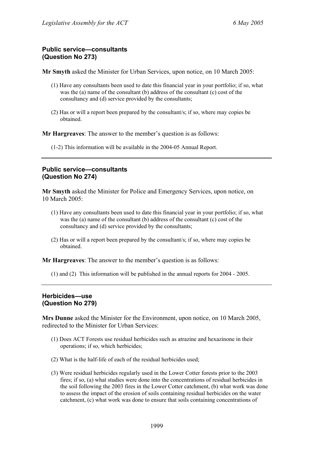# **Public service—consultants (Question No 273)**

**Mr Smyth** asked the Minister for Urban Services, upon notice, on 10 March 2005:

- (1) Have any consultants been used to date this financial year in your portfolio; if so, what was the (a) name of the consultant (b) address of the consultant (c) cost of the consultancy and (d) service provided by the consultants;
- (2) Has or will a report been prepared by the consultant/s; if so, where may copies be obtained.

**Mr Hargreaves**: The answer to the member's question is as follows:

(1-2) This information will be available in the 2004-05 Annual Report.

# **Public service—consultants (Question No 274)**

**Mr Smyth** asked the Minister for Police and Emergency Services, upon notice, on 10 March 2005:

- (1) Have any consultants been used to date this financial year in your portfolio; if so, what was the (a) name of the consultant (b) address of the consultant (c) cost of the consultancy and (d) service provided by the consultants;
- (2) Has or will a report been prepared by the consultant/s; if so, where may copies be obtained.

**Mr Hargreaves**: The answer to the member's question is as follows:

(1) and (2) This information will be published in the annual reports for 2004 - 2005.

# **Herbicides—use (Question No 279)**

**Mrs Dunne** asked the Minister for the Environment, upon notice, on 10 March 2005, redirected to the Minister for Urban Services:

- (1) Does ACT Forests use residual herbicides such as atrazine and hexazinone in their operations; if so, which herbicides;
- (2) What is the half-life of each of the residual herbicides used;
- (3) Were residual herbicides regularly used in the Lower Cotter forests prior to the 2003 fires; if so, (a) what studies were done into the concentrations of residual herbicides in the soil following the 2003 fires in the Lower Cotter catchment, (b) what work was done to assess the impact of the erosion of soils containing residual herbicides on the water catchment, (c) what work was done to ensure that soils containing concentrations of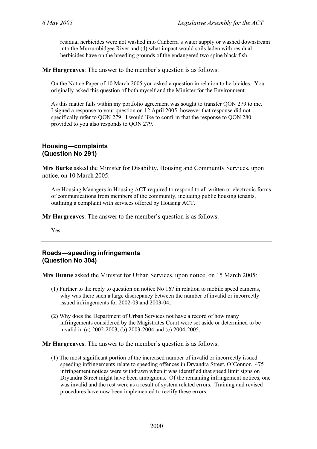residual herbicides were not washed into Canberra's water supply or washed downstream into the Murrumbidgee River and (d) what impact would soils laden with residual herbicides have on the breeding grounds of the endangered two spine black fish.

**Mr Hargreaves**: The answer to the member's question is as follows:

On the Notice Paper of 10 March 2005 you asked a question in relation to herbicides. You originally asked this question of both myself and the Minister for the Environment.

As this matter falls within my portfolio agreement was sought to transfer QON 279 to me. I signed a response to your question on 12 April 2005, however that response did not specifically refer to QON 279. I would like to confirm that the response to QON 280 provided to you also responds to QON 279.

## **Housing—complaints (Question No 291)**

**Mrs Burke** asked the Minister for Disability, Housing and Community Services, upon notice, on 10 March 2005:

Are Housing Managers in Housing ACT required to respond to all written or electronic forms of communications from members of the community, including public housing tenants, outlining a complaint with services offered by Housing ACT.

**Mr Hargreaves**: The answer to the member's question is as follows:

Yes

### **Roads—speeding infringements (Question No 304)**

**Mrs Dunne** asked the Minister for Urban Services, upon notice, on 15 March 2005:

- (1) Further to the reply to question on notice No 167 in relation to mobile speed cameras, why was there such a large discrepancy between the number of invalid or incorrectly issued infringements for 2002-03 and 2003-04;
- (2) Why does the Department of Urban Services not have a record of how many infringements considered by the Magistrates Court were set aside or determined to be invalid in (a) 2002-2003, (b) 2003-2004 and (c) 2004-2005.

**Mr Hargreaves**: The answer to the member's question is as follows:

(1) The most significant portion of the increased number of invalid or incorrectly issued speeding infringements relate to speeding offences in Dryandra Street, O'Connor. 475 infringement notices were withdrawn when it was identified that speed limit signs on Dryandra Street might have been ambiguous. Of the remaining infringement notices, one was invalid and the rest were as a result of system related errors. Training and revised procedures have now been implemented to rectify these errors.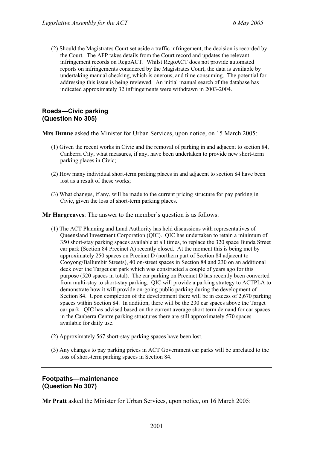(2) Should the Magistrates Court set aside a traffic infringement, the decision is recorded by the Court. The AFP takes details from the Court record and updates the relevant infringement records on RegoACT. Whilst RegoACT does not provide automated reports on infringements considered by the Magistrates Court, the data is available by undertaking manual checking, which is onerous, and time consuming. The potential for addressing this issue is being reviewed. An initial manual search of the database has indicated approximately 32 infringements were withdrawn in 2003-2004.

## **Roads—Civic parking (Question No 305)**

**Mrs Dunne** asked the Minister for Urban Services, upon notice, on 15 March 2005:

- (1) Given the recent works in Civic and the removal of parking in and adjacent to section 84, Canberra City, what measures, if any, have been undertaken to provide new short-term parking places in Civic;
- (2) How many individual short-term parking places in and adjacent to section 84 have been lost as a result of these works;
- (3) What changes, if any, will be made to the current pricing structure for pay parking in Civic, given the loss of short-term parking places.

**Mr Hargreaves**: The answer to the member's question is as follows:

- (1) The ACT Planning and Land Authority has held discussions with representatives of Queensland Investment Corporation (QIC). QIC has undertaken to retain a minimum of 350 short-stay parking spaces available at all times, to replace the 320 space Bunda Street car park (Section 84 Precinct A) recently closed. At the moment this is being met by approximately 250 spaces on Precinct D (northern part of Section 84 adjacent to Cooyong/Ballumbir Streets), 40 on-street spaces in Section 84 and 230 on an additional deck over the Target car park which was constructed a couple of years ago for this purpose (520 spaces in total). The car parking on Precinct D has recently been converted from multi-stay to short-stay parking. QIC will provide a parking strategy to ACTPLA to demonstrate how it will provide on-going public parking during the development of Section 84. Upon completion of the development there will be in excess of 2,670 parking spaces within Section 84. In addition, there will be the 230 car spaces above the Target car park. QIC has advised based on the current average short term demand for car spaces in the Canberra Centre parking structures there are still approximately 570 spaces available for daily use.
- (2) Approximately 567 short-stay parking spaces have been lost.
- (3) Any changes to pay parking prices in ACT Government car parks will be unrelated to the loss of short-term parking spaces in Section 84.

### **Footpaths—maintenance (Question No 307)**

**Mr Pratt** asked the Minister for Urban Services, upon notice, on 16 March 2005: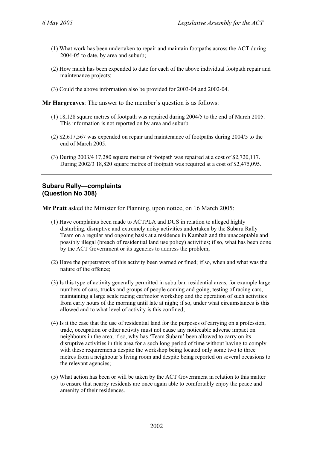- (1) What work has been undertaken to repair and maintain footpaths across the ACT during 2004-05 to date, by area and suburb;
- (2) How much has been expended to date for each of the above individual footpath repair and maintenance projects;
- (3) Could the above information also be provided for 2003-04 and 2002-04.

**Mr Hargreaves**: The answer to the member's question is as follows:

- (1) 18,128 square metres of footpath was repaired during 2004/5 to the end of March 2005. This information is not reported on by area and suburb.
- (2) \$2,617,567 was expended on repair and maintenance of footpaths during 2004/5 to the end of March 2005.
- (3) During 2003/4 17,280 square metres of footpath was repaired at a cost of \$2,720,117. During 2002/3 18,820 square metres of footpath was required at a cost of \$2,475,095.

#### **Subaru Rally—complaints (Question No 308)**

**Mr Pratt** asked the Minister for Planning, upon notice, on 16 March 2005:

- (1) Have complaints been made to ACTPLA and DUS in relation to alleged highly disturbing, disruptive and extremely noisy activities undertaken by the Subaru Rally Team on a regular and ongoing basis at a residence in Kambah and the unacceptable and possibly illegal (breach of residential land use policy) activities; if so, what has been done by the ACT Government or its agencies to address the problem;
- (2) Have the perpetrators of this activity been warned or fined; if so, when and what was the nature of the offence;
- (3) Is this type of activity generally permitted in suburban residential areas, for example large numbers of cars, trucks and groups of people coming and going, testing of racing cars, maintaining a large scale racing car/motor workshop and the operation of such activities from early hours of the morning until late at night; if so, under what circumstances is this allowed and to what level of activity is this confined;
- (4) Is it the case that the use of residential land for the purposes of carrying on a profession, trade, occupation or other activity must not cause any noticeable adverse impact on neighbours in the area; if so, why has 'Team Subaru' been allowed to carry on its disruptive activities in this area for a such long period of time without having to comply with these requirements despite the workshop being located only some two to three metres from a neighbour's living room and despite being reported on several occasions to the relevant agencies;
- (5) What action has been or will be taken by the ACT Government in relation to this matter to ensure that nearby residents are once again able to comfortably enjoy the peace and amenity of their residences.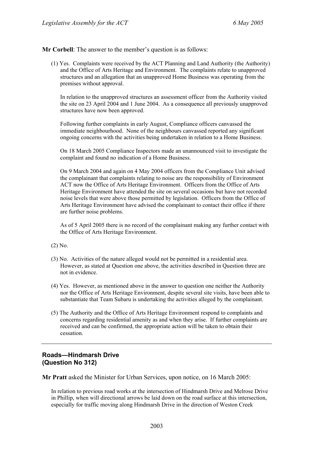**Mr Corbell**: The answer to the member's question is as follows:

(1) Yes. Complaints were received by the ACT Planning and Land Authority (the Authority) and the Office of Arts Heritage and Environment. The complaints relate to unapproved structures and an allegation that an unapproved Home Business was operating from the premises without approval.

In relation to the unapproved structures an assessment officer from the Authority visited the site on 23 April 2004 and 1 June 2004. As a consequence all previously unapproved structures have now been approved.

Following further complaints in early August, Compliance officers canvassed the immediate neighbourhood. None of the neighbours canvassed reported any significant ongoing concerns with the activities being undertaken in relation to a Home Business.

On 18 March 2005 Compliance Inspectors made an unannounced visit to investigate the complaint and found no indication of a Home Business.

On 9 March 2004 and again on 4 May 2004 officers from the Compliance Unit advised the complainant that complaints relating to noise are the responsibility of Environment ACT now the Office of Arts Heritage Environment. Officers from the Office of Arts Heritage Environment have attended the site on several occasions but have not recorded noise levels that were above those permitted by legislation. Officers from the Office of Arts Heritage Environment have advised the complainant to contact their office if there are further noise problems.

As of 5 April 2005 there is no record of the complainant making any further contact with the Office of Arts Heritage Environment.

(2) No.

- (3) No. Activities of the nature alleged would not be permitted in a residential area. However, as stated at Question one above, the activities described in Question three are not in evidence.
- (4) Yes. However, as mentioned above in the answer to question one neither the Authority nor the Office of Arts Heritage Environment, despite several site visits, have been able to substantiate that Team Subaru is undertaking the activities alleged by the complainant.
- (5) The Authority and the Office of Arts Heritage Environment respond to complaints and concerns regarding residential amenity as and when they arise. If further complaints are received and can be confirmed, the appropriate action will be taken to obtain their cessation.

### **Roads—Hindmarsh Drive (Question No 312)**

**Mr Pratt** asked the Minister for Urban Services, upon notice, on 16 March 2005:

In relation to previous road works at the intersection of Hindmarsh Drive and Melrose Drive in Phillip, when will directional arrows be laid down on the road surface at this intersection, especially for traffic moving along Hindmarsh Drive in the direction of Weston Creek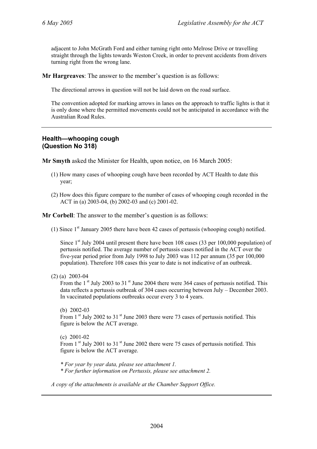adjacent to John McGrath Ford and either turning right onto Melrose Drive or travelling straight through the lights towards Weston Creek, in order to prevent accidents from drivers turning right from the wrong lane.

**Mr Hargreaves**: The answer to the member's question is as follows:

The directional arrows in question will not be laid down on the road surface.

The convention adopted for marking arrows in lanes on the approach to traffic lights is that it is only done where the permitted movements could not be anticipated in accordance with the Australian Road Rules.

### **Health—whooping cough (Question No 318)**

**Mr Smyth** asked the Minister for Health, upon notice, on 16 March 2005:

- (1) How many cases of whooping cough have been recorded by ACT Health to date this year;
- (2) How does this figure compare to the number of cases of whooping cough recorded in the ACT in (a) 2003-04, (b) 2002-03 and (c) 2001-02.

**Mr Corbell**: The answer to the member's question is as follows:

(1) Since  $1<sup>st</sup>$  January 2005 there have been 42 cases of pertussis (whooping cough) notified.

Since  $1<sup>st</sup>$  July 2004 until present there have been 108 cases (33 per 100,000 population) of pertussis notified. The average number of pertussis cases notified in the ACT over the five-year period prior from July 1998 to July 2003 was 112 per annum (35 per 100,000 population). Therefore 108 cases this year to date is not indicative of an outbreak.

(2) (a) 2003-04

From the  $1<sup>st</sup>$  July 2003 to 31 $<sup>st</sup>$  June 2004 there were 364 cases of pertussis notified. This</sup> data reflects a pertussis outbreak of 304 cases occurring between July – December 2003. In vaccinated populations outbreaks occur every 3 to 4 years.

(b) 2002-03 From  $1<sup>st</sup>$  July 2002 to  $31<sup>st</sup>$  June 2003 there were 73 cases of pertussis notified. This figure is below the ACT average.

(c) 2001-02 From 1<sup>st</sup> July 2001 to 31<sup>st</sup> June 2002 there were 75 cases of pertussis notified. This figure is below the ACT average.

*\* For year by year data, please see attachment 1. \* For further information on Pertussis, please see attachment 2.* 

*A copy of the attachments is available at the Chamber Support Office.*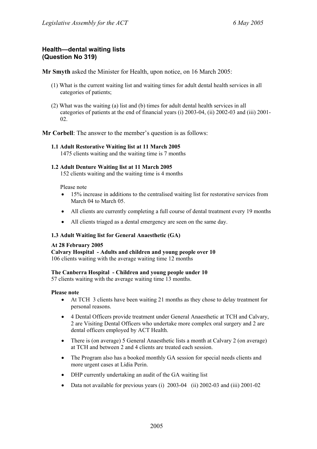### **Health—dental waiting lists (Question No 319)**

**Mr Smyth** asked the Minister for Health, upon notice, on 16 March 2005:

- (1) What is the current waiting list and waiting times for adult dental health services in all categories of patients;
- (2) What was the waiting (a) list and (b) times for adult dental health services in all categories of patients at the end of financial years (i) 2003-04, (ii) 2002-03 and (iii) 2001- 02.

**Mr Corbell**: The answer to the member's question is as follows:

#### **1.1 Adult Restorative Waiting list at 11 March 2005**

1475 clients waiting and the waiting time is 7 months

#### **1.2 Adult Denture Waiting list at 11 March 2005**

152 clients waiting and the waiting time is 4 months

Please note

- 15% increase in additions to the centralised waiting list for restorative services from March 04 to March 05.
- All clients are currently completing a full course of dental treatment every 19 months
- All clients triaged as a dental emergency are seen on the same day.

#### **1.3 Adult Waiting list for General Anaesthetic (GA)**

#### **At 28 February 2005**

**Calvary Hospital - Adults and children and young people over 10**  106 clients waiting with the average waiting time 12 months

#### **The Canberra Hospital - Children and young people under 10**

57 clients waiting with the average waiting time 13 months.

#### **Please note**

- At TCH 3 clients have been waiting 21 months as they chose to delay treatment for personal reasons.
- 4 Dental Officers provide treatment under General Anaesthetic at TCH and Calvary, 2 are Visiting Dental Officers who undertake more complex oral surgery and 2 are dental officers employed by ACT Health.
- There is (on average) 5 General Anaesthetic lists a month at Calvary 2 (on average) at TCH and between 2 and 4 clients are treated each session.
- The Program also has a booked monthly GA session for special needs clients and more urgent cases at Lidia Perin.
- DHP currently undertaking an audit of the GA waiting list
- Data not available for previous years (i) 2003-04 (ii) 2002-03 and (iii) 2001-02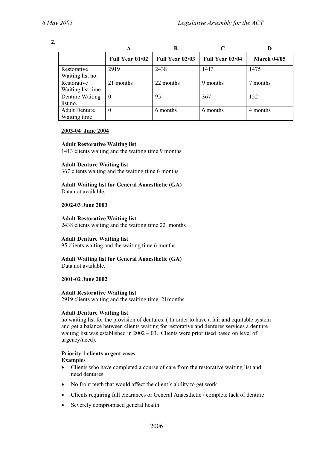**2.** 

|                      | A                      | B                      |                        |                    |
|----------------------|------------------------|------------------------|------------------------|--------------------|
|                      | <b>Full Year 01/02</b> | <b>Full Year 02/03</b> | <b>Full Year 03/04</b> | <b>March 04/05</b> |
| Restorative          | 2919                   | 2438                   | 1413                   | 1475               |
| Waiting list no.     |                        |                        |                        |                    |
| Restorative          | 21 months              | 22 months              | 9 months               | 7 months           |
| Waiting list time.   |                        |                        |                        |                    |
| Denture Waiting      | $\theta$               | 95                     | 367                    | 152                |
| list no.             |                        |                        |                        |                    |
| <b>Adult Denture</b> | $\theta$               | 6 months               | 6 months               | 4 months           |
| Waiting time         |                        |                        |                        |                    |

### **2003-04 June 2004**

### **Adult Restorative Waiting list**

1413 clients waiting and the waiting time 9 months

### **Adult Denture Waiting list**

367 clients waiting and the waiting time 6 months

#### **Adult Waiting list for General Anaesthetic (GA)**  Data not available.

### **2002-03 June 2003**

### **Adult Restorative Waiting list**

2438 clients waiting and the waiting time 22 months

### **Adult Denture Waiting list**

95 clients waiting and the waiting time 6 months

# **Adult Waiting list for General Anaesthetic (GA)**

Data not available.

### **2001-02 June 2002**

### **Adult Restorative Waiting list**

2919 clients waiting and the waiting time 21months

### **Adult Denture Waiting list**

no waiting list for the provision of dentures. ( In order to have a fair and equitable system and get a balance between clients waiting for restorative and dentures services a denture waiting list was established in 2002 – 03. Clients were prioritised based on level of urgency/need).

#### **Priority 1 clients urgent cases Examples**

- Clients who have completed a course of care from the restorative waiting list and need dentures
- No front teeth that would affect the client's ability to get work
- Clients requiring full clearances or General Anaesthetic / complete lack of denture
- Severely compromised general health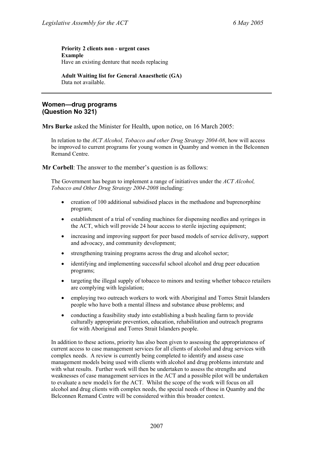#### **Priority 2 clients non - urgent cases Example**  Have an existing denture that needs replacing

**Adult Waiting list for General Anaesthetic (GA)**  Data not available.

### **Women—drug programs (Question No 321)**

**Mrs Burke** asked the Minister for Health, upon notice, on 16 March 2005:

In relation to the *ACT Alcohol, Tobacco and other Drug Strategy 2004-08*, how will access be improved to current programs for young women in Quamby and women in the Belconnen Remand Centre.

**Mr Corbell:** The answer to the member's question is as follows:

The Government has begun to implement a range of initiatives under the *ACT Alcohol, Tobacco and Other Drug Strategy 2004-2008* including:

- creation of 100 additional subsidised places in the methadone and buprenorphine program;
- establishment of a trial of vending machines for dispensing needles and syringes in the ACT, which will provide 24 hour access to sterile injecting equipment;
- increasing and improving support for peer based models of service delivery, support and advocacy, and community development;
- strengthening training programs across the drug and alcohol sector;
- identifying and implementing successful school alcohol and drug peer education programs;
- targeting the illegal supply of tobacco to minors and testing whether tobacco retailers are complying with legislation;
- employing two outreach workers to work with Aboriginal and Torres Strait Islanders people who have both a mental illness and substance abuse problems; and
- conducting a feasibility study into establishing a bush healing farm to provide culturally appropriate prevention, education, rehabilitation and outreach programs for with Aboriginal and Torres Strait Islanders people.

In addition to these actions, priority has also been given to assessing the appropriateness of current access to case management services for all clients of alcohol and drug services with complex needs. A review is currently being completed to identify and assess case management models being used with clients with alcohol and drug problems interstate and with what results. Further work will then be undertaken to assess the strengths and weaknesses of case management services in the ACT and a possible pilot will be undertaken to evaluate a new model/s for the ACT. Whilst the scope of the work will focus on all alcohol and drug clients with complex needs, the special needs of those in Quamby and the Belconnen Remand Centre will be considered within this broader context.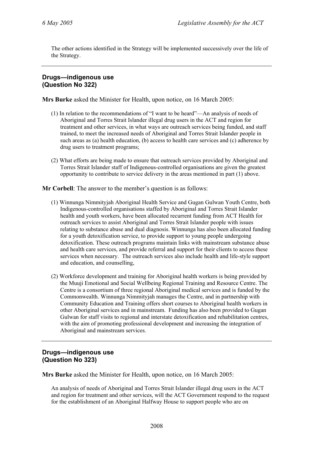The other actions identified in the Strategy will be implemented successively over the life of the Strategy.

### **Drugs—indigenous use (Question No 322)**

**Mrs Burke** asked the Minister for Health, upon notice, on 16 March 2005:

- (1) In relation to the recommendations of "I want to be heard"—An analysis of needs of Aboriginal and Torres Strait Islander illegal drug users in the ACT and region for treatment and other services, in what ways are outreach services being funded, and staff trained, to meet the increased needs of Aboriginal and Torres Strait Islander people in such areas as (a) health education, (b) access to health care services and (c) adherence by drug users to treatment programs;
- (2) What efforts are being made to ensure that outreach services provided by Aboriginal and Torres Strait Islander staff of Indigenous-controlled organisations are given the greatest opportunity to contribute to service delivery in the areas mentioned in part (1) above.

**Mr Corbell**: The answer to the member's question is as follows:

- (1) Winnunga Nimmityjah Aboriginal Health Service and Gugan Gulwan Youth Centre, both Indigenous-controlled organisations staffed by Aboriginal and Torres Strait Islander health and youth workers, have been allocated recurrent funding from ACT Health for outreach services to assist Aboriginal and Torres Strait Islander people with issues relating to substance abuse and dual diagnosis. Winnunga has also been allocated funding for a youth detoxification service, to provide support to young people undergoing detoxification. These outreach programs maintain links with mainstream substance abuse and health care services, and provide referral and support for their clients to access these services when necessary. The outreach services also include health and life-style support and education, and counselling,
- (2) Workforce development and training for Aboriginal health workers is being provided by the Muuji Emotional and Social Wellbeing Regional Training and Resource Centre. The Centre is a consortium of three regional Aboriginal medical services and is funded by the Commonwealth. Winnunga Nimmityjah manages the Centre, and in partnership with Community Education and Training offers short courses to Aboriginal health workers in other Aboriginal services and in mainstream. Funding has also been provided to Gugan Gulwan for staff visits to regional and interstate detoxification and rehabilitation centres, with the aim of promoting professional development and increasing the integration of Aboriginal and mainstream services.

### **Drugs—indigenous use (Question No 323)**

**Mrs Burke** asked the Minister for Health, upon notice, on 16 March 2005:

An analysis of needs of Aboriginal and Torres Strait Islander illegal drug users in the ACT and region for treatment and other services, will the ACT Government respond to the request for the establishment of an Aboriginal Halfway House to support people who are on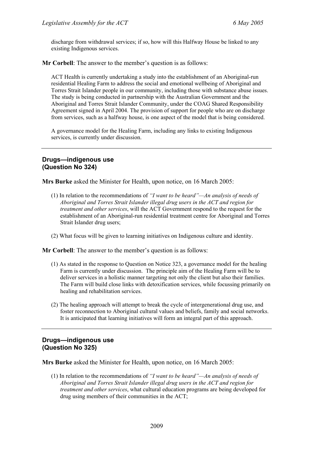discharge from withdrawal services; if so, how will this Halfway House be linked to any existing Indigenous services.

**Mr Corbell**: The answer to the member's question is as follows:

ACT Health is currently undertaking a study into the establishment of an Aboriginal-run residential Healing Farm to address the social and emotional wellbeing of Aboriginal and Torres Strait Islander people in our community, including those with substance abuse issues. The study is being conducted in partnership with the Australian Government and the Aboriginal and Torres Strait Islander Community, under the COAG Shared Responsibility Agreement signed in April 2004. The provision of support for people who are on discharge from services, such as a halfway house, is one aspect of the model that is being considered.

A governance model for the Healing Farm, including any links to existing Indigenous services, is currently under discussion.

### **Drugs—indigenous use (Question No 324)**

**Mrs Burke** asked the Minister for Health, upon notice, on 16 March 2005:

- (1) In relation to the recommendations of *"I want to be heard"—An analysis of needs of Aboriginal and Torres Strait Islander illegal drug users in the ACT and region for treatment and other services*, will the ACT Government respond to the request for the establishment of an Aboriginal-run residential treatment centre for Aboriginal and Torres Strait Islander drug users;
- (2) What focus will be given to learning initiatives on Indigenous culture and identity.

**Mr Corbell**: The answer to the member's question is as follows:

- (1) As stated in the response to Question on Notice 323, a governance model for the healing Farm is currently under discussion. The principle aim of the Healing Farm will be to deliver services in a holistic manner targeting not only the client but also their families. The Farm will build close links with detoxification services, while focussing primarily on healing and rehabilitation services.
- (2) The healing approach will attempt to break the cycle of intergenerational drug use, and foster reconnection to Aboriginal cultural values and beliefs, family and social networks. It is anticipated that learning initiatives will form an integral part of this approach.

### **Drugs—indigenous use (Question No 325)**

**Mrs Burke** asked the Minister for Health, upon notice, on 16 March 2005:

(1) In relation to the recommendations of *"I want to be heard"—An analysis of needs of Aboriginal and Torres Strait Islander illegal drug users in the ACT and region for treatment and other services*, what cultural education programs are being developed for drug using members of their communities in the ACT;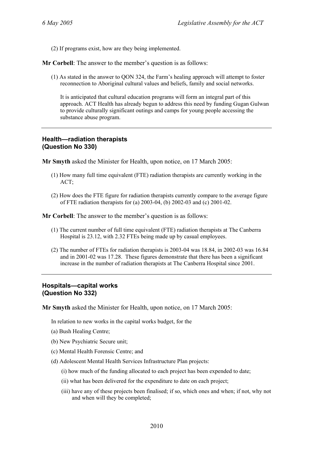(2) If programs exist, how are they being implemented.

**Mr Corbell**: The answer to the member's question is as follows:

(1) As stated in the answer to QON 324, the Farm's healing approach will attempt to foster reconnection to Aboriginal cultural values and beliefs, family and social networks.

It is anticipated that cultural education programs will form an integral part of this approach. ACT Health has already begun to address this need by funding Gugan Gulwan to provide culturally significant outings and camps for young people accessing the substance abuse program.

### **Health—radiation therapists (Question No 330)**

**Mr Smyth** asked the Minister for Health, upon notice, on 17 March 2005:

- (1) How many full time equivalent (FTE) radiation therapists are currently working in the ACT;
- (2) How does the FTE figure for radiation therapists currently compare to the average figure of FTE radiation therapists for (a) 2003-04, (b) 2002-03 and (c) 2001-02.

**Mr Corbell**: The answer to the member's question is as follows:

- (1) The current number of full time equivalent (FTE) radiation therapists at The Canberra Hospital is 23.12, with 2.32 FTEs being made up by casual employees.
- (2) The number of FTEs for radiation therapists is 2003-04 was 18.84, in 2002-03 was 16.84 and in 2001-02 was 17.28. These figures demonstrate that there has been a significant increase in the number of radiation therapists at The Canberra Hospital since 2001.

### **Hospitals—capital works (Question No 332)**

**Mr Smyth** asked the Minister for Health, upon notice, on 17 March 2005:

In relation to new works in the capital works budget, for the

- (a) Bush Healing Centre;
- (b) New Psychiatric Secure unit;
- (c) Mental Health Forensic Centre; and
- (d) Adolescent Mental Health Services Infrastructure Plan projects:
	- (i) how much of the funding allocated to each project has been expended to date;
	- (ii) what has been delivered for the expenditure to date on each project;
	- (iii) have any of these projects been finalised; if so, which ones and when; if not, why not and when will they be completed;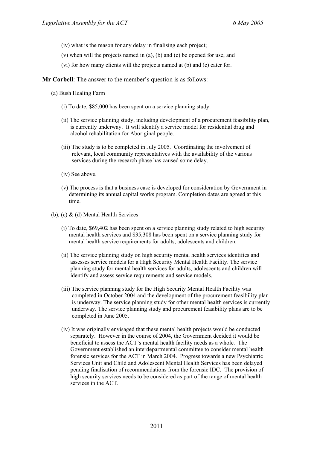- (iv) what is the reason for any delay in finalising each project;
- (v) when will the projects named in (a), (b) and (c) be opened for use; and
- (vi) for how many clients will the projects named at (b) and (c) cater for.
- **Mr Corbell**: The answer to the member's question is as follows:
	- (a) Bush Healing Farm
		- (i) To date, \$85,000 has been spent on a service planning study.
		- (ii) The service planning study, including development of a procurement feasibility plan, is currently underway. It will identify a service model for residential drug and alcohol rehabilitation for Aboriginal people.
		- (iii) The study is to be completed in July 2005. Coordinating the involvement of relevant, local community representatives with the availability of the various services during the research phase has caused some delay.
		- (iv) See above.
		- (v) The process is that a business case is developed for consideration by Government in determining its annual capital works program. Completion dates are agreed at this time.
	- (b), (c)  $\&$  (d) Mental Health Services
		- (i) To date, \$69,402 has been spent on a service planning study related to high security mental health services and \$35,308 has been spent on a service planning study for mental health service requirements for adults, adolescents and children.
		- (ii) The service planning study on high security mental health services identifies and assesses service models for a High Security Mental Health Facility. The service planning study for mental health services for adults, adolescents and children will identify and assess service requirements and service models.
		- (iii) The service planning study for the High Security Mental Health Facility was completed in October 2004 and the development of the procurement feasibility plan is underway. The service planning study for other mental health services is currently underway. The service planning study and procurement feasibility plans are to be completed in June 2005.
		- (iv) It was originally envisaged that these mental health projects would be conducted separately. However in the course of 2004, the Government decided it would be beneficial to assess the ACT's mental health facility needs as a whole. The Government established an interdepartmental committee to consider mental health forensic services for the ACT in March 2004. Progress towards a new Psychiatric Services Unit and Child and Adolescent Mental Health Services has been delayed pending finalisation of recommendations from the forensic IDC. The provision of high security services needs to be considered as part of the range of mental health services in the ACT.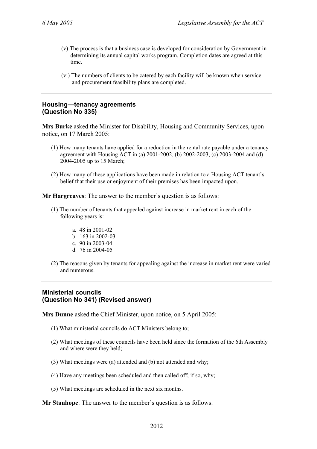- (v) The process is that a business case is developed for consideration by Government in determining its annual capital works program. Completion dates are agreed at this time.
- (vi) The numbers of clients to be catered by each facility will be known when service and procurement feasibility plans are completed.

### **Housing—tenancy agreements (Question No 335)**

**Mrs Burke** asked the Minister for Disability, Housing and Community Services, upon notice, on 17 March 2005:

- (1) How many tenants have applied for a reduction in the rental rate payable under a tenancy agreement with Housing ACT in (a) 2001-2002, (b) 2002-2003, (c) 2003-2004 and (d) 2004-2005 up to 15 March;
- (2) How many of these applications have been made in relation to a Housing ACT tenant's belief that their use or enjoyment of their premises has been impacted upon.

**Mr Hargreaves**: The answer to the member's question is as follows:

- (1) The number of tenants that appealed against increase in market rent in each of the following years is:
	- a. 48 in 2001-02
	- b. 163 in 2002-03
	- c. 90 in 2003-04
	- d. 76 in 2004-05
- (2) The reasons given by tenants for appealing against the increase in market rent were varied and numerous.

## **Ministerial councils (Question No 341) (Revised answer)**

**Mrs Dunne** asked the Chief Minister, upon notice, on 5 April 2005:

- (1) What ministerial councils do ACT Ministers belong to;
- (2) What meetings of these councils have been held since the formation of the 6th Assembly and where were they held;
- (3) What meetings were (a) attended and (b) not attended and why;
- (4) Have any meetings been scheduled and then called off; if so, why;
- (5) What meetings are scheduled in the next six months.

**Mr Stanhope**: The answer to the member's question is as follows: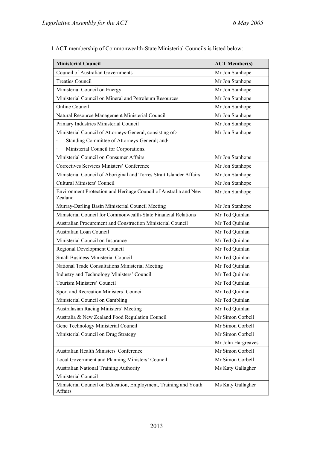| <b>Ministerial Council</b>                                                  | <b>ACT Member(s)</b> |
|-----------------------------------------------------------------------------|----------------------|
| <b>Council of Australian Governments</b>                                    | Mr Jon Stanhope      |
| <b>Treaties Council</b>                                                     | Mr Jon Stanhope      |
| Ministerial Council on Energy                                               | Mr Jon Stanhope      |
| Ministerial Council on Mineral and Petroleum Resources                      | Mr Jon Stanhope      |
| Online Council                                                              | Mr Jon Stanhope      |
| Natural Resource Management Ministerial Council                             | Mr Jon Stanhope      |
| Primary Industries Ministerial Council                                      | Mr Jon Stanhope      |
| Ministerial Council of Attorneys-General, consisting of:                    | Mr Jon Stanhope      |
| Standing Committee of Attorneys-General; and                                |                      |
| Ministerial Council for Corporations.<br>$\ddot{\phantom{0}}$               |                      |
| Ministerial Council on Consumer Affairs                                     | Mr Jon Stanhope      |
| Correctives Services Ministers' Conference                                  | Mr Jon Stanhope      |
| Ministerial Council of Aboriginal and Torres Strait Islander Affairs        | Mr Jon Stanhope      |
| <b>Cultural Ministers' Council</b>                                          | Mr Jon Stanhope      |
| Environment Protection and Heritage Council of Australia and New<br>Zealand | Mr Jon Stanhope      |
| Murray-Darling Basin Ministerial Council Meeting                            | Mr Jon Stanhope      |
| Ministerial Council for Commonwealth-State Financial Relations              | Mr Ted Quinlan       |
| Australian Procurement and Construction Ministerial Council                 | Mr Ted Quinlan       |
| Australian Loan Council                                                     | Mr Ted Quinlan       |
| Ministerial Council on Insurance                                            | Mr Ted Quinlan       |
| Regional Development Council                                                | Mr Ted Quinlan       |
| <b>Small Business Ministerial Council</b>                                   | Mr Ted Quinlan       |
| National Trade Consultations Ministerial Meeting                            | Mr Ted Quinlan       |
| Industry and Technology Ministers' Council                                  | Mr Ted Quinlan       |
| Tourism Ministers' Council                                                  | Mr Ted Quinlan       |
| Sport and Recreation Ministers' Council                                     | Mr Ted Quinlan       |
| Ministerial Council on Gambling                                             | Mr Ted Quinlan       |
| Australasian Racing Ministers' Meeting                                      | Mr Ted Quinlan       |
| Australia & New Zealand Food Regulation Council                             | Mr Simon Corbell     |
| Gene Technology Ministerial Council                                         | Mr Simon Corbell     |
| Ministerial Council on Drug Strategy                                        | Mr Simon Corbell     |
|                                                                             | Mr John Hargreaves   |
| Australian Health Ministers' Conference                                     | Mr Simon Corbell     |
| Local Government and Planning Ministers' Council                            | Mr Simon Corbell     |
| Australian National Training Authority                                      | Ms Katy Gallagher    |
| Ministerial Council                                                         |                      |
| Ministerial Council on Education, Employment, Training and Youth<br>Affairs | Ms Katy Gallagher    |

1 ACT membership of Commonwealth-State Ministerial Councils is listed below: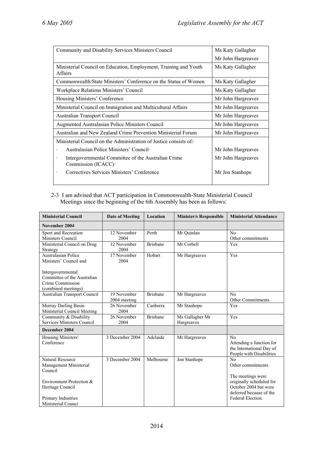| Community and Disability Services Ministers Council                                     | Ms Katy Gallagher  |
|-----------------------------------------------------------------------------------------|--------------------|
|                                                                                         | Mr John Hargreaves |
| Ministerial Council on Education, Employment, Training and Youth<br>Affairs             | Ms Katy Gallagher  |
| Commonwealth/State Ministers' Conference on the Status of Women                         | Ms Katy Gallagher  |
| Workplace Relations Ministers' Council                                                  | Ms Katy Gallagher  |
| Housing Ministers' Conference                                                           | Mr John Hargreaves |
| Ministerial Council on Immigration and Multicultural Affairs                            | Mr John Hargreaves |
| <b>Australian Transport Council</b>                                                     | Mr John Hargreaves |
| Augmented Australasian Police Ministers Council                                         | Mr John Hargreaves |
| Australian and New Zealand Crime Prevention Ministerial Forum                           | Mr John Hargreaves |
| Ministerial Council on the Administration of Justice consists of :-                     |                    |
| Australasian Police Ministers' Council<br>$\bullet$                                     | Mr John Hargreaves |
| Intergovernmental Committee of the Australian Crime<br>$\bullet$<br>Commission (ICACC). | Mr John Hargreaves |
| Correctives Services Ministers' Conference<br>$\bullet$                                 | Mr Jon Stanhope    |

### 2-3 I am advised that ACT participation in Commonwealth-State Ministerial Council Meetings since the beginning of the 6th Assembly has been as follows:

| <b>Ministerial Council</b>                                                                  | Date of Meeting             | <b>Location</b> | <b>Minister/s Responsible</b> | <b>Ministerial Attendance</b>                                                                      |
|---------------------------------------------------------------------------------------------|-----------------------------|-----------------|-------------------------------|----------------------------------------------------------------------------------------------------|
| November 2004                                                                               |                             |                 |                               |                                                                                                    |
| Sport and Recreation<br>Ministers Council                                                   | 12 November<br>2004         | Perth           | Mr Quinlan                    | No<br>Other commitments                                                                            |
| Ministerial Council on Drug<br>Strategy                                                     | 12 November<br>2004         | <b>Brishane</b> | Mr Corbell                    | Yes                                                                                                |
| Australasian Police<br>Ministers' Council and                                               | 17 November<br>2004         | Hobart          | Mr Hargreaves                 | Yes                                                                                                |
| Intergovernmental<br>Committee of the Australian<br>Crime Commission<br>(combined meetings) |                             |                 |                               |                                                                                                    |
| Australian Transport Council                                                                | 19 November<br>2004 meeting | <b>Brishane</b> | Mr Hargreaves                 | No<br><b>Other Commitments</b>                                                                     |
| Murray Darling Basin<br>Ministerial Council Meeting                                         | 26 November<br>2004         | Canberra        | Mr Stanhope                   | Yes                                                                                                |
| Community & Disability<br>Services Ministers Council                                        | 26 November<br>2004         | <b>Brisbane</b> | Ms Gallagher Mr<br>Hargreaves | Yes                                                                                                |
| December 2004                                                                               |                             |                 |                               |                                                                                                    |
| Housing Ministers'<br>Conference                                                            | 3 December 2004             | Adelaide        | Mr Hargreaves                 | N <sub>0</sub><br>Attending a function for<br>the International Day of<br>People with Disabilities |
| <b>Natural Resource</b><br>Management Ministerial<br>Council                                | 3 December 2004             | Melbourne       | Jon Stanhope                  | No<br>Other commitments                                                                            |
| Environment Protection &<br>Heritage Council                                                |                             |                 |                               | The meetings were<br>originally scheduled for<br>October 2004 but were<br>deferred because of the  |
| Primary Industries<br>Ministerial Counci                                                    |                             |                 |                               | Federal Election.                                                                                  |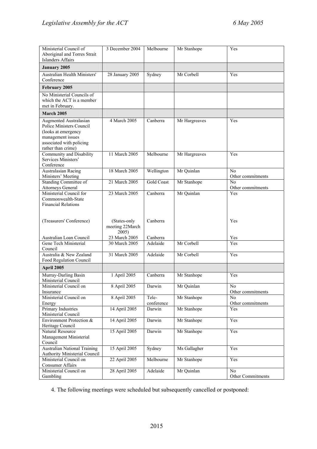| Ministerial Council of<br>Aboriginal and Torres Strait<br>Islanders Affairs                                                                      | 3 December 2004                          | Melbourne            | Mr Stanhope   | Yes                                 |
|--------------------------------------------------------------------------------------------------------------------------------------------------|------------------------------------------|----------------------|---------------|-------------------------------------|
| <b>January 2005</b>                                                                                                                              |                                          |                      |               |                                     |
| Australian Health Ministers'<br>Conference                                                                                                       | 28 January 2005                          | Sydney               | Mr Corbell    | Yes                                 |
| February 2005                                                                                                                                    |                                          |                      |               |                                     |
| No Ministerial Councils of<br>which the ACT is a member<br>met in February.                                                                      |                                          |                      |               |                                     |
| March 2005                                                                                                                                       |                                          |                      |               |                                     |
| Augmented Australasian<br>Police Ministers Council<br>(looks at emergency<br>management issues<br>associated with policing<br>rather than crime) | 4 March 2005                             | Canberra             | Mr Hargreaves | Yes                                 |
| Community and Disability<br>Services Ministers'<br>Conference                                                                                    | 11 March 2005                            | Melbourne            | Mr Hargreaves | Yes                                 |
| Australasian Racing<br>Ministers' Meeting                                                                                                        | 18 March 2005                            | Wellington           | Mr Quinlan    | No<br>Other commitments             |
| <b>Standing Committee of</b>                                                                                                                     | 21 March 2005                            | <b>Gold Coast</b>    | Mr Stanhope   | No                                  |
| <b>Attorneys General</b><br>Ministerial Council for<br>Commonwealth-State<br><b>Financial Relations</b>                                          | 23 March 2005                            | Canberra             | Mr Quinlan    | Other commitments<br>Yes            |
| (Treasurers' Conference)                                                                                                                         | (States-only<br>meeting 22March<br>2005) | Canberra             |               | Yes                                 |
| Australian Loan Council                                                                                                                          | 23 March 2005                            | Canberra             |               | Yes                                 |
| Gene Tech Ministerial<br>Council                                                                                                                 | 30 March 2005                            | Adelaide             | Mr Corbell    | Yes                                 |
| Australia & New Zealand<br>Food Regulation Council                                                                                               | 31 March 2005                            | Adelaide             | Mr Corbell    | Yes                                 |
| April 2005                                                                                                                                       |                                          |                      |               |                                     |
| Murray-Darling Basin                                                                                                                             | 1 April 2005                             | Canberra             | Mr Stanhope   | Yes                                 |
| Ministerial Council                                                                                                                              |                                          |                      |               |                                     |
| Ministerial Council on<br>Insurance                                                                                                              | 8 April 2005                             | Darwin               | Mr Quinlan    | N <sub>0</sub>                      |
| Ministerial Council on                                                                                                                           | 8 April 2005                             | Tele-                | Mr Stanhope   | Other commitments<br>N <sub>0</sub> |
| Energy<br>Primary Industries                                                                                                                     | 14 April 2005                            | conference<br>Darwin | Mr Stanhope   | Other commitments<br>Yes            |
| Ministerial Council                                                                                                                              |                                          |                      |               |                                     |
| Environment Protection &<br>Heritage Council                                                                                                     | 14 April 2005                            | Darwin               | Mr Stanhope   | Yes                                 |
| Natural Resource<br>Management Ministerial<br>Council                                                                                            | 15 April 2005                            | Darwin               | Mr Stanhope   | Yes                                 |
| <b>Australian National Training</b><br>Authority Ministerial Council                                                                             | 15 April 2005                            | Sydney               | Ms Gallagher  | Yes                                 |
| Ministerial Council on<br><b>Consumer Affairs</b>                                                                                                | 22 April 2005                            | Melbourne            | Mr Stanhope   | Yes                                 |
| Ministerial Council on<br>Gambling                                                                                                               | 28 April 2005                            | Adelaide             | Mr Quinlan    | N <sub>0</sub><br>Other Commitments |

4. The following meetings were scheduled but subsequently cancelled or postponed: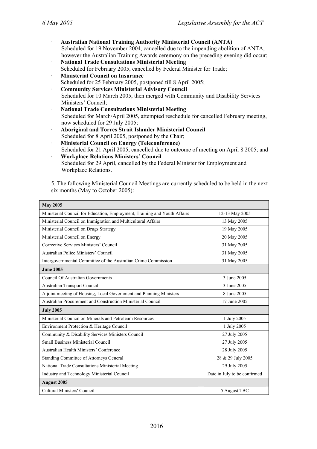- · **Australian National Training Authority Ministerial Council (ANTA)**  Scheduled for 19 November 2004, cancelled due to the impending abolition of ANTA, however the Australian Training Awards ceremony on the preceding evening did occur;
- · **National Trade Consultations Ministerial Meeting**  Scheduled for February 2005, cancelled by Federal Minister for Trade;
- · **Ministerial Council on Insurance**
- Scheduled for 25 February 2005, postponed till 8 April 2005; · **Community Services Ministerial Advisory Council**  Scheduled for 10 March 2005, then merged with Community and Disability Services Ministers' Council;
- · **National Trade Consultations Ministerial Meeting**  Scheduled for March/April 2005, attempted reschedule for cancelled February meeting, now scheduled for 29 July 2005;
- · **Aboriginal and Torres Strait Islander Ministerial Council**  Scheduled for 8 April 2005, postponed by the Chair;
- **Ministerial Council on Energy (Teleconference)** Scheduled for 21 April 2005, cancelled due to outcome of meeting on April 8 2005; and
- · **Workplace Relations Ministers' Council**  Scheduled for 29 April, cancelled by the Federal Minister for Employment and Workplace Relations.

5. The following Ministerial Council Meetings are currently scheduled to be held in the next six months (May to October 2005):

| <b>May 2005</b>                                                           |                              |
|---------------------------------------------------------------------------|------------------------------|
| Ministerial Council for Education, Employment, Training and Youth Affairs | 12-13 May 2005               |
| Ministerial Council on Immigration and Multicultural Affairs              | 13 May 2005                  |
| Ministerial Council on Drugs Strategy                                     | 19 May 2005                  |
| Ministerial Council on Energy                                             | 20 May 2005                  |
| Corrective Services Ministers' Council                                    | 31 May 2005                  |
| Australian Police Ministers' Council                                      | 31 May 2005                  |
| Intergovernmental Committee of the Australian Crime Commission            | 31 May 2005                  |
| <b>June 2005</b>                                                          |                              |
| <b>Council Of Australian Governments</b>                                  | 3 June 2005                  |
| Australian Transport Council                                              | 3 June 2005                  |
| A joint meeting of Housing, Local Government and Planning Ministers       | 8 June 2005                  |
| Australian Procurement and Construction Ministerial Council               | 17 June 2005                 |
| <b>July 2005</b>                                                          |                              |
| Ministerial Council on Minerals and Petroleum Resources                   | 1 July 2005                  |
| Environment Protection & Heritage Council                                 | 1 July 2005                  |
| Community & Disability Services Ministers Council                         | 27 July 2005                 |
| Small Business Ministerial Council                                        | 27 July 2005                 |
| Australian Health Ministers' Conference                                   | 28 July 2005                 |
| Standing Committee of Attorneys General                                   | 28 & 29 July 2005            |
| National Trade Consultations Ministerial Meeting                          | 29 July 2005                 |
| Industry and Technology Ministerial Council                               | Date in July to be confirmed |
| <b>August 2005</b>                                                        |                              |
| <b>Cultural Ministers' Council</b>                                        | 5 August TBC                 |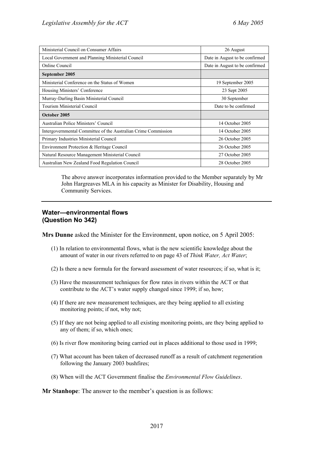| Ministerial Council on Consumer Affairs                        | 26 August                      |
|----------------------------------------------------------------|--------------------------------|
| Local Government and Planning Ministerial Council              | Date in August to be confirmed |
| Online Council                                                 | Date in August to be confirmed |
| September 2005                                                 |                                |
| Ministerial Conference on the Status of Women                  | 19 September 2005              |
| Housing Ministers' Conference                                  | 23 Sept 2005                   |
| Murray-Darling Basin Ministerial Council                       | 30 September                   |
| Tourism Ministerial Council                                    | Date to be confirmed           |
| October 2005                                                   |                                |
| Australian Police Ministers' Council                           | 14 October 2005                |
| Intergovernmental Committee of the Australian Crime Commission | 14 October 2005                |
| Primary Industries Ministerial Council                         | 26 October 2005                |
| Environment Protection & Heritage Council                      | 26 October 2005                |
| Natural Resource Management Ministerial Council                | 27 October 2005                |
| Australian New Zealand Food Regulation Council                 | 28 October 2005                |

The above answer incorporates information provided to the Member separately by Mr John Hargreaves MLA in his capacity as Minister for Disability, Housing and Community Services.

### **Water—environmental flows (Question No 342)**

**Mrs Dunne** asked the Minister for the Environment, upon notice, on 5 April 2005:

- (1) In relation to environmental flows, what is the new scientific knowledge about the amount of water in our rivers referred to on page 43 of *Think Water, Act Water*;
- (2) Is there a new formula for the forward assessment of water resources; if so, what is it;
- (3) Have the measurement techniques for flow rates in rivers within the ACT or that contribute to the ACT's water supply changed since 1999; if so, how;
- (4) If there are new measurement techniques, are they being applied to all existing monitoring points; if not, why not;
- (5) If they are not being applied to all existing monitoring points, are they being applied to any of them; if so, which ones;
- (6) Is river flow monitoring being carried out in places additional to those used in 1999;
- (7) What account has been taken of decreased runoff as a result of catchment regeneration following the January 2003 bushfires;
- (8) When will the ACT Government finalise the *Environmental Flow Guidelines*.

**Mr Stanhope**: The answer to the member's question is as follows: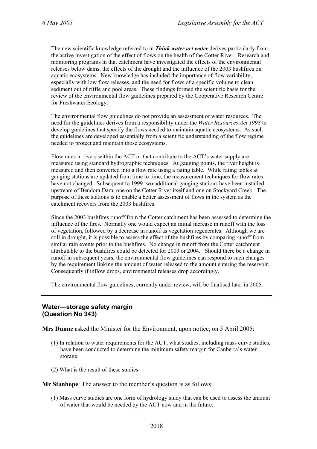The new scientific knowledge referred to in *Think water act water* derives particularly from the active investigation of the effect of flows on the health of the Cotter River. Research and monitoring programs in that catchment have investigated the effects of the environmental releases below dams, the effects of the drought and the influence of the 2003 bushfires on aquatic ecosystems. New knowledge has included the importance of flow variability, especially with low flow releases, and the need for flows of a specific volume to clean sediment out of riffle and pool areas. These findings formed the scientific basis for the review of the environmental flow guidelines prepared by the Cooperative Research Centre for Freshwater Ecology.

The environmental flow guidelines do not provide an assessment of water resources. The need for the guidelines derives from a responsibility under the *Water Resources Act 1998* to develop guidelines that specify the flows needed to maintain aquatic ecosystems. As such the guidelines are developed essentially from a scientific understanding of the flow regime needed to protect and maintain those ecosystems.

Flow rates in rivers within the ACT or that contribute to the ACT's water supply are measured using standard hydrographic techniques. At gauging points, the river height is measured and then converted into a flow rate using a rating table. While rating tables at gauging stations are updated from time to time, the measurement techniques for flow rates have not changed. Subsequent to 1999 two additional gauging stations have been installed upstream of Bendora Dam; one on the Cotter River itself and one on Stockyard Creek. The purpose of these stations is to enable a better assessment of flows in the system as the catchment recovers from the 2003 bushfires.

Since the 2003 bushfires runoff from the Cotter catchment has been assessed to determine the influence of the fires. Normally one would expect an initial increase in runoff with the loss of vegetation, followed by a decrease in runoff as vegetation regenerates. Although we are still in drought, it is possible to assess the effect of the bushfires by comparing runoff from similar rain events prior to the bushfires. No change in runoff from the Cotter catchment attributable to the bushfires could be detected for 2003 or 2004. Should there be a change in runoff in subsequent years, the environmental flow guidelines can respond to such changes by the requirement linking the amount of water released to the amount entering the reservoir. Consequently if inflow drops, environmental releases drop accordingly.

The environmental flow guidelines, currently under review, will be finalised later in 2005.

### **Water—storage safety margin (Question No 343)**

**Mrs Dunne** asked the Minister for the Environment, upon notice, on 5 April 2005:

- (1) In relation to water requirements for the ACT, what studies, including mass curve studies, have been conducted to determine the minimum safety margin for Canberra's water storage;
- (2) What is the result of these studies.

**Mr Stanhope**: The answer to the member's question is as follows:

(1) Mass curve studies are one form of hydrology study that can be used to assess the amount of water that would be needed by the ACT now and in the future.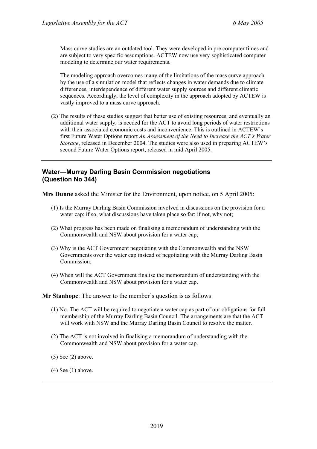Mass curve studies are an outdated tool. They were developed in pre computer times and are subject to very specific assumptions. ACTEW now use very sophisticated computer modeling to determine our water requirements.

The modeling approach overcomes many of the limitations of the mass curve approach by the use of a simulation model that reflects changes in water demands due to climate differences, interdependence of different water supply sources and different climatic sequences. Accordingly, the level of complexity in the approach adopted by ACTEW is vastly improved to a mass curve approach.

(2) The results of these studies suggest that better use of existing resources, and eventually an additional water supply, is needed for the ACT to avoid long periods of water restrictions with their associated economic costs and inconvenience. This is outlined in ACTEW's first Future Water Options report *An Assessment of the Need to Increase the ACT's Water Storage*, released in December 2004. The studies were also used in preparing ACTEW's second Future Water Options report, released in mid April 2005.

### **Water—Murray Darling Basin Commission negotiations (Question No 344)**

**Mrs Dunne** asked the Minister for the Environment, upon notice, on 5 April 2005:

- (1) Is the Murray Darling Basin Commission involved in discussions on the provision for a water cap; if so, what discussions have taken place so far; if not, why not;
- (2) What progress has been made on finalising a memorandum of understanding with the Commonwealth and NSW about provision for a water cap;
- (3) Why is the ACT Government negotiating with the Commonwealth and the NSW Governments over the water cap instead of negotiating with the Murray Darling Basin Commission;
- (4) When will the ACT Government finalise the memorandum of understanding with the Commonwealth and NSW about provision for a water cap.

**Mr Stanhope**: The answer to the member's question is as follows:

- (1) No. The ACT will be required to negotiate a water cap as part of our obligations for full membership of the Murray Darling Basin Council. The arrangements are that the ACT will work with NSW and the Murray Darling Basin Council to resolve the matter.
- (2) The ACT is not involved in finalising a memorandum of understanding with the Commonwealth and NSW about provision for a water cap.
- (3) See (2) above.

(4) See (1) above.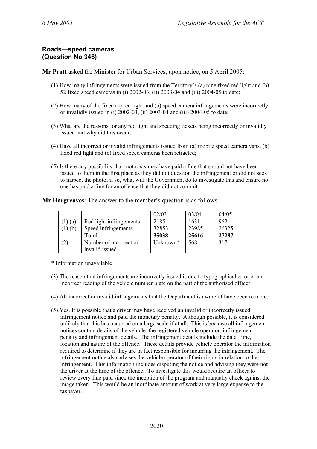### **Roads—speed cameras (Question No 346)**

**Mr Pratt** asked the Minister for Urban Services, upon notice, on 5 April 2005:

- (1) How many infringements were issued from the Territory's (a) nine fixed red light and (b) 52 fixed speed cameras in (i) 2002-03, (ii) 2003-04 and (iii) 2004-05 to date;
- (2) How many of the fixed (a) red light and (b) speed camera infringements were incorrectly or invalidly issued in (i) 2002-03, (ii) 2003-04 and (iii) 2004-05 to date;
- (3) What are the reasons for any red light and speeding tickets being incorrectly or invalidly issued and why did this occur;
- (4) Have all incorrect or invalid infringements issued from (a) mobile speed camera vans, (b) fixed red light and (c) fixed speed cameras been retracted;
- (5) Is there any possibility that motorists may have paid a fine that should not have been issued to them in the first place as they did not question the infringement or did not seek to inspect the photo; if so, what will the Government do to investigate this and ensure no one has paid a fine for an offence that they did not commit.

**Mr Hargreaves**: The answer to the member's question is as follows:

|     |                         | 02/03    | 03/04 | 04/05 |
|-----|-------------------------|----------|-------|-------|
| (a) | Red light infringements | 2185     | 1631  | 962   |
| (b) | Speed infringements     | 32853    | 23985 | 26325 |
|     | <b>Total</b>            | 35038    | 25616 | 27287 |
| (2) | Number of incorrect or  | Unknown* | 568   | 317   |
|     | invalid issued          |          |       |       |

\* Information unavailable

- (3) The reason that infringements are incorrectly issued is due to typographical error or an incorrect reading of the vehicle number plate on the part of the authorised officer.
- (4) All incorrect or invalid infringements that the Department is aware of have been retracted.
- (5) Yes. It is possible that a driver may have received an invalid or incorrectly issued infringement notice and paid the monetary penalty. Although possible, it is considered unlikely that this has occurred on a large scale if at all. This is because all infringement notices contain details of the vehicle, the registered vehicle operator, infringement penalty and infringement details. The infringement details include the date, time, location and nature of the offence. These details provide vehicle operator the information required to determine if they are in fact responsible for incurring the infringement. The infringement notice also advises the vehicle operator of their rights in relation to the infringement. This information includes disputing the notice and advising they were not the driver at the time of the offence. To investigate this would require an officer to review every fine paid since the inception of the program and manually check against the image taken. This would be an inordinate amount of work at very large expense to the taxpayer.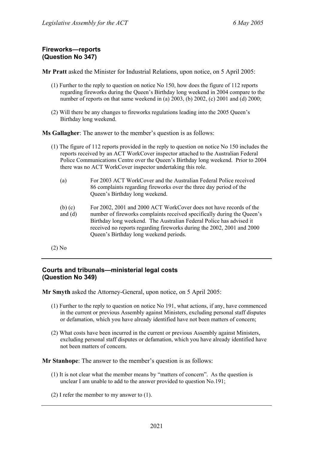# **Fireworks—reports (Question No 347)**

**Mr Pratt** asked the Minister for Industrial Relations, upon notice, on 5 April 2005:

- (1) Further to the reply to question on notice No 150, how does the figure of 112 reports regarding fireworks during the Queen's Birthday long weekend in 2004 compare to the number of reports on that same weekend in (a) 2003, (b) 2002, (c) 2001 and (d) 2000;
- (2) Will there be any changes to fireworks regulations leading into the 2005 Queen's Birthday long weekend.

**Ms Gallagher**: The answer to the member's question is as follows:

- (1) The figure of 112 reports provided in the reply to question on notice No 150 includes the reports received by an ACT WorkCover inspector attached to the Australian Federal Police Communications Centre over the Queen's Birthday long weekend. Prior to 2004 there was no ACT WorkCover inspector undertaking this role.
	- (a) For 2003 ACT WorkCover and the Australian Federal Police received 86 complaints regarding fireworks over the three day period of the Queen's Birthday long weekend.
	- (b) (c) and (d) For 2002, 2001 and 2000 ACT WorkCover does not have records of the number of fireworks complaints received specifically during the Queen's Birthday long weekend. The Australian Federal Police has advised it received no reports regarding fireworks during the 2002, 2001 and 2000 Queen's Birthday long weekend periods.
- (2) No

## **Courts and tribunals—ministerial legal costs (Question No 349)**

**Mr Smyth** asked the Attorney-General, upon notice, on 5 April 2005:

- (1) Further to the reply to question on notice No 191, what actions, if any, have commenced in the current or previous Assembly against Ministers, excluding personal staff disputes or defamation, which you have already identified have not been matters of concern;
- (2) What costs have been incurred in the current or previous Assembly against Ministers, excluding personal staff disputes or defamation, which you have already identified have not been matters of concern.

**Mr Stanhope**: The answer to the member's question is as follows:

- (1) It is not clear what the member means by "matters of concern". As the question is unclear I am unable to add to the answer provided to question No.191;
- (2) I refer the member to my answer to (1).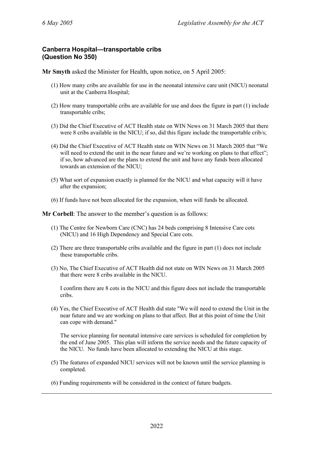### **Canberra Hospital—transportable cribs (Question No 350)**

**Mr Smyth** asked the Minister for Health, upon notice, on 5 April 2005:

- (1) How many cribs are available for use in the neonatal intensive care unit (NICU) neonatal unit at the Canberra Hospital;
- (2) How many transportable cribs are available for use and does the figure in part (1) include transportable cribs;
- (3) Did the Chief Executive of ACT Health state on WIN News on 31 March 2005 that there were 8 cribs available in the NICU; if so, did this figure include the transportable crib/s;
- (4) Did the Chief Executive of ACT Health state on WIN News on 31 March 2005 that "We will need to extend the unit in the near future and we're working on plans to that effect"; if so, how advanced are the plans to extend the unit and have any funds been allocated towards an extension of the NICU;
- (5) What sort of expansion exactly is planned for the NICU and what capacity will it have after the expansion;
- (6) If funds have not been allocated for the expansion, when will funds be allocated.

**Mr Corbell**: The answer to the member's question is as follows:

- (1) The Centre for Newborn Care (CNC) has 24 beds comprising 8 Intensive Care cots (NICU) and 16 High Dependency and Special Care cots.
- (2) There are three transportable cribs available and the figure in part (1) does not include these transportable cribs.
- (3) No, The Chief Executive of ACT Health did not state on WIN News on 31 March 2005 that there were 8 cribs available in the NICU.

I confirm there are 8 cots in the NICU and this figure does not include the transportable cribs.

(4) Yes, the Chief Executive of ACT Health did state "We will need to extend the Unit in the near future and we are working on plans to that affect. But at this point of time the Unit can cope with demand."

The service planning for neonatal intensive care services is scheduled for completion by the end of June 2005. This plan will inform the service needs and the future capacity of the NICU. No funds have been allocated to extending the NICU at this stage.

- (5) The features of expanded NICU services will not be known until the service planning is completed.
- (6) Funding requirements will be considered in the context of future budgets.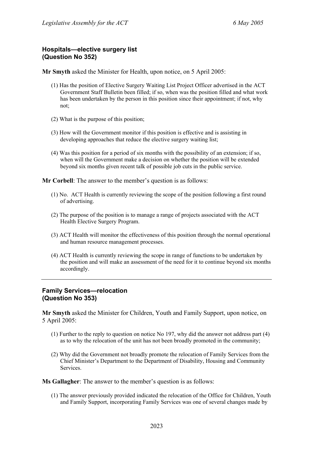### **Hospitals—elective surgery list (Question No 352)**

**Mr Smyth** asked the Minister for Health, upon notice, on 5 April 2005:

- (1) Has the position of Elective Surgery Waiting List Project Officer advertised in the ACT Government Staff Bulletin been filled; if so, when was the position filled and what work has been undertaken by the person in this position since their appointment; if not, why not;
- (2) What is the purpose of this position;
- (3) How will the Government monitor if this position is effective and is assisting in developing approaches that reduce the elective surgery waiting list;
- (4) Was this position for a period of six months with the possibility of an extension; if so, when will the Government make a decision on whether the position will be extended beyond six months given recent talk of possible job cuts in the public service.

**Mr Corbell**: The answer to the member's question is as follows:

- (1) No. ACT Health is currently reviewing the scope of the position following a first round of advertising.
- (2) The purpose of the position is to manage a range of projects associated with the ACT Health Elective Surgery Program.
- (3) ACT Health will monitor the effectiveness of this position through the normal operational and human resource management processes.
- (4) ACT Health is currently reviewing the scope in range of functions to be undertaken by the position and will make an assessment of the need for it to continue beyond six months accordingly.

### **Family Services—relocation (Question No 353)**

**Mr Smyth** asked the Minister for Children, Youth and Family Support, upon notice, on 5 April 2005:

- (1) Further to the reply to question on notice No 197, why did the answer not address part (4) as to why the relocation of the unit has not been broadly promoted in the community;
- (2) Why did the Government not broadly promote the relocation of Family Services from the Chief Minister's Department to the Department of Disability, Housing and Community Services.

**Ms Gallagher**: The answer to the member's question is as follows:

(1) The answer previously provided indicated the relocation of the Office for Children, Youth and Family Support, incorporating Family Services was one of several changes made by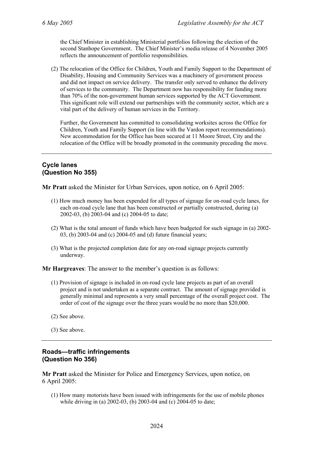the Chief Minister in establishing Ministerial portfolios following the election of the second Stanhope Government. The Chief Minister's media release of 4 November 2005 reflects the announcement of portfolio responsibilities.

(2) The relocation of the Office for Children, Youth and Family Support to the Department of Disability, Housing and Community Services was a machinery of government process and did not impact on service delivery. The transfer only served to enhance the delivery of services to the community. The Department now has responsibility for funding more than 70% of the non-government human services supported by the ACT Government. This significant role will extend our partnerships with the community sector, which are a vital part of the delivery of human services in the Territory.

Further, the Government has committed to consolidating worksites across the Office for Children, Youth and Family Support (in line with the Vardon report recommendations). New accommodation for the Office has been secured at 11 Moore Street, City and the relocation of the Office will be broadly promoted in the community preceding the move.

### **Cycle lanes (Question No 355)**

**Mr Pratt** asked the Minister for Urban Services, upon notice, on 6 April 2005:

- (1) How much money has been expended for all types of signage for on-road cycle lanes, for each on-road cycle lane that has been constructed or partially constructed, during (a) 2002-03, (b) 2003-04 and (c) 2004-05 to date;
- (2) What is the total amount of funds which have been budgeted for such signage in (a) 2002- 03, (b) 2003-04 and (c) 2004-05 and (d) future financial years;
- (3) What is the projected completion date for any on-road signage projects currently underway.

**Mr Hargreaves**: The answer to the member's question is as follows:

- (1) Provision of signage is included in on-road cycle lane projects as part of an overall project and is not undertaken as a separate contract. The amount of signage provided is generally minimal and represents a very small percentage of the overall project cost. The order of cost of the signage over the three years would be no more than \$20,000.
- (2) See above.
- (3) See above.

### **Roads—traffic infringements (Question No 356)**

**Mr Pratt** asked the Minister for Police and Emergency Services, upon notice, on 6 April 2005:

(1) How many motorists have been issued with infringements for the use of mobile phones while driving in (a) 2002-03, (b) 2003-04 and (c) 2004-05 to date;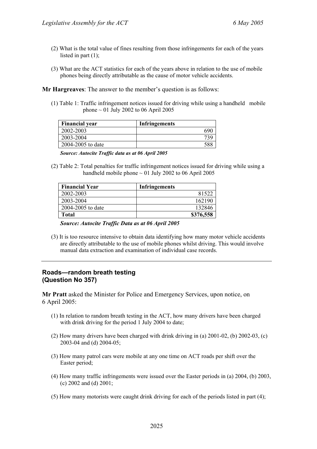- (2) What is the total value of fines resulting from those infringements for each of the years listed in part (1);
- (3) What are the ACT statistics for each of the years above in relation to the use of mobile phones being directly attributable as the cause of motor vehicle accidents.

**Mr Hargreaves**: The answer to the member's question is as follows:

(1) Table 1: Traffic infringement notices issued for driving while using a handheld mobile phone  $\sim$  01 July 2002 to 06 April 2005

| <b>Financial year</b> | <b>Infringements</b> |
|-----------------------|----------------------|
| 2002-2003             |                      |
| 2003-2004             |                      |
| 2004-2005 to date     |                      |

*Source: Autocite Traffic data as at 06 April 2005* 

(2) Table 2: Total penalties for traffic infringement notices issued for driving while using a handheld mobile phone  $\sim 01$  July 2002 to 06 April 2005

| <b>Financial Year</b> | Infringements |
|-----------------------|---------------|
| 2002-2003             | 81522         |
| 2003-2004             | 162190        |
| 2004-2005 to date     | 132846        |
| Total                 | \$376,558     |

*Source: Autocite Traffic Data as at 06 April 2005* 

(3) It is too resource intensive to obtain data identifying how many motor vehicle accidents are directly attributable to the use of mobile phones whilst driving. This would involve manual data extraction and examination of individual case records.

### **Roads—random breath testing (Question No 357)**

**Mr Pratt** asked the Minister for Police and Emergency Services, upon notice, on 6 April 2005:

- (1) In relation to random breath testing in the ACT, how many drivers have been charged with drink driving for the period 1 July 2004 to date;
- (2) How many drivers have been charged with drink driving in (a) 2001-02, (b) 2002-03, (c) 2003-04 and (d) 2004-05;
- (3) How many patrol cars were mobile at any one time on ACT roads per shift over the Easter period;
- (4) How many traffic infringements were issued over the Easter periods in (a) 2004, (b) 2003, (c) 2002 and (d) 2001;
- (5) How many motorists were caught drink driving for each of the periods listed in part (4);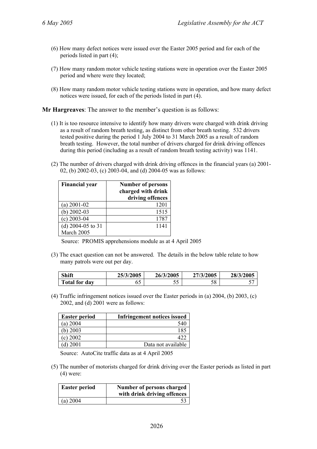- (6) How many defect notices were issued over the Easter 2005 period and for each of the periods listed in part (4);
- (7) How many random motor vehicle testing stations were in operation over the Easter 2005 period and where were they located;
- (8) How many random motor vehicle testing stations were in operation, and how many defect notices were issued, for each of the periods listed in part (4).

**Mr Hargreaves**: The answer to the member's question is as follows:

- (1) It is too resource intensive to identify how many drivers were charged with drink driving as a result of random breath testing, as distinct from other breath testing. 532 drivers tested positive during the period 1 July 2004 to 31 March 2005 as a result of random breath testing. However, the total number of drivers charged for drink driving offences during this period (including as a result of random breath testing activity) was 1141.
- (2) The number of drivers charged with drink driving offences in the financial years (a) 2001- 02, (b) 2002-03, (c) 2003-04, and (d) 2004-05 was as follows:

| <b>Financial year</b> | <b>Number of persons</b><br>charged with drink<br>driving offences |
|-----------------------|--------------------------------------------------------------------|
| $(a)$ 2001-02         | 1201                                                               |
| $(b)$ 2002-03         | 1515                                                               |
| $(c)$ 2003-04         | 1787                                                               |
| (d) 2004-05 to 31     | 1141                                                               |
| March 2005            |                                                                    |

Source: PROMIS apprehensions module as at 4 April 2005

(3) The exact question can not be answered. The details in the below table relate to how many patrols were out per day.

| Shift                | 25/3/2005 | 26/3/2005 | 27/3/2005 | 28/3/2005 |
|----------------------|-----------|-----------|-----------|-----------|
| <b>Total for day</b> | υJ        | - -<br>JJ | 58        |           |

(4) Traffic infringement notices issued over the Easter periods in (a) 2004, (b) 2003, (c) 2002, and (d) 2001 were as follows:

| <b>Easter period</b> | <b>Infringement notices issued</b> |
|----------------------|------------------------------------|
| (a) $2004$           | 540                                |
| b) $2003$            | 185                                |
| (c) 2002             |                                    |
| $d$ ) 2001           | Data not available                 |

Source: AutoCite traffic data as at 4 April 2005

(5) The number of motorists charged for drink driving over the Easter periods as listed in part (4) were:

| <b>Easter period</b> | Number of persons charged<br>with drink driving offences |
|----------------------|----------------------------------------------------------|
| (a) $2004$           |                                                          |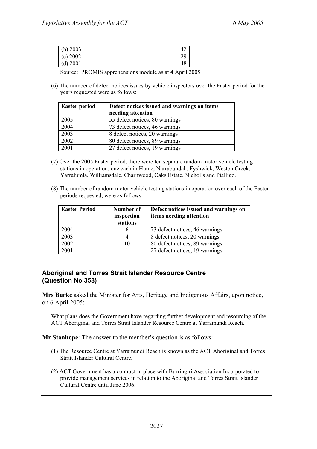| (b) $2003$ |  |
|------------|--|
| (c) 2002   |  |
| $(d)$ 2001 |  |

Source: PROMIS apprehensions module as at 4 April 2005

(6) The number of defect notices issues by vehicle inspectors over the Easter period for the years requested were as follows:

| <b>Easter period</b> | Defect notices issued and warnings on items<br>needing attention |
|----------------------|------------------------------------------------------------------|
| 2005                 | 55 defect notices, 80 warnings                                   |
| 2004                 | 73 defect notices, 46 warnings                                   |
| 2003                 | 8 defect notices, 20 warnings                                    |
| 2002                 | 80 defect notices, 89 warnings                                   |
| 2001                 | 27 defect notices, 19 warnings                                   |

- (7) Over the 2005 Easter period, there were ten separate random motor vehicle testing stations in operation, one each in Hume, Narrabundah, Fyshwick, Weston Creek, Yarralumla, Williamsdale, Charnwood, Oaks Estate, Nicholls and Pialligo.
- (8) The number of random motor vehicle testing stations in operation over each of the Easter periods requested, were as follows:

| <b>Easter Period</b> | Number of<br>inspection<br>stations | Defect notices issued and warnings on<br>items needing attention |
|----------------------|-------------------------------------|------------------------------------------------------------------|
| 2004                 | h                                   | 73 defect notices, 46 warnings                                   |
| 2003                 |                                     | 8 defect notices, 20 warnings                                    |
| 2002                 | 10                                  | 80 defect notices, 89 warnings                                   |
| 2001                 |                                     | 27 defect notices, 19 warnings                                   |

### **Aboriginal and Torres Strait Islander Resource Centre (Question No 358)**

**Mrs Burke** asked the Minister for Arts, Heritage and Indigenous Affairs, upon notice, on 6 April 2005:

What plans does the Government have regarding further development and resourcing of the ACT Aboriginal and Torres Strait Islander Resource Centre at Yarramundi Reach.

**Mr Stanhope**: The answer to the member's question is as follows:

- (1) The Resource Centre at Yarramundi Reach is known as the ACT Aboriginal and Torres Strait Islander Cultural Centre.
- (2) ACT Government has a contract in place with Burringiri Association Incorporated to provide management services in relation to the Aboriginal and Torres Strait Islander Cultural Centre until June 2006.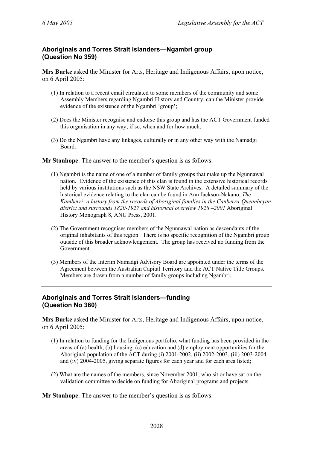# **Aboriginals and Torres Strait Islanders—Ngambri group (Question No 359)**

**Mrs Burke** asked the Minister for Arts, Heritage and Indigenous Affairs, upon notice, on 6 April 2005:

- (1) In relation to a recent email circulated to some members of the community and some Assembly Members regarding Ngambri History and Country, can the Minister provide evidence of the existence of the Ngambri 'group';
- (2) Does the Minister recognise and endorse this group and has the ACT Government funded this organisation in any way; if so, when and for how much;
- (3) Do the Ngambri have any linkages, culturally or in any other way with the Namadgi Board.

**Mr Stanhope**: The answer to the member's question is as follows:

- (1) Ngambri is the name of one of a number of family groups that make up the Ngunnawal nation. Evidence of the existence of this clan is found in the extensive historical records held by various institutions such as the NSW State Archives. A detailed summary of the historical evidence relating to the clan can be found in Ann Jackson-Nakano, *The Kamberri: a history from the records of Aboriginal families in the Canberra-Queanbeyan district and surrounds 1820-1927 and historical overview 1928 –2001* Aboriginal History Monograph 8, ANU Press, 2001.
- (2) The Government recognises members of the Ngunnawal nation as descendants of the original inhabitants of this region. There is no specific recognition of the Ngambri group outside of this broader acknowledgement. The group has received no funding from the Government.
- (3) Members of the Interim Namadgi Advisory Board are appointed under the terms of the Agreement between the Australian Capital Territory and the ACT Native Title Groups. Members are drawn from a number of family groups including Ngambri.

### **Aboriginals and Torres Strait Islanders—funding (Question No 360)**

**Mrs Burke** asked the Minister for Arts, Heritage and Indigenous Affairs, upon notice, on 6 April 2005:

- (1) In relation to funding for the Indigenous portfolio, what funding has been provided in the areas of (a) health, (b) housing, (c) education and (d) employment opportunities for the Aboriginal population of the ACT during (i) 2001-2002, (ii) 2002-2003, (iii) 2003-2004 and (iv) 2004-2005, giving separate figures for each year and for each area listed;
- (2) What are the names of the members, since November 2001, who sit or have sat on the validation committee to decide on funding for Aboriginal programs and projects.

**Mr Stanhope**: The answer to the member's question is as follows: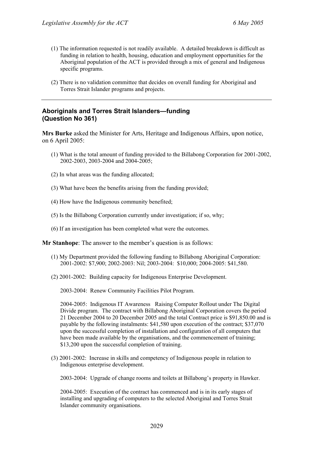- (1) The information requested is not readily available. A detailed breakdown is difficult as funding in relation to health, housing, education and employment opportunities for the Aboriginal population of the ACT is provided through a mix of general and Indigenous specific programs.
- (2) There is no validation committee that decides on overall funding for Aboriginal and Torres Strait Islander programs and projects.

### **Aboriginals and Torres Strait Islanders—funding (Question No 361)**

**Mrs Burke** asked the Minister for Arts, Heritage and Indigenous Affairs, upon notice, on 6 April 2005:

- (1) What is the total amount of funding provided to the Billabong Corporation for 2001-2002, 2002-2003, 2003-2004 and 2004-2005;
- (2) In what areas was the funding allocated;
- (3) What have been the benefits arising from the funding provided;
- (4) How have the Indigenous community benefited;
- (5) Is the Billabong Corporation currently under investigation; if so, why;
- (6) If an investigation has been completed what were the outcomes.

**Mr Stanhope**: The answer to the member's question is as follows:

- (1) My Department provided the following funding to Billabong Aboriginal Corporation: 2001-2002: \$7,900; 2002-2003: Nil; 2003-2004: \$10,000; 2004-2005: \$41,580.
- (2) 2001-2002: Building capacity for Indigenous Enterprise Development.

2003-2004: Renew Community Facilities Pilot Program.

2004-2005: Indigenous IT Awareness Raising Computer Rollout under The Digital Divide program. The contract with Billabong Aboriginal Corporation covers the period 21 December 2004 to 20 December 2005 and the total Contract price is \$91,850.00 and is payable by the following instalments: \$41,580 upon execution of the contract; \$37,070 upon the successful completion of installation and configuration of all computers that have been made available by the organisations, and the commencement of training; \$13,200 upon the successful completion of training.

(3) 2001-2002: Increase in skills and competency of Indigenous people in relation to Indigenous enterprise development.

2003-2004: Upgrade of change rooms and toilets at Billabong's property in Hawker.

2004-2005: Execution of the contract has commenced and is in its early stages of installing and upgrading of computers to the selected Aboriginal and Torres Strait Islander community organisations.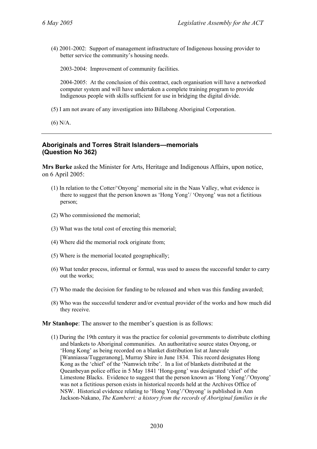(4) 2001-2002: Support of management infrastructure of Indigenous housing provider to better service the community's housing needs.

2003-2004: Improvement of community facilities.

2004-2005: At the conclusion of this contract, each organisation will have a networked computer system and will have undertaken a complete training program to provide Indigenous people with skills sufficient for use in bridging the digital divide.

- (5) I am not aware of any investigation into Billabong Aboriginal Corporation.
- (6) N/A.

### **Aboriginals and Torres Strait Islanders—memorials (Question No 362)**

**Mrs Burke** asked the Minister for Arts, Heritage and Indigenous Affairs, upon notice, on 6 April 2005:

- (1) In relation to the Cotter/'Onyong' memorial site in the Naas Valley, what evidence is there to suggest that the person known as 'Hong Yong'/ 'Onyong' was not a fictitious person;
- (2) Who commissioned the memorial;
- (3) What was the total cost of erecting this memorial;
- (4) Where did the memorial rock originate from;
- (5) Where is the memorial located geographically;
- (6) What tender process, informal or formal, was used to assess the successful tender to carry out the works;
- (7) Who made the decision for funding to be released and when was this funding awarded;
- (8) Who was the successful tenderer and/or eventual provider of the works and how much did they receive.

**Mr Stanhope**: The answer to the member's question is as follows:

(1) During the 19th century it was the practice for colonial governments to distribute clothing and blankets to Aboriginal communities. An authoritative source states Onyong, or 'Hong Kong' as being recorded on a blanket distribution list at Janevale [Wanniassa/Tuggeranong], Murray Shire in June 1834. This record designates Hong Kong as the 'chief' of the 'Namwich tribe'. In a list of blankets distributed at the Queanbeyan police office in 5 May 1841 'Hong-gong' was designated 'chief' of the Limestone Blacks. Evidence to suggest that the person known as 'Hong Yong'/'Onyong' was not a fictitious person exists in historical records held at the Archives Office of NSW. Historical evidence relating to 'Hong Yong'/'Onyong' is published in Ann Jackson-Nakano, *The Kamberri: a history from the records of Aboriginal families in the*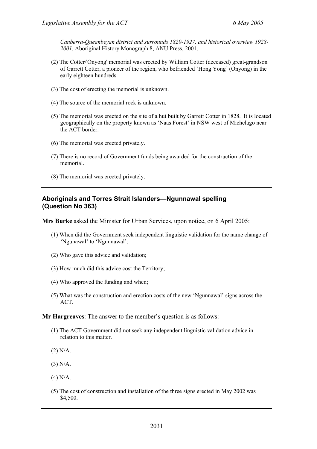*Canberra-Queanbeyan district and surrounds 1820-1927, and historical overview 1928- 2001*, Aboriginal History Monograph 8, ANU Press, 2001.

- (2) The Cotter/'Onyong' memorial was erected by William Cotter (deceased) great-grandson of Garrett Cotter, a pioneer of the region, who befriended 'Hong Yong' (Onyong) in the early eighteen hundreds.
- (3) The cost of erecting the memorial is unknown.
- (4) The source of the memorial rock is unknown.
- (5) The memorial was erected on the site of a hut built by Garrett Cotter in 1828. It is located geographically on the property known as 'Naas Forest' in NSW west of Michelago near the ACT border.
- (6) The memorial was erected privately.
- (7) There is no record of Government funds being awarded for the construction of the memorial.
- (8) The memorial was erected privately.

#### **Aboriginals and Torres Strait Islanders—Ngunnawal spelling (Question No 363)**

**Mrs Burke** asked the Minister for Urban Services, upon notice, on 6 April 2005:

- (1) When did the Government seek independent linguistic validation for the name change of 'Ngunawal' to 'Ngunnawal';
- (2) Who gave this advice and validation;
- (3) How much did this advice cost the Territory;
- (4) Who approved the funding and when;
- (5) What was the construction and erection costs of the new 'Ngunnawal' signs across the ACT.

**Mr Hargreaves**: The answer to the member's question is as follows:

- (1) The ACT Government did not seek any independent linguistic validation advice in relation to this matter.
- (2) N/A.
- (3) N/A.
- (4) N/A.
- (5) The cost of construction and installation of the three signs erected in May 2002 was \$4,500.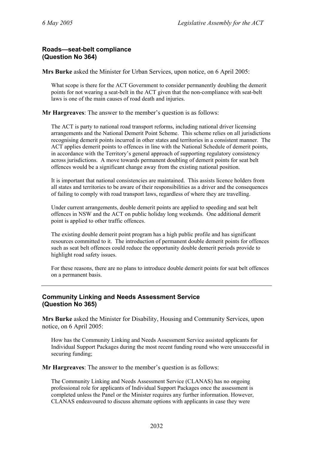### **Roads—seat-belt compliance (Question No 364)**

**Mrs Burke** asked the Minister for Urban Services, upon notice, on 6 April 2005:

What scope is there for the ACT Government to consider permanently doubling the demerit points for not wearing a seat-belt in the ACT given that the non-compliance with seat-belt laws is one of the main causes of road death and injuries.

**Mr Hargreaves**: The answer to the member's question is as follows:

The ACT is party to national road transport reforms, including national driver licensing arrangements and the National Demerit Point Scheme. This scheme relies on all jurisdictions recognising demerit points incurred in other states and territories in a consistent manner. The ACT applies demerit points to offences in line with the National Schedule of demerit points, in accordance with the Territory's general approach of supporting regulatory consistency across jurisdictions. A move towards permanent doubling of demerit points for seat belt offences would be a significant change away from the existing national position.

It is important that national consistencies are maintained. This assists licence holders from all states and territories to be aware of their responsibilities as a driver and the consequences of failing to comply with road transport laws, regardless of where they are travelling.

Under current arrangements, double demerit points are applied to speeding and seat belt offences in NSW and the ACT on public holiday long weekends. One additional demerit point is applied to other traffic offences.

The existing double demerit point program has a high public profile and has significant resources committed to it. The introduction of permanent double demerit points for offences such as seat belt offences could reduce the opportunity double demerit periods provide to highlight road safety issues.

For these reasons, there are no plans to introduce double demerit points for seat belt offences on a permanent basis.

# **Community Linking and Needs Assessment Service (Question No 365)**

**Mrs Burke** asked the Minister for Disability, Housing and Community Services, upon notice, on 6 April 2005:

How has the Community Linking and Needs Assessment Service assisted applicants for Individual Support Packages during the most recent funding round who were unsuccessful in securing funding;

**Mr Hargreaves**: The answer to the member's question is as follows:

The Community Linking and Needs Assessment Service (CLANAS) has no ongoing professional role for applicants of Individual Support Packages once the assessment is completed unless the Panel or the Minister requires any further information. However, CLANAS endeavoured to discuss alternate options with applicants in case they were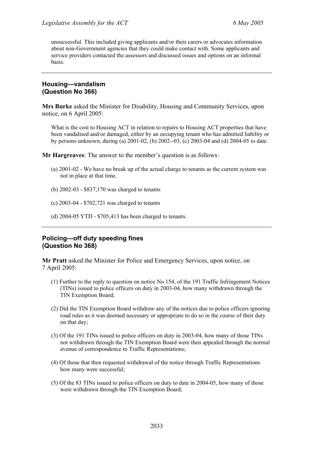unsuccessful. This included giving applicants and/or their carers or advocates information about non-Government agencies that they could make contact with. Some applicants and service providers contacted the assessors and discussed issues and options on an informal basis.

### **Housing—vandalism (Question No 366)**

**Mrs Burke** asked the Minister for Disability, Housing and Community Services, upon notice, on 6 April 2005:

What is the cost to Housing ACT in relation to repairs to Housing ACT properties that have been vandalised and/or damaged, either by an occupying tenant who has admitted liability or by persons unknown, during (a) 2001-02, (b) 2002--03, (c) 2003-04 and (d) 2004-05 to date.

**Mr Hargreaves**: The answer to the member's question is as follows:

- (a) 2001-02 We have no break up of the actual charge to tenants as the current system was not in place at that time.
- (b) 2002-03 \$837,170 was charged to tenants
- (c) 2003-04 \$702,721 was charged to tenants
- (d) 2004-05 YTD \$705,413 has been charged to tenants.

### **Policing—off duty speeding fines (Question No 368)**

**Mr Pratt** asked the Minister for Police and Emergency Services, upon notice, on 7 April 2005:

- (1) Further to the reply to question on notice No 154, of the 191 Traffic Infringement Notices (TINs) issued to police officers on duty in 2003-04, how many withdrawn through the TIN Exemption Board;
- (2) Did the TIN Exemption Board withdraw any of the notices due to police officers ignoring road rules as it was deemed necessary or appropriate to do so in the course of their duty on that day;
- (3) Of the 191 TINs issued to police officers on duty in 2003-04, how many of those TINs not withdrawn through the TIN Exemption Board were then appealed through the normal avenue of correspondence to Traffic Representations;
- (4) Of those that then requested withdrawal of the notice through Traffic Representations how many were successful;
- (5) Of the 83 TINs issued to police officers on duty to date in 2004-05, how many of those were withdrawn through the TIN Exemption Board;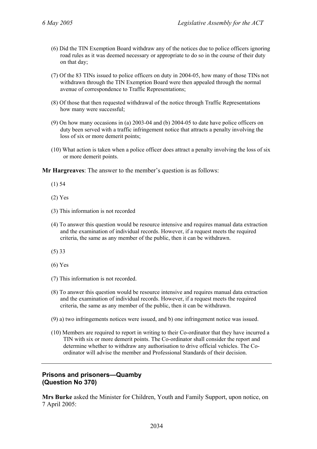- (6) Did the TIN Exemption Board withdraw any of the notices due to police officers ignoring road rules as it was deemed necessary or appropriate to do so in the course of their duty on that day;
- (7) Of the 83 TINs issued to police officers on duty in 2004-05, how many of those TINs not withdrawn through the TIN Exemption Board were then appealed through the normal avenue of correspondence to Traffic Representations;
- (8) Of those that then requested withdrawal of the notice through Traffic Representations how many were successful;
- (9) On how many occasions in (a) 2003-04 and (b) 2004-05 to date have police officers on duty been served with a traffic infringement notice that attracts a penalty involving the loss of six or more demerit points;
- (10) What action is taken when a police officer does attract a penalty involving the loss of six or more demerit points.

**Mr Hargreaves**: The answer to the member's question is as follows:

- (1) 54
- (2) Yes
- (3) This information is not recorded
- (4) To answer this question would be resource intensive and requires manual data extraction and the examination of individual records. However, if a request meets the required criteria, the same as any member of the public, then it can be withdrawn.
- (5) 33
- (6) Yes
- (7) This information is not recorded.
- (8) To answer this question would be resource intensive and requires manual data extraction and the examination of individual records. However, if a request meets the required criteria, the same as any member of the public, then it can be withdrawn.
- (9) a) two infringements notices were issued, and b) one infringement notice was issued.
- (10) Members are required to report in writing to their Co-ordinator that they have incurred a TIN with six or more demerit points. The Co-ordinator shall consider the report and determine whether to withdraw any authorisation to drive official vehicles. The Coordinator will advise the member and Professional Standards of their decision.

### **Prisons and prisoners—Quamby (Question No 370)**

**Mrs Burke** asked the Minister for Children, Youth and Family Support, upon notice, on 7 April 2005: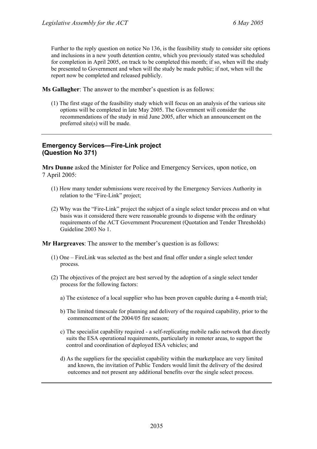Further to the reply question on notice No 136, is the feasibility study to consider site options and inclusions in a new youth detention centre, which you previously stated was scheduled for completion in April 2005, on track to be completed this month; if so, when will the study be presented to Government and when will the study be made public; if not, when will the report now be completed and released publicly.

**Ms Gallagher**: The answer to the member's question is as follows:

(1) The first stage of the feasibility study which will focus on an analysis of the various site options will be completed in late May 2005. The Government will consider the recommendations of the study in mid June 2005, after which an announcement on the preferred site(s) will be made.

# **Emergency Services—Fire-Link project (Question No 371)**

**Mrs Dunne** asked the Minister for Police and Emergency Services, upon notice, on 7 April 2005:

- (1) How many tender submissions were received by the Emergency Services Authority in relation to the "Fire-Link" project;
- (2) Why was the "Fire-Link" project the subject of a single select tender process and on what basis was it considered there were reasonable grounds to dispense with the ordinary requirements of the ACT Government Procurement (Quotation and Tender Thresholds) Guideline 2003 No 1.

**Mr Hargreaves**: The answer to the member's question is as follows:

- (1) One FireLink was selected as the best and final offer under a single select tender process.
- (2) The objectives of the project are best served by the adoption of a single select tender process for the following factors:
	- a) The existence of a local supplier who has been proven capable during a 4-month trial;
	- b) The limited timescale for planning and delivery of the required capability, prior to the commencement of the 2004/05 fire season;
	- c) The specialist capability required a self-replicating mobile radio network that directly suits the ESA operational requirements, particularly in remoter areas, to support the control and coordination of deployed ESA vehicles; and
	- d) As the suppliers for the specialist capability within the marketplace are very limited and known, the invitation of Public Tenders would limit the delivery of the desired outcomes and not present any additional benefits over the single select process.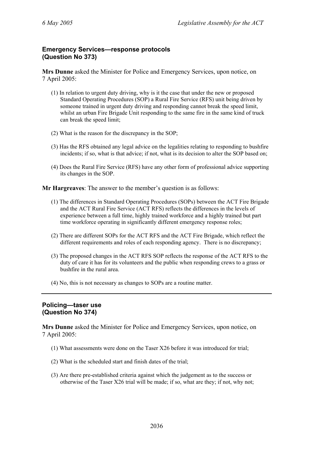# **Emergency Services—response protocols (Question No 373)**

**Mrs Dunne** asked the Minister for Police and Emergency Services, upon notice, on 7 April 2005:

- (1) In relation to urgent duty driving, why is it the case that under the new or proposed Standard Operating Procedures (SOP) a Rural Fire Service (RFS) unit being driven by someone trained in urgent duty driving and responding cannot break the speed limit, whilst an urban Fire Brigade Unit responding to the same fire in the same kind of truck can break the speed limit;
- (2) What is the reason for the discrepancy in the SOP;
- (3) Has the RFS obtained any legal advice on the legalities relating to responding to bushfire incidents; if so, what is that advice; if not, what is its decision to alter the SOP based on;
- (4) Does the Rural Fire Service (RFS) have any other form of professional advice supporting its changes in the SOP.

**Mr Hargreaves**: The answer to the member's question is as follows:

- (1) The differences in Standard Operating Procedures (SOPs) between the ACT Fire Brigade and the ACT Rural Fire Service (ACT RFS) reflects the differences in the levels of experience between a full time, highly trained workforce and a highly trained but part time workforce operating in significantly different emergency response roles;
- (2) There are different SOPs for the ACT RFS and the ACT Fire Brigade, which reflect the different requirements and roles of each responding agency. There is no discrepancy;
- (3) The proposed changes in the ACT RFS SOP reflects the response of the ACT RFS to the duty of care it has for its volunteers and the public when responding crews to a grass or bushfire in the rural area.
- (4) No, this is not necessary as changes to SOPs are a routine matter.

### **Policing—taser use (Question No 374)**

**Mrs Dunne** asked the Minister for Police and Emergency Services, upon notice, on 7 April 2005:

- (1) What assessments were done on the Taser X26 before it was introduced for trial;
- (2) What is the scheduled start and finish dates of the trial;
- (3) Are there pre-established criteria against which the judgement as to the success or otherwise of the Taser X26 trial will be made; if so, what are they; if not, why not;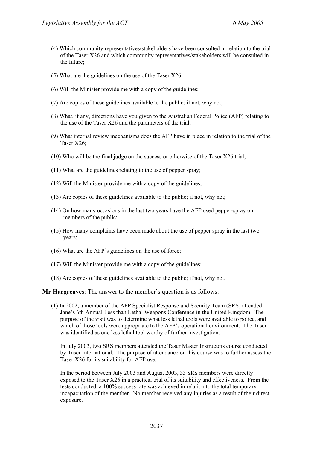- (4) Which community representatives/stakeholders have been consulted in relation to the trial of the Taser X26 and which community representatives/stakeholders will be consulted in the future;
- (5) What are the guidelines on the use of the Taser X26;
- (6) Will the Minister provide me with a copy of the guidelines;
- (7) Are copies of these guidelines available to the public; if not, why not;
- (8) What, if any, directions have you given to the Australian Federal Police (AFP) relating to the use of the Taser X26 and the parameters of the trial;
- (9) What internal review mechanisms does the AFP have in place in relation to the trial of the Taser X26;
- (10) Who will be the final judge on the success or otherwise of the Taser X26 trial;
- (11) What are the guidelines relating to the use of pepper spray;
- (12) Will the Minister provide me with a copy of the guidelines;
- (13) Are copies of these guidelines available to the public; if not, why not;
- (14) On how many occasions in the last two years have the AFP used pepper-spray on members of the public;
- (15) How many complaints have been made about the use of pepper spray in the last two years;
- (16) What are the AFP's guidelines on the use of force;
- (17) Will the Minister provide me with a copy of the guidelines;
- (18) Are copies of these guidelines available to the public; if not, why not.

**Mr Hargreaves**: The answer to the member's question is as follows:

(1) In 2002, a member of the AFP Specialist Response and Security Team (SRS) attended Jane's 6th Annual Less than Lethal Weapons Conference in the United Kingdom. The purpose of the visit was to determine what less lethal tools were available to police, and which of those tools were appropriate to the AFP's operational environment. The Taser was identified as one less lethal tool worthy of further investigation.

In July 2003, two SRS members attended the Taser Master Instructors course conducted by Taser International. The purpose of attendance on this course was to further assess the Taser X26 for its suitability for AFP use.

In the period between July 2003 and August 2003, 33 SRS members were directly exposed to the Taser X26 in a practical trial of its suitability and effectiveness. From the tests conducted, a 100% success rate was achieved in relation to the total temporary incapacitation of the member. No member received any injuries as a result of their direct exposure.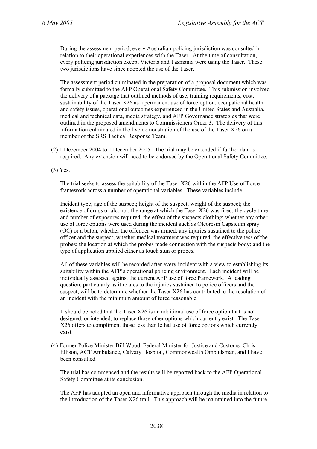During the assessment period, every Australian policing jurisdiction was consulted in relation to their operational experiences with the Taser. At the time of consultation, every policing jurisdiction except Victoria and Tasmania were using the Taser. These two jurisdictions have since adopted the use of the Taser.

The assessment period culminated in the preparation of a proposal document which was formally submitted to the AFP Operational Safety Committee. This submission involved the delivery of a package that outlined methods of use, training requirements, cost, sustainability of the Taser X26 as a permanent use of force option, occupational health and safety issues, operational outcomes experienced in the United States and Australia, medical and technical data, media strategy, and AFP Governance strategies that were outlined in the proposed amendments to Commissioners Order 3. The delivery of this information culminated in the live demonstration of the use of the Taser X26 on a member of the SRS Tactical Response Team.

(2) 1 December 2004 to 1 December 2005. The trial may be extended if further data is required. Any extension will need to be endorsed by the Operational Safety Committee.

(3) Yes.

The trial seeks to assess the suitability of the Taser X26 within the AFP Use of Force framework across a number of operational variables. These variables include:

Incident type; age of the suspect; height of the suspect; weight of the suspect; the existence of drugs or alcohol; the range at which the Taser X26 was fired; the cycle time and number of exposures required; the effect of the suspects clothing; whether any other use of force options were used during the incident such as Oleoresin Capsicum spray (OC) or a baton; whether the offender was armed; any injuries sustained to the police officer and the suspect; whether medical treatment was required; the effectiveness of the probes; the location at which the probes made connection with the suspects body; and the type of application applied either as touch stun or probes.

All of these variables will be recorded after every incident with a view to establishing its suitability within the AFP's operational policing environment. Each incident will be individually assessed against the current AFP use of force framework. A leading question, particularly as it relates to the injuries sustained to police officers and the suspect, will be to determine whether the Taser X26 has contributed to the resolution of an incident with the minimum amount of force reasonable.

It should be noted that the Taser X26 is an additional use of force option that is not designed, or intended, to replace those other options which currently exist. The Taser X26 offers to compliment those less than lethal use of force options which currently exist.

(4) Former Police Minister Bill Wood, Federal Minister for Justice and Customs Chris Ellison, ACT Ambulance, Calvary Hospital, Commonwealth Ombudsman, and I have been consulted.

The trial has commenced and the results will be reported back to the AFP Operational Safety Committee at its conclusion.

The AFP has adopted an open and informative approach through the media in relation to the introduction of the Taser X26 trail. This approach will be maintained into the future.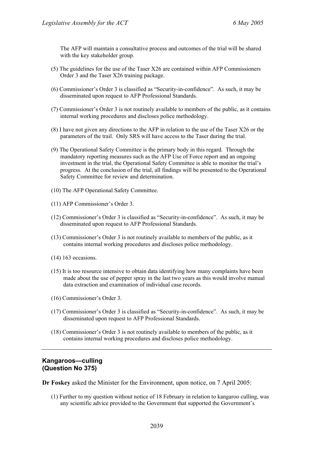The AFP will maintain a consultative process and outcomes of the trial will be shared with the key stakeholder group.

- (5) The guidelines for the use of the Taser X26 are contained within AFP Commissioners Order 3 and the Taser X26 training package.
- (6) Commissioner's Order 3 is classified as "Security-in-confidence". As such, it may be disseminated upon request to AFP Professional Standards.
- (7) Commissioner's Order 3 is not routinely available to members of the public, as it contains internal working procedures and discloses police methodology.
- (8) I have not given any directions to the AFP in relation to the use of the Taser X26 or the parameters of the trail. Only SRS will have access to the Taser during the trial.
- (9) The Operational Safety Committee is the primary body in this regard. Through the mandatory reporting measures such as the AFP Use of Force report and an ongoing investment in the trial, the Operational Safety Committee is able to monitor the trial's progress. At the conclusion of the trial, all findings will be presented to the Operational Safety Committee for review and determination.
- (10) The AFP Operational Safety Committee.
- (11) AFP Commissioner's Order 3.
- (12) Commissioner's Order 3 is classified as "Security-in-confidence". As such, it may be disseminated upon request to AFP Professional Standards.
- (13) Commissioner's Order 3 is not routinely available to members of the public, as it contains internal working procedures and discloses police methodology.
- (14) 163 occasions.
- (15) It is too resource intensive to obtain data identifying how many complaints have been made about the use of pepper spray in the last two years as this would involve manual data extraction and examination of individual case records.
- (16) Commissioner's Order 3.
- (17) Commissioner's Order 3 is classified as "Security-in-confidence". As such, it may be disseminated upon request to AFP Professional Standards.
- (18) Commissioner's Order 3 is not routinely available to members of the public, as it contains internal working procedures and discloses police methodology.

### **Kangaroos—culling (Question No 375)**

**Dr Foskey** asked the Minister for the Environment, upon notice, on 7 April 2005:

(1) Further to my question without notice of 18 February in relation to kangaroo culling, was any scientific advice provided to the Government that supported the Government's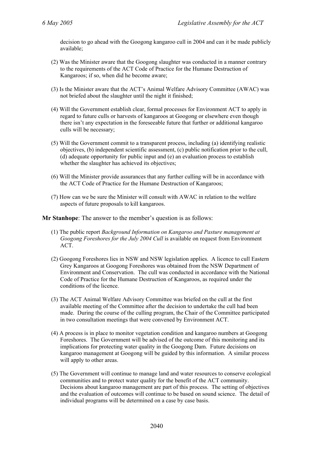decision to go ahead with the Googong kangaroo cull in 2004 and can it be made publicly available;

- (2) Was the Minister aware that the Googong slaughter was conducted in a manner contrary to the requirements of the ACT Code of Practice for the Humane Destruction of Kangaroos; if so, when did he become aware;
- (3) Is the Minister aware that the ACT's Animal Welfare Advisory Committee (AWAC) was not briefed about the slaughter until the night it finished;
- (4) Will the Government establish clear, formal processes for Environment ACT to apply in regard to future culls or harvests of kangaroos at Googong or elsewhere even though there isn't any expectation in the foreseeable future that further or additional kangaroo culls will be necessary;
- (5) Will the Government commit to a transparent process, including (a) identifying realistic objectives, (b) independent scientific assessment, (c) public notification prior to the cull, (d) adequate opportunity for public input and (e) an evaluation process to establish whether the slaughter has achieved its objectives;
- (6) Will the Minister provide assurances that any further culling will be in accordance with the ACT Code of Practice for the Humane Destruction of Kangaroos;
- (7) How can we be sure the Minister will consult with AWAC in relation to the welfare aspects of future proposals to kill kangaroos.

**Mr Stanhope**: The answer to the member's question is as follows:

- (1) The public report *Background Information on Kangaroo and Pasture management at Googong Foreshores for the July 2004 Cull* is available on request from Environment ACT.
- (2) Googong Foreshores lies in NSW and NSW legislation applies. A licence to cull Eastern Grey Kangaroos at Googong Foreshores was obtained from the NSW Department of Environment and Conservation. The cull was conducted in accordance with the National Code of Practice for the Humane Destruction of Kangaroos, as required under the conditions of the licence.
- (3) The ACT Animal Welfare Advisory Committee was briefed on the cull at the first available meeting of the Committee after the decision to undertake the cull had been made. During the course of the culling program, the Chair of the Committee participated in two consultation meetings that were convened by Environment ACT.
- (4) A process is in place to monitor vegetation condition and kangaroo numbers at Googong Foreshores. The Government will be advised of the outcome of this monitoring and its implications for protecting water quality in the Googong Dam. Future decisions on kangaroo management at Googong will be guided by this information. A similar process will apply to other areas.
- (5) The Government will continue to manage land and water resources to conserve ecological communities and to protect water quality for the benefit of the ACT community. Decisions about kangaroo management are part of this process. The setting of objectives and the evaluation of outcomes will continue to be based on sound science. The detail of individual programs will be determined on a case by case basis.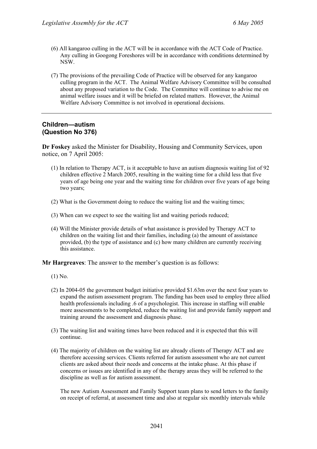- (6) All kangaroo culling in the ACT will be in accordance with the ACT Code of Practice. Any culling in Googong Foreshores will be in accordance with conditions determined by NSW.
- (7) The provisions of the prevailing Code of Practice will be observed for any kangaroo culling program in the ACT. The Animal Welfare Advisory Committee will be consulted about any proposed variation to the Code. The Committee will continue to advise me on animal welfare issues and it will be briefed on related matters. However, the Animal Welfare Advisory Committee is not involved in operational decisions.

### **Children—autism (Question No 376)**

**Dr Foskey** asked the Minister for Disability, Housing and Community Services, upon notice, on 7 April 2005:

- (1) In relation to Therapy ACT, is it acceptable to have an autism diagnosis waiting list of 92 children effective 2 March 2005, resulting in the waiting time for a child less that five years of age being one year and the waiting time for children over five years of age being two years;
- (2) What is the Government doing to reduce the waiting list and the waiting times;
- (3) When can we expect to see the waiting list and waiting periods reduced;
- (4) Will the Minister provide details of what assistance is provided by Therapy ACT to children on the waiting list and their families, including (a) the amount of assistance provided, (b) the type of assistance and (c) how many children are currently receiving this assistance.

**Mr Hargreaves**: The answer to the member's question is as follows:

- (1) No.
- (2) In 2004-05 the government budget initiative provided \$1.63m over the next four years to expand the autism assessment program. The funding has been used to employ three allied health professionals including .6 of a psychologist. This increase in staffing will enable more assessments to be completed, reduce the waiting list and provide family support and training around the assessment and diagnosis phase.
- (3) The waiting list and waiting times have been reduced and it is expected that this will continue.
- (4) The majority of children on the waiting list are already clients of Therapy ACT and are therefore accessing services. Clients referred for autism assessment who are not current clients are asked about their needs and concerns at the intake phase. At this phase if concerns or issues are identified in any of the therapy areas they will be referred to the discipline as well as for autism assessment.

The new Autism Assessment and Family Support team plans to send letters to the family on receipt of referral, at assessment time and also at regular six monthly intervals while